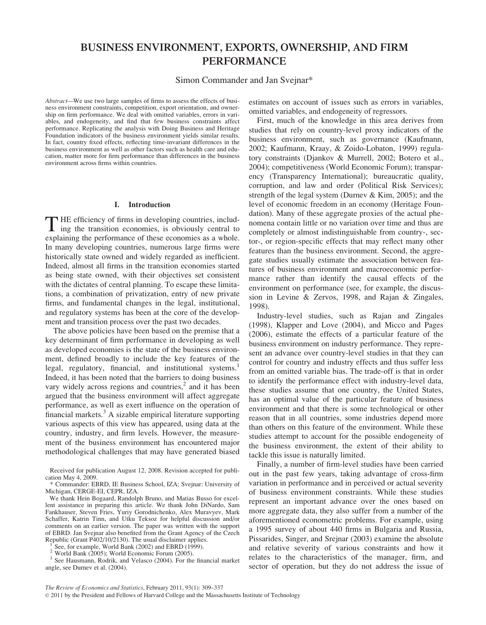# BUSINESS ENVIRONMENT, EXPORTS, OWNERSHIP, AND FIRM PERFORMANCE

### Simon Commander and Jan Svejnar\*

Abstract—We use two large samples of firms to assess the effects of business environment constraints, competition, export orientation, and ownership on firm performance. We deal with omitted variables, errors in variables, and endogeneity, and find that few business constraints affect performance. Replicating the analysis with Doing Business and Heritage Foundation indicators of the business environment yields similar results. In fact, country fixed effects, reflecting time-invariant differences in the business environment as well as other factors such as health care and education, matter more for firm performance than differences in the business environment across firms within countries.

### I. Introduction

THE efficiency of firms in developing countries, includ-<br>ing the transition economies, is obviously central to explaining the performance of these economies as a whole. In many developing countries, numerous large firms were historically state owned and widely regarded as inefficient. Indeed, almost all firms in the transition economies started as being state owned, with their objectives set consistent with the dictates of central planning. To escape these limitations, a combination of privatization, entry of new private firms, and fundamental changes in the legal, institutional, and regulatory systems has been at the core of the development and transition process over the past two decades.

The above policies have been based on the premise that a key determinant of firm performance in developing as well as developed economies is the state of the business environment, defined broadly to include the key features of the legal, regulatory, financial, and institutional systems.<sup>1</sup> Indeed, it has been noted that the barriers to doing business vary widely across regions and countries, $<sup>2</sup>$  and it has been</sup> argued that the business environment will affect aggregate performance, as well as exert influence on the operation of financial markets.<sup>3</sup> A sizable empirical literature supporting various aspects of this view has appeared, using data at the country, industry, and firm levels. However, the measurement of the business environment has encountered major methodological challenges that may have generated biased

 $1$  See, for example, World Bank (2002) and EBRD (1999).<br>
<sup>2</sup> World Bank (2005); World Economic Forum (2005).<br>
<sup>3</sup> See Hausmann, Rodrik, and Velasco (2004). For the financial market angle, see Durnev et al. (2004).

estimates on account of issues such as errors in variables, omitted variables, and endogeneity of regressors.

First, much of the knowledge in this area derives from studies that rely on country-level proxy indicators of the business environment, such as governance (Kaufmann, 2002; Kaufmann, Kraay, & Zoido-Lobaton, 1999) regulatory constraints (Djankov & Murrell, 2002; Botero et al., 2004); competitiveness (World Economic Forum); transparency (Transparency International); bureaucratic quality, corruption, and law and order (Political Risk Services); strength of the legal system (Durnev & Kim, 2005); and the level of economic freedom in an economy (Heritage Foundation). Many of these aggregate proxies of the actual phenomena contain little or no variation over time and thus are completely or almost indistinguishable from country-, sector-, or region-specific effects that may reflect many other features than the business environment. Second, the aggregate studies usually estimate the association between features of business environment and macroeconomic performance rather than identify the causal effects of the environment on performance (see, for example, the discussion in Levine & Zervos, 1998, and Rajan & Zingales, 1998).

Industry-level studies, such as Rajan and Zingales (1998), Klapper and Love (2004), and Micco and Pages (2006), estimate the effects of a particular feature of the business environment on industry performance. They represent an advance over country-level studies in that they can control for country and industry effects and thus suffer less from an omitted variable bias. The trade-off is that in order to identify the performance effect with industry-level data, these studies assume that one country, the United States, has an optimal value of the particular feature of business environment and that there is some technological or other reason that in all countries, some industries depend more than others on this feature of the environment. While these studies attempt to account for the possible endogeneity of the business environment, the extent of their ability to tackle this issue is naturally limited.

Finally, a number of firm-level studies have been carried out in the past few years, taking advantage of cross-firm variation in performance and in perceived or actual severity of business environment constraints. While these studies represent an important advance over the ones based on more aggregate data, they also suffer from a number of the aforementioned econometric problems. For example, using a 1995 survey of about 440 firms in Bulgaria and Russia, Pissarides, Singer, and Srejnar (2003) examine the absolute and relative severity of various constraints and how it relates to the characteristics of the manager, firm, and sector of operation, but they do not address the issue of

Received for publication August 12, 2008. Revision accepted for publication May 4, 2009.

<sup>\*</sup> Commander: EBRD, IE Business School, IZA; Svejnar: University of Michigan, CERGE-EI, CEPR, IZA.

We thank Hein Bogaard, Randolph Bruno, and Matias Busso for excellent assistance in preparing this article. We thank John DiNardo, Sam Fankhauser, Steven Fries, Yuriy Gorodnichenko, Alex Muravyev, Mark Schaffer, Katrin Tinn, and Utku Teksoz for helpful discussion and/or comments on an earlier version. The paper was written with the support of EBRD. Jan Svejnar also benefited from the Grant Agency of the Czech Republic (Grant P402/10/2130). The usual disclaimer applies.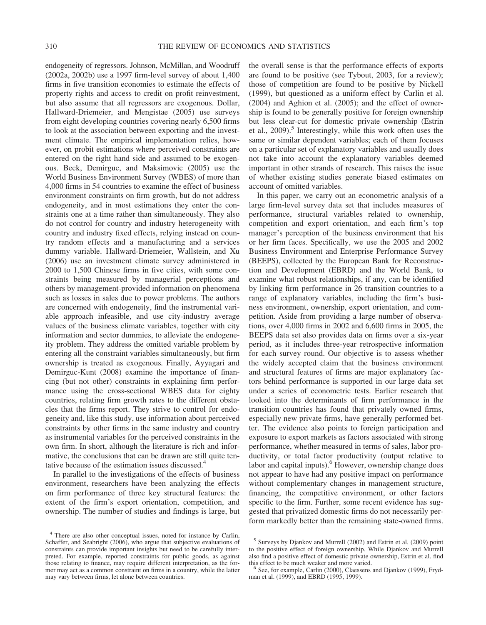endogeneity of regressors. Johnson, McMillan, and Woodruff (2002a, 2002b) use a 1997 firm-level survey of about 1,400 firms in five transition economies to estimate the effects of property rights and access to credit on profit reinvestment, but also assume that all regressors are exogenous. Dollar, Hallward-Driemeier, and Mengistae (2005) use surveys from eight developing countries covering nearly 6,500 firms to look at the association between exporting and the investment climate. The empirical implementation relies, however, on probit estimations where perceived constraints are entered on the right hand side and assumed to be exogenous. Beck, Demirguc, and Maksimovic (2005) use the World Business Environment Survey (WBES) of more than 4,000 firms in 54 countries to examine the effect of business environment constraints on firm growth, but do not address endogeneity, and in most estimations they enter the constraints one at a time rather than simultaneously. They also do not control for country and industry heterogeneity with country and industry fixed effects, relying instead on country random effects and a manufacturing and a services dummy variable. Hallward-Driemeier, Wallstein, and Xu (2006) use an investment climate survey administered in 2000 to 1,500 Chinese firms in five cities, with some constraints being measured by managerial perceptions and others by management-provided information on phenomena such as losses in sales due to power problems. The authors are concerned with endogeneity, find the instrumental variable approach infeasible, and use city-industry average values of the business climate variables, together with city information and sector dummies, to alleviate the endogeneity problem. They address the omitted variable problem by entering all the constraint variables simultaneously, but firm ownership is treated as exogenous. Finally, Ayyagari and Demirguc-Kunt (2008) examine the importance of financing (but not other) constraints in explaining firm performance using the cross-sectional WBES data for eighty countries, relating firm growth rates to the different obstacles that the firms report. They strive to control for endogeneity and, like this study, use information about perceived constraints by other firms in the same industry and country as instrumental variables for the perceived constraints in the own firm. In short, although the literature is rich and informative, the conclusions that can be drawn are still quite tentative because of the estimation issues discussed.4

In parallel to the investigations of the effects of business environment, researchers have been analyzing the effects on firm performance of three key structural features: the extent of the firm's export orientation, competition, and ownership. The number of studies and findings is large, but

the overall sense is that the performance effects of exports are found to be positive (see Tybout, 2003, for a review); those of competition are found to be positive by Nickell (1999), but questioned as a uniform effect by Carlin et al. (2004) and Aghion et al. (2005); and the effect of ownership is found to be generally positive for foreign ownership but less clear-cut for domestic private ownership (Estrin et al.,  $2009$ ).<sup>5</sup> Interestingly, while this work often uses the same or similar dependent variables; each of them focuses on a particular set of explanatory variables and usually does not take into account the explanatory variables deemed important in other strands of research. This raises the issue of whether existing studies generate biased estimates on account of omitted variables.

In this paper, we carry out an econometric analysis of a large firm-level survey data set that includes measures of performance, structural variables related to ownership, competition and export orientation, and each firm's top manager's perception of the business environment that his or her firm faces. Specifically, we use the 2005 and 2002 Business Environment and Enterprise Performance Survey (BEEPS), collected by the European Bank for Reconstruction and Development (EBRD) and the World Bank, to examine what robust relationships, if any, can be identified by linking firm performance in 26 transition countries to a range of explanatory variables, including the firm's business environment, ownership, export orientation, and competition. Aside from providing a large number of observations, over 4,000 firms in 2002 and 6,600 firms in 2005, the BEEPS data set also provides data on firms over a six-year period, as it includes three-year retrospective information for each survey round. Our objective is to assess whether the widely accepted claim that the business environment and structural features of firms are major explanatory factors behind performance is supported in our large data set under a series of econometric tests. Earlier research that looked into the determinants of firm performance in the transition countries has found that privately owned firms, especially new private firms, have generally performed better. The evidence also points to foreign participation and exposure to export markets as factors associated with strong performance, whether measured in terms of sales, labor productivity, or total factor productivity (output relative to labor and capital inputs).<sup>6</sup> However, ownership change does not appear to have had any positive impact on performance without complementary changes in management structure, financing, the competitive environment, or other factors specific to the firm. Further, some recent evidence has suggested that privatized domestic firms do not necessarily perform markedly better than the remaining state-owned firms.

<sup>&</sup>lt;sup>4</sup> There are also other conceptual issues, noted for instance by Carlin, Schaffer, and Seabright (2006), who argue that subjective evaluations of constraints can provide important insights but need to be carefully interpreted. For example, reported constraints for public goods, as against those relating to finance, may require different interpretation, as the former may act as a common constraint on firms in a country, while the latter may vary between firms, let alone between countries.

<sup>5</sup> Surveys by Djankov and Murrell (2002) and Estrin et al. (2009) point to the positive effect of foreign ownership. While Djankov and Murrell also find a positive effect of domestic private ownership, Estrin et al. find this effect to be much weaker and more varied.<br><sup>6</sup> See, for example, Carlin (2000), Claessens and Djankov (1999), Fryd-

man et al. (1999), and EBRD (1995, 1999).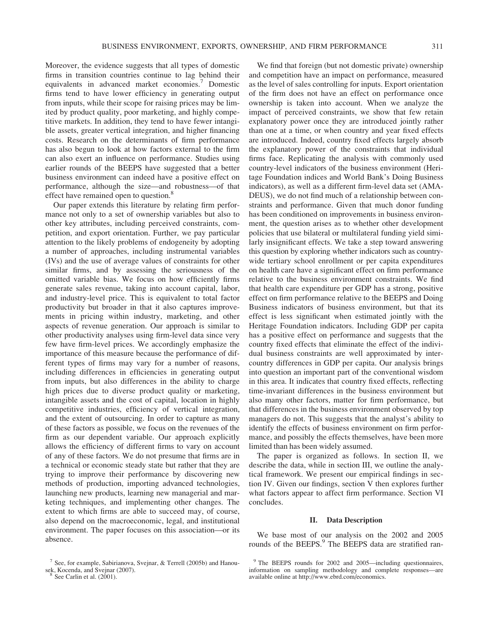Moreover, the evidence suggests that all types of domestic firms in transition countries continue to lag behind their equivalents in advanced market economies.<sup>7</sup> Domestic firms tend to have lower efficiency in generating output from inputs, while their scope for raising prices may be limited by product quality, poor marketing, and highly competitive markets. In addition, they tend to have fewer intangible assets, greater vertical integration, and higher financing costs. Research on the determinants of firm performance has also begun to look at how factors external to the firm can also exert an influence on performance. Studies using earlier rounds of the BEEPS have suggested that a better business environment can indeed have a positive effect on performance, although the size—and robustness—of that effect have remained open to question.<sup>8</sup>

Our paper extends this literature by relating firm performance not only to a set of ownership variables but also to other key attributes, including perceived constraints, competition, and export orientation. Further, we pay particular attention to the likely problems of endogeneity by adopting a number of approaches, including instrumental variables (IVs) and the use of average values of constraints for other similar firms, and by assessing the seriousness of the omitted variable bias. We focus on how efficiently firms generate sales revenue, taking into account capital, labor, and industry-level price. This is equivalent to total factor productivity but broader in that it also captures improvements in pricing within industry, marketing, and other aspects of revenue generation. Our approach is similar to other productivity analyses using firm-level data since very few have firm-level prices. We accordingly emphasize the importance of this measure because the performance of different types of firms may vary for a number of reasons, including differences in efficiencies in generating output from inputs, but also differences in the ability to charge high prices due to diverse product quality or marketing, intangible assets and the cost of capital, location in highly competitive industries, efficiency of vertical integration, and the extent of outsourcing. In order to capture as many of these factors as possible, we focus on the revenues of the firm as our dependent variable. Our approach explicitly allows the efficiency of different firms to vary on account of any of these factors. We do not presume that firms are in a technical or economic steady state but rather that they are trying to improve their performance by discovering new methods of production, importing advanced technologies, launching new products, learning new managerial and marketing techniques, and implementing other changes. The extent to which firms are able to succeed may, of course, also depend on the macroeconomic, legal, and institutional environment. The paper focuses on this association—or its absence.

We find that foreign (but not domestic private) ownership and competition have an impact on performance, measured as the level of sales controlling for inputs. Export orientation of the firm does not have an effect on performance once ownership is taken into account. When we analyze the impact of perceived constraints, we show that few retain explanatory power once they are introduced jointly rather than one at a time, or when country and year fixed effects are introduced. Indeed, country fixed effects largely absorb the explanatory power of the constraints that individual firms face. Replicating the analysis with commonly used country-level indicators of the business environment (Heritage Foundation indices and World Bank's Doing Business indicators), as well as a different firm-level data set (AMA-DEUS), we do not find much of a relationship between constraints and performance. Given that much donor funding has been conditioned on improvements in business environment, the question arises as to whether other development policies that use bilateral or multilateral funding yield similarly insignificant effects. We take a step toward answering this question by exploring whether indicators such as countrywide tertiary school enrollment or per capita expenditures on health care have a significant effect on firm performance relative to the business environment constraints. We find that health care expenditure per GDP has a strong, positive effect on firm performance relative to the BEEPS and Doing Business indicators of business environment, but that its effect is less significant when estimated jointly with the Heritage Foundation indicators. Including GDP per capita has a positive effect on performance and suggests that the country fixed effects that eliminate the effect of the individual business constraints are well approximated by intercountry differences in GDP per capita. Our analysis brings into question an important part of the conventional wisdom in this area. It indicates that country fixed effects, reflecting time-invariant differences in the business environment but also many other factors, matter for firm performance, but that differences in the business environment observed by top managers do not. This suggests that the analyst's ability to identify the effects of business environment on firm performance, and possibly the effects themselves, have been more limited than has been widely assumed.

The paper is organized as follows. In section II, we describe the data, while in section III, we outline the analytical framework. We present our empirical findings in section IV. Given our findings, section V then explores further what factors appear to affect firm performance. Section VI concludes.

#### II. Data Description

We base most of our analysis on the 2002 and 2005 rounds of the BEEPS.<sup>9</sup> The BEEPS data are stratified ran-

<sup>7</sup> See, for example, Sabirianova, Svejnar, & Terrell (2005b) and Hanou-

sek, Kocenda, and Svejnar (2007).<br><sup>8</sup> See Carlin et al. (2001).

<sup>&</sup>lt;sup>9</sup> The BEEPS rounds for 2002 and 2005—including questionnaires, information on sampling methodology and complete responses—are available online at http://www.ebrd.com/economics.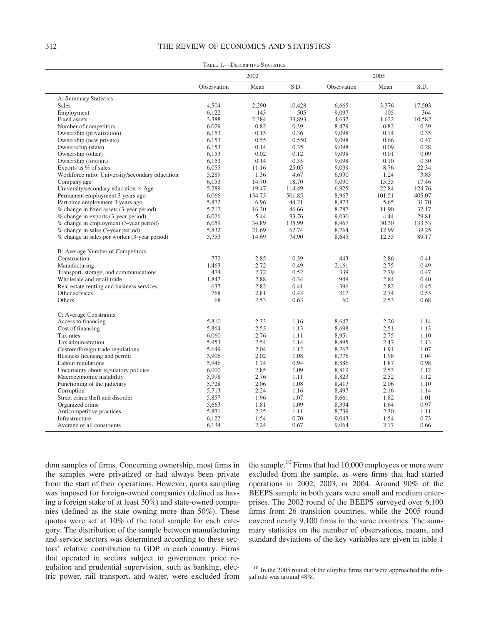### 312 THE REVIEW OF ECONOMICS AND STATISTICS

|                                                 |             | TABLE 1.-DESCRIPTIVE STATISTICS |        |             |        |        |  |
|-------------------------------------------------|-------------|---------------------------------|--------|-------------|--------|--------|--|
|                                                 |             | 2002                            |        |             | 2005   |        |  |
|                                                 | Observation | Mean                            | S.D.   | Observation | Mean   | S.D.   |  |
| A: Summary Statistics                           |             |                                 |        |             |        |        |  |
| Sales                                           | 4,504       | 2,290                           | 10,428 | 6.665       | 3,376  | 17.503 |  |
| Employment                                      | 6,122       | 143                             | 505    | 9,097       | 105    | 364    |  |
| Fixed assets                                    | 3,388       | 2,384                           | 33,893 | 4.637       | 1.622  | 10.582 |  |
| Number of competitors                           | 6,029       | 0.82                            | 0.39   | 8,479       | 0.82   | 0.39   |  |
| Ownership (privatization)                       | 6,153       | 0.15                            | 0.36   | 9,098       | 0.14   | 0.35   |  |
| Ownership (new private)                         | 6,153       | 0.55                            | 0.550  | 9.098       | 0.66   | 0.47   |  |
| Ownerschip (state)                              | 6,153       | 0.14                            | 0.35   | 9,098       | 0.09   | 0.28   |  |
| Ownership (other)                               | 6,153       | 0.02                            | 0.12   | 9,098       | 0.01   | 0.09   |  |
| Ownership (foreign)                             | 6,153       | 0.14                            | 0.35   | 9,098       | 0.10   | 0.30   |  |
| Exports as % of sales                           | 6,055       | 11.16                           | 25.05  | 9,039       | 8.76   | 22.34  |  |
| Workforce ratio: University/secondary education | 5,289       | 1.36                            | 4.67   | 6,930       | 1.24   | 3.83   |  |
| Company age                                     | 6,153       | 14.70                           | 18.70  | 9,090       | 15.55  | 17.46  |  |
| University/secondary education $\times$ Age     | 5,289       | 19.47                           | 114.49 | 6,925       | 22.84  | 124.76 |  |
| Permanent employment 3 years ago                | 6,066       | 134.73                          | 501.85 | 8,967       | 101.51 | 405.07 |  |
| Part-time employment 3 years ago                | 5,872       | 6.96                            | 44.21  | 8,873       | 5.65   | 31.70  |  |
| % change in fixed assets (3-year period)        | 5,717       | 16.30                           | 46.66  | 8,787       | 11.90  | 32.17  |  |
| % change in exports (3-year period)             | 6,026       | 5.44                            | 33.76  | 9,030       | 4.44   | 29.81  |  |
| % change in employment (3-year period)          | 6,059       | 34.89                           | 135.99 | 8.967       | 30.30  | 133.53 |  |
| % change in sales (3-year period)               | 5,832       | 21.69                           | 62.74  | 8,764       | 12.99  | 39.25  |  |
| % change in sales per worker (3-year period)    | 5,753       | 14.69                           | 74.90  | 8,645       | 12.35  | 89.17  |  |
| B: Average Number of Competitors                |             |                                 |        |             |        |        |  |
| Construction                                    | 772         | 2.85                            | 0.39   | 443         | 2.86   | 0.41   |  |
| Manufacturing                                   | 1.463       | 2.72                            | 0.49   | 2,161       | 2.75   | 0.49   |  |
| Transport, storage, and communications          | 474         | 2.72                            | 0.52   | 339         | 2.79   | 0.47   |  |
| Wholesale and retail trade                      | 1,847       | 2.88                            | 0.34   | 949         | 2.84   | 0.40   |  |
| Real estate renting and business services       | 637         | 2.82                            | 0.41   | 396         | 2.82   | 0.45   |  |
| Other services                                  | 768         | 2.81                            | 0.43   | 317         | 2.74   | 0.53   |  |
| Others                                          | 68          | 2.53                            | 0.63   | 60          | 2.53   | 0.68   |  |
| C: Average Constraints                          |             |                                 |        |             |        |        |  |
| Access to financing                             | 5,810       | 2.33                            | 1.16   | 8,647       | 2.26   | 1.14   |  |
| Cost of financing                               | 5,864       | 2.53                            | 1.13   | 8,698       | 2.51   | 1.13   |  |
| Tax rates                                       | 6,060       | 2.76                            | 1.11   | 8,951       | 2.75   | 1.10   |  |
| Tax administration                              | 5,953       | 2.54                            | 1.14   | 8,895       | 2.47   | 1.13   |  |
| Custom/foreign trade regulations                | 5,649       | 2.04                            | 1.12   | 8,267       | 1.91   | 1.07   |  |
| Business licensing and permit                   | 5,906       | 2.02                            | 1.08   | 8,776       | 1.98   | 1.04   |  |
| Labour regulations                              | 5,946       | 1.74                            | 0.94   | 8,886       | 1.87   | 0.98   |  |
| Uncertainty about regulatory policies           | 6,000       | 2.85                            | 1.09   | 8,819       | 2.53   | 1.12   |  |
| Macroeconomic instability                       | 5,998       | 2.76                            | 1.11   | 8,823       | 2.52   | 1.12   |  |
| Functioning of the judiciary                    | 5,728       | 2.06                            | 1.08   | 8,417       | 2.06   | 1.10   |  |
| Corruption                                      | 5,713       | 2.24                            | 1.16   | 8,497       | 2.16   | 1.14   |  |
| Street crime theft and disorder                 | 5,857       | 1.96                            | 1.07   | 8,661       | 1.82   | 1.01   |  |
| Organized crime                                 | 5,663       | 1.81                            | 1.09   | 8,394       | 1.64   | 0.97   |  |
| Anticompetitive practices                       | 5,871       | 2.25                            | 1.11   | 8,739       | 2.30   | 1.11   |  |
| Infrastructure                                  | 6,122       | 1.54                            | 0.70   | 9,043       | 1.54   | 0.73   |  |
| Average of all constraints                      | 6,134       | 2.24                            | 0.67   | 9,064       | 2.17   | 0.66   |  |

dom samples of firms. Concerning ownership, most firms in the samples were privatized or had always been private from the start of their operations. However, quota sampling was imposed for foreign-owned companies (defined as having a foreign stake of at least 50%) and state-owned companies (defined as the state owning more than 50%). These quotas were set at 10% of the total sample for each category. The distribution of the sample between manufacturing and service sectors was determined according to these sectors' relative contribution to GDP in each country. Firms that operated in sectors subject to government price regulation and prudential supervision, such as banking, electric power, rail transport, and water, were excluded from

the sample.<sup>10</sup> Firms that had 10,000 employees or more were excluded from the sample, as were firms that had started operations in 2002, 2003, or 2004. Around 90% of the BEEPS sample in both years were small and medium enterprises. The 2002 round of the BEEPS surveyed over 6,100 firms from 26 transition countries, while the 2005 round covered nearly 9,100 firms in the same countries. The summary statistics on the number of observations, means, and standard deviations of the key variables are given in table 1

 $=$ 

 $\overline{\phantom{0}}$ 

 $10$  In the 2005 round, of the eligible firms that were approached the refusal rate was around 48%.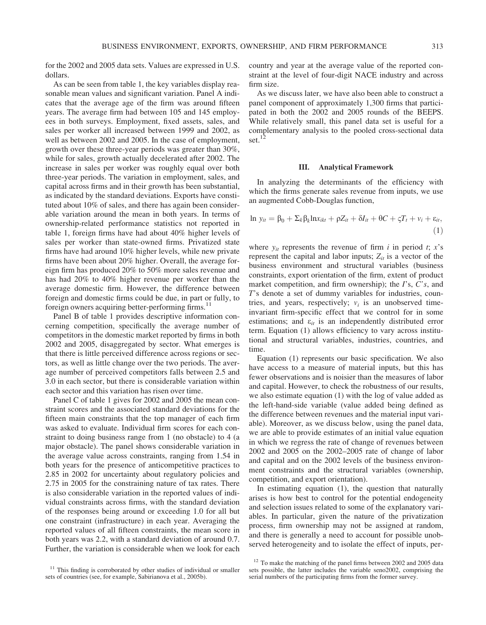for the 2002 and 2005 data sets. Values are expressed in U.S. dollars.

As can be seen from table 1, the key variables display reasonable mean values and significant variation. Panel A indicates that the average age of the firm was around fifteen years. The average firm had between 105 and 145 employees in both surveys. Employment, fixed assets, sales, and sales per worker all increased between 1999 and 2002, as well as between 2002 and 2005. In the case of employment, growth over these three-year periods was greater than 30%, while for sales, growth actually decelerated after 2002. The increase in sales per worker was roughly equal over both three-year periods. The variation in employment, sales, and capital across firms and in their growth has been substantial, as indicated by the standard deviations. Exports have constituted about 10% of sales, and there has again been considerable variation around the mean in both years. In terms of ownership-related performance statistics not reported in table 1, foreign firms have had about 40% higher levels of sales per worker than state-owned firms. Privatized state firms have had around 10% higher levels, while new private firms have been about 20% higher. Overall, the average foreign firm has produced 20% to 50% more sales revenue and has had 20% to 40% higher revenue per worker than the average domestic firm. However, the difference between foreign and domestic firms could be due, in part or fully, to foreign owners acquiring better-performing firms.<sup>11</sup>

Panel B of table 1 provides descriptive information concerning competition, specifically the average number of competitors in the domestic market reported by firms in both 2002 and 2005, disaggregated by sector. What emerges is that there is little perceived difference across regions or sectors, as well as little change over the two periods. The average number of perceived competitors falls between 2.5 and 3.0 in each sector, but there is considerable variation within each sector and this variation has risen over time.

Panel C of table 1 gives for 2002 and 2005 the mean constraint scores and the associated standard deviations for the fifteen main constraints that the top manager of each firm was asked to evaluate. Individual firm scores for each constraint to doing business range from 1 (no obstacle) to 4 (a major obstacle). The panel shows considerable variation in the average value across constraints, ranging from 1.54 in both years for the presence of anticompetitive practices to 2.85 in 2002 for uncertainty about regulatory policies and 2.75 in 2005 for the constraining nature of tax rates. There is also considerable variation in the reported values of individual constraints across firms, with the standard deviation of the responses being around or exceeding 1.0 for all but one constraint (infrastructure) in each year. Averaging the reported values of all fifteen constraints, the mean score in both years was 2.2, with a standard deviation of around 0.7. Further, the variation is considerable when we look for each

 $11$  This finding is corroborated by other studies of individual or smaller sets of countries (see, for example, Sabirianova et al., 2005b).

country and year at the average value of the reported constraint at the level of four-digit NACE industry and across firm size.

As we discuss later, we have also been able to construct a panel component of approximately 1,300 firms that participated in both the 2002 and 2005 rounds of the BEEPS. While relatively small, this panel data set is useful for a complementary analysis to the pooled cross-sectional data set. $^{12}$ 

#### III. Analytical Framework

In analyzing the determinants of the efficiency with which the firms generate sales revenue from inputs, we use an augmented Cobb-Douglas function,

$$
\ln y_{it} = \beta_0 + \sum_k \beta_k \ln x_{ikt} + \rho Z_{it} + \delta I_{it} + \theta C + \varsigma T_t + v_i + \varepsilon_{it},
$$
\n(1)

where  $y_{it}$  represents the revenue of firm i in period t; x's represent the capital and labor inputs;  $Z_{it}$  is a vector of the business environment and structural variables (business constraints, export orientation of the firm, extent of product market competition, and firm ownership); the  $\Gamma$ s,  $C$ 's, and T's denote a set of dummy variables for industries, countries, and years, respectively;  $v_i$  is an unobserved timeinvariant firm-specific effect that we control for in some estimations; and  $\varepsilon_{it}$  is an independently distributed error term. Equation (1) allows efficiency to vary across institutional and structural variables, industries, countries, and time.

Equation (1) represents our basic specification. We also have access to a measure of material inputs, but this has fewer observations and is noisier than the measures of labor and capital. However, to check the robustness of our results, we also estimate equation (1) with the log of value added as the left-hand-side variable (value added being defined as the difference between revenues and the material input variable). Moreover, as we discuss below, using the panel data, we are able to provide estimates of an initial value equation in which we regress the rate of change of revenues between 2002 and 2005 on the 2002–2005 rate of change of labor and capital and on the 2002 levels of the business environment constraints and the structural variables (ownership, competition, and export orientation).

In estimating equation (1), the question that naturally arises is how best to control for the potential endogeneity and selection issues related to some of the explanatory variables. In particular, given the nature of the privatization process, firm ownership may not be assigned at random, and there is generally a need to account for possible unobserved heterogeneity and to isolate the effect of inputs, per-

 $12$  To make the matching of the panel firms between 2002 and 2005 data sets possible, the latter includes the variable seno2002, comprising the serial numbers of the participating firms from the former survey.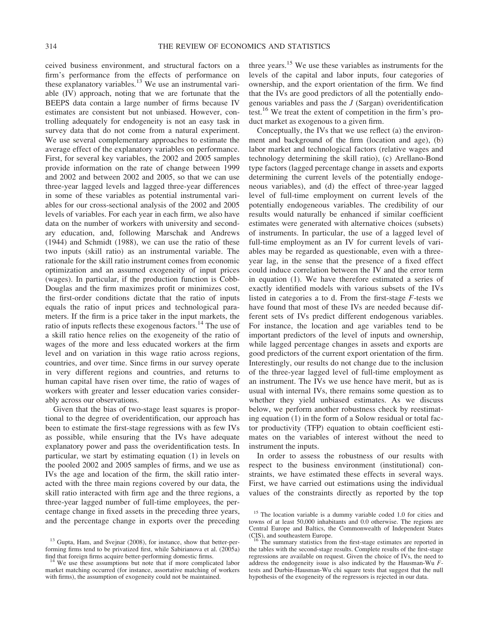ceived business environment, and structural factors on a firm's performance from the effects of performance on these explanatory variables.<sup>13</sup> We use an instrumental variable (IV) approach, noting that we are fortunate that the BEEPS data contain a large number of firms because IV estimates are consistent but not unbiased. However, controlling adequately for endogeneity is not an easy task in survey data that do not come from a natural experiment. We use several complementary approaches to estimate the average effect of the explanatory variables on performance. First, for several key variables, the 2002 and 2005 samples provide information on the rate of change between 1999 and 2002 and between 2002 and 2005, so that we can use three-year lagged levels and lagged three-year differences in some of these variables as potential instrumental variables for our cross-sectional analysis of the 2002 and 2005 levels of variables. For each year in each firm, we also have data on the number of workers with university and secondary education, and, following Marschak and Andrews (1944) and Schmidt (1988), we can use the ratio of these two inputs (skill ratio) as an instrumental variable. The rationale for the skill ratio instrument comes from economic optimization and an assumed exogeneity of input prices (wages). In particular, if the production function is Cobb-Douglas and the firm maximizes profit or minimizes cost, the first-order conditions dictate that the ratio of inputs equals the ratio of input prices and technological parameters. If the firm is a price taker in the input markets, the ratio of inputs reflects these exogenous factors.<sup>14</sup> The use of a skill ratio hence relies on the exogeneity of the ratio of wages of the more and less educated workers at the firm level and on variation in this wage ratio across regions, countries, and over time. Since firms in our survey operate in very different regions and countries, and returns to human capital have risen over time, the ratio of wages of workers with greater and lesser education varies considerably across our observations.

Given that the bias of two-stage least squares is proportional to the degree of overidentification, our approach has been to estimate the first-stage regressions with as few IVs as possible, while ensuring that the IVs have adequate explanatory power and pass the overidentification tests. In particular, we start by estimating equation (1) in levels on the pooled 2002 and 2005 samples of firms, and we use as IVs the age and location of the firm, the skill ratio interacted with the three main regions covered by our data, the skill ratio interacted with firm age and the three regions, a three-year lagged number of full-time employees, the percentage change in fixed assets in the preceding three years, and the percentage change in exports over the preceding

three years.<sup>15</sup> We use these variables as instruments for the levels of the capital and labor inputs, four categories of ownership, and the export orientation of the firm. We find that the IVs are good predictors of all the potentially endogenous variables and pass the  $J$  (Sargan) overidentification test.<sup>16</sup> We treat the extent of competition in the firm's product market as exogenous to a given firm.

Conceptually, the IVs that we use reflect (a) the environment and background of the firm (location and age), (b) labor market and technological factors (relative wages and technology determining the skill ratio), (c) Arellano-Bond type factors (lagged percentage change in assets and exports determining the current levels of the potentially endogeneous variables), and (d) the effect of three-year lagged level of full-time employment on current levels of the potentially endogeneous variables. The credibility of our results would naturally be enhanced if similar coefficient estimates were generated with alternative choices (subsets) of instruments. In particular, the use of a lagged level of full-time employment as an IV for current levels of variables may be regarded as questionable, even with a threeyear lag, in the sense that the presence of a fixed effect could induce correlation between the IV and the error term in equation (1). We have therefore estimated a series of exactly identified models with various subsets of the IVs listed in categories a to d. From the first-stage F-tests we have found that most of these IVs are needed because different sets of IVs predict different endogenous variables. For instance, the location and age variables tend to be important predictors of the level of inputs and ownership, while lagged percentage changes in assets and exports are good predictors of the current export orientation of the firm. Interestingly, our results do not change due to the inclusion of the three-year lagged level of full-time employment as an instrument. The IVs we use hence have merit, but as is usual with internal IVs, there remains some question as to whether they yield unbiased estimates. As we discuss below, we perform another robustness check by reestimating equation (1) in the form of a Solow residual or total factor productivity (TFP) equation to obtain coefficient estimates on the variables of interest without the need to instrument the inputs.

In order to assess the robustness of our results with respect to the business environment (institutional) constraints, we have estimated these effects in several ways. First, we have carried out estimations using the individual values of the constraints directly as reported by the top

<sup>&</sup>lt;sup>13</sup> Gupta, Ham, and Svejnar (2008), for instance, show that better-performing firms tend to be privatized first, while Sabirianova et al. (2005a) find that foreign firms acquire better-performing domestic firms.

We use these assumptions but note that if more complicated labor market matching occurred (for instance, assortative matching of workers with firms), the assumption of exogeneity could not be maintained.

<sup>&</sup>lt;sup>15</sup> The location variable is a dummy variable coded 1.0 for cities and towns of at least 50,000 inhabitants and 0.0 otherwise. The regions are Central Europe and Baltics, the Commonwealth of Independent States

The summary statistics from the first-stage estimates are reported in the tables with the second-stage results. Complete results of the first-stage regressions are available on request. Given the choice of IVs, the need to address the endogeneity issue is also indicated by the Hausman-Wu Ftests and Durbin-Hausman-Wu chi square tests that suggest that the null hypothesis of the exogeneity of the regressors is rejected in our data.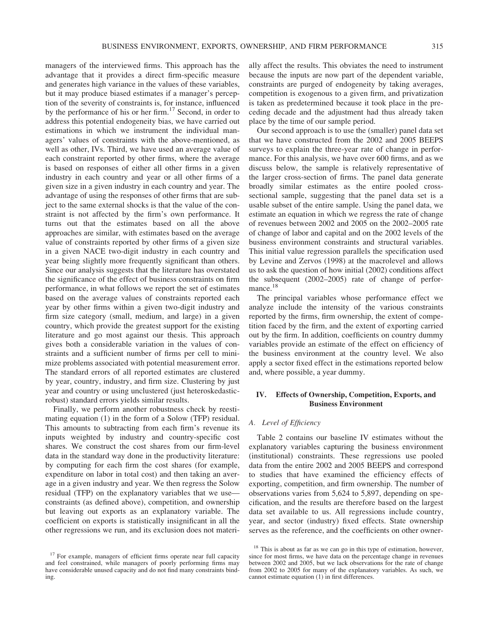managers of the interviewed firms. This approach has the advantage that it provides a direct firm-specific measure and generates high variance in the values of these variables, but it may produce biased estimates if a manager's perception of the severity of constraints is, for instance, influenced by the performance of his or her firm.<sup>17</sup> Second, in order to address this potential endogeneity bias, we have carried out estimations in which we instrument the individual managers' values of constraints with the above-mentioned, as well as other, IVs. Third, we have used an average value of each constraint reported by other firms, where the average is based on responses of either all other firms in a given industry in each country and year or all other firms of a given size in a given industry in each country and year. The advantage of using the responses of other firms that are subject to the same external shocks is that the value of the constraint is not affected by the firm's own performance. It turns out that the estimates based on all the above approaches are similar, with estimates based on the average value of constraints reported by other firms of a given size in a given NACE two-digit industry in each country and year being slightly more frequently significant than others. Since our analysis suggests that the literature has overstated the significance of the effect of business constraints on firm performance, in what follows we report the set of estimates based on the average values of constraints reported each year by other firms within a given two-digit industry and firm size category (small, medium, and large) in a given country, which provide the greatest support for the existing literature and go most against our thesis. This approach gives both a considerable variation in the values of constraints and a sufficient number of firms per cell to minimize problems associated with potential measurement error. The standard errors of all reported estimates are clustered by year, country, industry, and firm size. Clustering by just year and country or using unclustered (just heteroskedasticrobust) standard errors yields similar results.

Finally, we perform another robustness check by reestimating equation (1) in the form of a Solow (TFP) residual. This amounts to subtracting from each firm's revenue its inputs weighted by industry and country-specific cost shares. We construct the cost shares from our firm-level data in the standard way done in the productivity literature: by computing for each firm the cost shares (for example, expenditure on labor in total cost) and then taking an average in a given industry and year. We then regress the Solow residual (TFP) on the explanatory variables that we use constraints (as defined above), competition, and ownership but leaving out exports as an explanatory variable. The coefficient on exports is statistically insignificant in all the other regressions we run, and its exclusion does not materi-

<sup>17</sup> For example, managers of efficient firms operate near full capacity and feel constrained, while managers of poorly performing firms may have considerable unused capacity and do not find many constraints binding.

ally affect the results. This obviates the need to instrument because the inputs are now part of the dependent variable, constraints are purged of endogeneity by taking averages, competition is exogenous to a given firm, and privatization is taken as predetermined because it took place in the preceding decade and the adjustment had thus already taken place by the time of our sample period.

Our second approach is to use the (smaller) panel data set that we have constructed from the 2002 and 2005 BEEPS surveys to explain the three-year rate of change in performance. For this analysis, we have over 600 firms, and as we discuss below, the sample is relatively representative of the larger cross-section of firms. The panel data generate broadly similar estimates as the entire pooled crosssectional sample, suggesting that the panel data set is a usable subset of the entire sample. Using the panel data, we estimate an equation in which we regress the rate of change of revenues between 2002 and 2005 on the 2002–2005 rate of change of labor and capital and on the 2002 levels of the business environment constraints and structural variables. This initial value regression parallels the specification used by Levine and Zervos (1998) at the macrolevel and allows us to ask the question of how initial (2002) conditions affect the subsequent (2002–2005) rate of change of performance.<sup>18</sup>

The principal variables whose performance effect we analyze include the intensity of the various constraints reported by the firms, firm ownership, the extent of competition faced by the firm, and the extent of exporting carried out by the firm. In addition, coefficients on country dummy variables provide an estimate of the effect on efficiency of the business environment at the country level. We also apply a sector fixed effect in the estimations reported below and, where possible, a year dummy.

### IV. Effects of Ownership, Competition, Exports, and Business Environment

### A. Level of Efficiency

Table 2 contains our baseline IV estimates without the explanatory variables capturing the business environment (institutional) constraints. These regressions use pooled data from the entire 2002 and 2005 BEEPS and correspond to studies that have examined the efficiency effects of exporting, competition, and firm ownership. The number of observations varies from 5,624 to 5,897, depending on specification, and the results are therefore based on the largest data set available to us. All regressions include country, year, and sector (industry) fixed effects. State ownership serves as the reference, and the coefficients on other owner-

<sup>&</sup>lt;sup>18</sup> This is about as far as we can go in this type of estimation, however, since for most firms, we have data on the percentage change in revenues between 2002 and 2005, but we lack observations for the rate of change from 2002 to 2005 for many of the explanatory variables. As such, we cannot estimate equation (1) in first differences.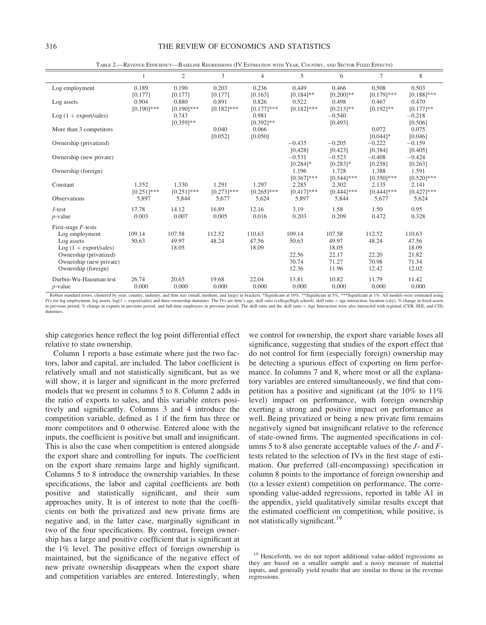|                                                                                                                                        |                        | $\mathbf{2}$             | 3                      | $\overline{4}$           | 5                                 | 6                                          | $\tau$                            | 8                                          |
|----------------------------------------------------------------------------------------------------------------------------------------|------------------------|--------------------------|------------------------|--------------------------|-----------------------------------|--------------------------------------------|-----------------------------------|--------------------------------------------|
| Log employment                                                                                                                         | 0.189<br>[0.177]       | 0.190<br>[0.177]         | 0.203<br>[0.177]       | 0.236<br>[0.163]         | 0.449<br>$[0.184]$ **             | 0.466<br>$[0.200]$ **                      | 0.508<br>$[0.179]$ ***            | 0.503<br>$[0.188]$ ***                     |
| Log assets                                                                                                                             | 0.904<br>$[0.190]$ *** | 0.880<br>$[0.190]$ ***   | 0.891<br>$[0.182]$ *** | 0.826<br>$[0.177]$ ***   | 0.522<br>$[0.182]$ ***            | 0.498<br>$[0.213]$ **                      | 0.467<br>$[0.192]$ **             | 0.470<br>$[0.177]$ **                      |
| $Log(1 + export/sales)$                                                                                                                |                        | 0.743<br>$[0.359]$ **    |                        | 0.981<br>$[0.392]$ **    |                                   | $-0.540$<br>[0.493]                        |                                   | $-0.218$<br>[0.506]                        |
| More than 3 competitors                                                                                                                |                        |                          | 0.040<br>[0.052]       | 0.066<br>[0.050]         |                                   |                                            | 0.072<br>$[0.044]$ *              | 0.075<br>[0.046]                           |
| Ownership (privatized)                                                                                                                 |                        |                          |                        |                          | $-0.435$<br>[0.428]               | $-0.205$<br>[0.423]                        | $-0.222$<br>[0.384]               | $-0.159$<br>[0.405]                        |
| Ownership (new private)                                                                                                                |                        |                          |                        |                          | $-0.531$<br>$[0.284]$ *           | $-0.523$<br>$[0.283]$ *                    | $-0.408$<br>[0.258]               | $-0.424$<br>[0.263]                        |
| Ownership (foreign)                                                                                                                    |                        |                          |                        |                          | 1.196<br>$[0.367]$ ***            | 1.728<br>$[0.544]$ ***                     | 1.388<br>$[0.350]$ ***            | 1.591<br>$[0.520]$ ***                     |
| Constant                                                                                                                               | 1.352<br>$[0.251]$ *** | 1.330<br>$[0.251]$ ***   | 1.291<br>$[0.273]$ *** | 1.297<br>$[0.265]$ ***   | 2.285<br>$[0.417]$ ***            | 2.302<br>$[0.444]$ ***                     | 2.135<br>$[0.444]$ ***            | 2.141<br>$[0.427]$ ***                     |
| <b>Observations</b>                                                                                                                    | 5,897                  | 5,844                    | 5,677                  | 5,624                    | 5,897                             | 5,844                                      | 5,677                             | 5,624                                      |
| $J$ -test<br>$p$ -value                                                                                                                | 17.78<br>0.003         | 14.12<br>0.007           | 16.89<br>0.005         | 12.16<br>0.016           | 3.19<br>0.203                     | 1.58<br>0.209                              | 1.50<br>0.472                     | 0.95<br>0.328                              |
| First-stage $F$ -tests<br>Log employment<br>Log assets<br>$Log(1 + export/sales)$<br>Ownership (privatized)<br>Ownership (new private) | 109.14<br>50.63        | 107.58<br>49.97<br>18.05 | 112.52<br>48.24        | 110.63<br>47.56<br>18.09 | 109.14<br>50.63<br>22.56<br>70.74 | 107.58<br>49.97<br>18.05<br>22.17<br>71.27 | 112.52<br>48.24<br>22.20<br>70.98 | 110.63<br>47.56<br>18.09<br>21.82<br>71.34 |
| Ownership (foreign)                                                                                                                    |                        |                          |                        |                          | 12.36                             | 11.96                                      | 12.42                             | 12.02                                      |
| Durbin-Wu-Hausman test<br>$p$ -value                                                                                                   | 26.74<br>0.000         | 20.65<br>0.000           | 19.68<br>0.000         | 22.04<br>0.000           | 13.81<br>0.000                    | 10.82<br>0.000                             | 11.79<br>0.000                    | 11.42<br>0.000                             |

TABLE 2.—REVENUE EFFICIENCY—BASELINE REGRESSIONS (IV ESTIMATION WITH YEAR, COUNTRY, AND SECTOR FIXED EFFECTS)

Robust standard errors, clustered by year, country, industry, and firm size (small, medium, and large) in brackets. \*Significant at 10%, \*\*Significant at 5%, \*\*\*Significant at 1%. All models were estimated using IVs for log employment, log assets, log(1 + export/sales) and three ownership dummies. The IVs are firm's age, skill ratio (college/high school), skill ratio × age interaction, location (city), % change in fixed assets<br>in dummies.

ship categories hence reflect the log point differential effect relative to state ownership.

Column 1 reports a base estimate where just the two factors, labor and capital, are included. The labor coefficient is relatively small and not statistically significant, but as we will show, it is larger and significant in the more preferred models that we present in columns 5 to 8. Column 2 adds in the ratio of exports to sales, and this variable enters positively and significantly. Columns 3 and 4 introduce the competition variable, defined as 1 if the firm has three or more competitors and 0 otherwise. Entered alone with the inputs, the coefficient is positive but small and insignificant. This is also the case when competition is entered alongside the export share and controlling for inputs. The coefficient on the export share remains large and highly significant. Columns 5 to 8 introduce the ownership variables. In these specifications, the labor and capital coefficients are both positive and statistically significant, and their sum approaches unity. It is of interest to note that the coefficients on both the privatized and new private firms are negative and, in the latter case, marginally significant in two of the four specifications. By contrast, foreign ownership has a large and positive coefficient that is significant at the 1% level. The positive effect of foreign ownership is maintained, but the significance of the negative effect of new private ownership disappears when the export share and competition variables are entered. Interestingly, when we control for ownership, the export share variable loses all significance, suggesting that studies of the export effect that do not control for firm (especially foreign) ownership may be detecting a spurious effect of exporting on firm performance. In columns 7 and 8, where most or all the explanatory variables are entered simultaneously, we find that competition has a positive and significant (at the 10% to 11% level) impact on performance, with foreign ownership exerting a strong and positive impact on performance as well. Being privatized or being a new private firm remains negatively signed but insignificant relative to the reference of state-owned firms. The augmented specifications in columns 5 to 8 also generate acceptable values of the J- and Ftests related to the selection of IVs in the first stage of estimation. Our preferred (all-encompassing) specification in column 8 points to the importance of foreign ownership and (to a lesser extent) competition on performance. The corresponding value-added regressions, reported in table A1 in the appendix, yield qualitatively similar results except that the estimated coefficient on competition, while positive, is not statistically significant.<sup>19</sup>

<sup>&</sup>lt;sup>19</sup> Henceforth, we do not report additional value-added regressions as they are based on a smaller sample and a noisy measure of material inputs, and generally yield results that are similar to those in the revenue regressions.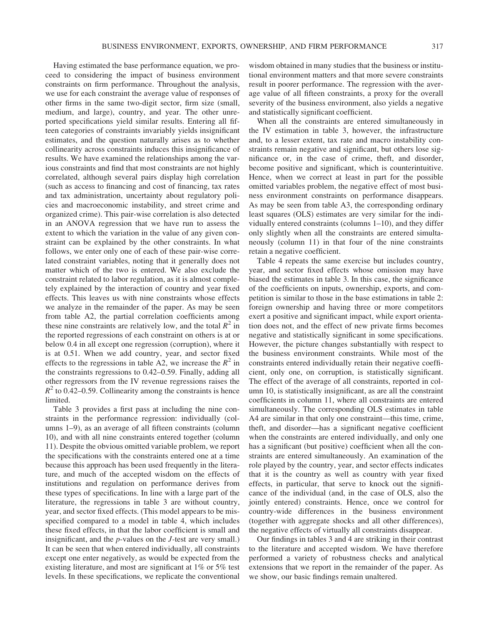Having estimated the base performance equation, we proceed to considering the impact of business environment constraints on firm performance. Throughout the analysis, we use for each constraint the average value of responses of other firms in the same two-digit sector, firm size (small, medium, and large), country, and year. The other unreported specifications yield similar results. Entering all fifteen categories of constraints invariably yields insignificant estimates, and the question naturally arises as to whether collinearity across constraints induces this insignificance of results. We have examined the relationships among the various constraints and find that most constraints are not highly correlated, although several pairs display high correlation (such as access to financing and cost of financing, tax rates and tax administration, uncertainty about regulatory policies and macroeconomic instability, and street crime and organized crime). This pair-wise correlation is also detected in an ANOVA regression that we have run to assess the extent to which the variation in the value of any given constraint can be explained by the other constraints. In what follows, we enter only one of each of these pair-wise correlated constraint variables, noting that it generally does not matter which of the two is entered. We also exclude the constraint related to labor regulation, as it is almost completely explained by the interaction of country and year fixed effects. This leaves us with nine constraints whose effects we analyze in the remainder of the paper. As may be seen from table A2, the partial correlation coefficients among these nine constraints are relatively low, and the total  $R^2$  in the reported regressions of each constraint on others is at or below 0.4 in all except one regression (corruption), where it is at 0.51. When we add country, year, and sector fixed effects to the regressions in table A2, we increase the  $R^2$  in the constraints regressions to 0.42–0.59. Finally, adding all other regressors from the IV revenue regressions raises the  $R^2$  to 0.42–0.59. Collinearity among the constraints is hence limited.

Table 3 provides a first pass at including the nine constraints in the performance regression: individually (columns 1–9), as an average of all fifteen constraints (column 10), and with all nine constraints entered together (column 11). Despite the obvious omitted variable problem, we report the specifications with the constraints entered one at a time because this approach has been used frequently in the literature, and much of the accepted wisdom on the effects of institutions and regulation on performance derives from these types of specifications. In line with a large part of the literature, the regressions in table 3 are without country, year, and sector fixed effects. (This model appears to be misspecified compared to a model in table 4, which includes these fixed effects, in that the labor coefficient is small and insignificant, and the p-values on the J-test are very small.) It can be seen that when entered individually, all constraints except one enter negatively, as would be expected from the existing literature, and most are significant at 1% or 5% test levels. In these specifications, we replicate the conventional

wisdom obtained in many studies that the business or institutional environment matters and that more severe constraints result in poorer performance. The regression with the average value of all fifteen constraints, a proxy for the overall severity of the business environment, also yields a negative and statistically significant coefficient.

When all the constraints are entered simultaneously in the IV estimation in table 3, however, the infrastructure and, to a lesser extent, tax rate and macro instability constraints remain negative and significant, but others lose significance or, in the case of crime, theft, and disorder, become positive and significant, which is counterintuitive. Hence, when we correct at least in part for the possible omitted variables problem, the negative effect of most business environment constraints on performance disappears. As may be seen from table A3, the corresponding ordinary least squares (OLS) estimates are very similar for the individually entered constraints (columns 1–10), and they differ only slightly when all the constraints are entered simultaneously (column 11) in that four of the nine constraints retain a negative coefficient.

Table 4 repeats the same exercise but includes country, year, and sector fixed effects whose omission may have biased the estimates in table 3. In this case, the significance of the coefficients on inputs, ownership, exports, and competition is similar to those in the base estimations in table 2: foreign ownership and having three or more competitors exert a positive and significant impact, while export orientation does not, and the effect of new private firms becomes negative and statistically significant in some specifications. However, the picture changes substantially with respect to the business environment constraints. While most of the constraints entered individually retain their negative coefficient, only one, on corruption, is statistically significant. The effect of the average of all constraints, reported in column 10, is statistically insignificant, as are all the constraint coefficients in column 11, where all constraints are entered simultaneously. The corresponding OLS estimates in table A4 are similar in that only one constraint—this time, crime, theft, and disorder—has a significant negative coefficient when the constraints are entered individually, and only one has a significant (but positive) coefficient when all the constraints are entered simultaneously. An examination of the role played by the country, year, and sector effects indicates that it is the country as well as country with year fixed effects, in particular, that serve to knock out the significance of the individual (and, in the case of OLS, also the jointly entered) constraints. Hence, once we control for country-wide differences in the business environment (together with aggregate shocks and all other differences), the negative effects of virtually all constraints disappear.

Our findings in tables 3 and 4 are striking in their contrast to the literature and accepted wisdom. We have therefore performed a variety of robustness checks and analytical extensions that we report in the remainder of the paper. As we show, our basic findings remain unaltered.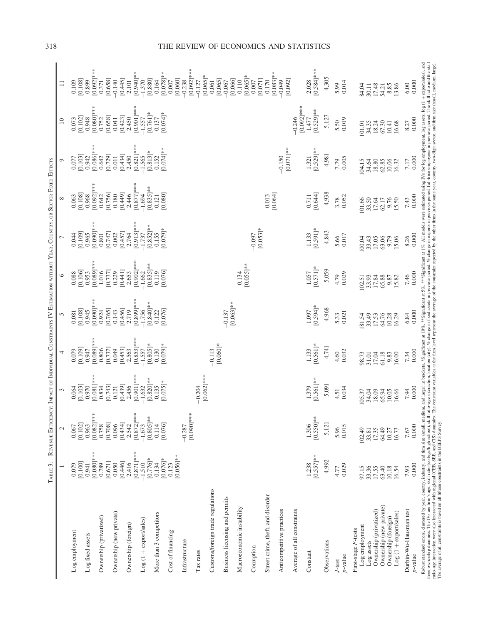|                                                                                                                                                                                                                                                                                                                                                                                                                                                                                                                                                             |                             |                           | TABLE 3.—REVENUE EFFICIENCY: IMPACT OF INDIVIDUAL CONSTRAINTS IV ESTIMATION WITHOUT YEAR, COUNTRY, OR SECTOR FIXED EFFECTS |                         |                             |                          |                          |                           |                          |                             |                           |
|-------------------------------------------------------------------------------------------------------------------------------------------------------------------------------------------------------------------------------------------------------------------------------------------------------------------------------------------------------------------------------------------------------------------------------------------------------------------------------------------------------------------------------------------------------------|-----------------------------|---------------------------|----------------------------------------------------------------------------------------------------------------------------|-------------------------|-----------------------------|--------------------------|--------------------------|---------------------------|--------------------------|-----------------------------|---------------------------|
|                                                                                                                                                                                                                                                                                                                                                                                                                                                                                                                                                             |                             | $\mathcal{L}$             | 3                                                                                                                          | 4                       |                             | $\circ$                  |                          |                           | Q                        | $\overline{10}$             | $\equiv$                  |
| Log employment                                                                                                                                                                                                                                                                                                                                                                                                                                                                                                                                              | [0.100]<br>0.079            | [0.102]<br>0.067          | [0.103]<br>0.064                                                                                                           | [0.109]<br>0.079        | [0.108]<br>0.081            | [0.106]<br>0.088         | [0.109]<br>0.044         | [0.108]<br>0.063          | [0.103]<br>0.077         | [0.102]<br>0.073            | [0.108]<br>0.109          |
| Log fixed assets                                                                                                                                                                                                                                                                                                                                                                                                                                                                                                                                            | $[0.080]$ ***<br>0.941      | $[0.082]$ ***<br>0.963    | $[0.081]$ ***<br>0.970                                                                                                     | $[0.089]$ ***<br>0.947  | $[0.090]$ ***<br>0.945      | $[0.089]$ ***<br>0.953   | $0.965$<br>[0.090]***    | $0.092$ ]***<br>0.968     | $[0.086]$ ***<br>0.942   | $[0.080]$ ***<br>0.948      | $0.899$<br>$[0.092]***$   |
| Ownership (privatized)                                                                                                                                                                                                                                                                                                                                                                                                                                                                                                                                      | 0.789                       | [0.708]<br>0.758          | [0.743]<br>0.834                                                                                                           | [0.737]<br>0.806        | 0.924                       | [0.737]<br>1.016         | [0.747]<br>0.801         | 0.642                     | [0.729]<br>0.642         | 0.752                       | [0.658]<br>0.371          |
| Ownership (new private)                                                                                                                                                                                                                                                                                                                                                                                                                                                                                                                                     | [0.671]<br>[0.446]<br>0.050 | [0.434]<br>0.096          | [0.439]<br>0.121                                                                                                           | [0.453]<br>0.049        | [0.456]<br>[0.765]<br>0.143 | [0.441]<br>0.229         | [0.457]<br>0.002         | 0.756<br>[0.449]<br>0.180 | [0.434]<br>0.011         | [0.658]<br>[0.423]<br>0.041 | [0.445]<br>$-0.140$       |
| Ownership (foreign)                                                                                                                                                                                                                                                                                                                                                                                                                                                                                                                                         | $[0.871]$ ***<br>2.416      | $[0.872]$ ***<br>2.542    | $[0.901]$ ***<br>2.456                                                                                                     | $[0.853]$ ***<br>2.563  | $[0.899]$ ***<br>2.719      | $[0.902]$ ***<br>2.653   | $[0.913]$ ***<br>2.764   | $[0.877]$ ***<br>2.446    | $[0.821]$ ***<br>2.450   | $[0.901]$ **<br>2.450       | $[0.940]$ **<br>2.101     |
| $Log(1 + expont/sales)$                                                                                                                                                                                                                                                                                                                                                                                                                                                                                                                                     | $[0.776]$ *<br>$-1.510$     | $[0.805]$ **<br>$-1.673$  | $[0.820]$ **<br>$-1.632$                                                                                                   | $[0.805]$ *<br>$-1.557$ | $[0.840]$ **<br>$-1.756$    | $[0.835]$ **<br>$-1.662$ | $[0.852]$ **<br>$-1.737$ | $[0.835]$ **<br>$-1.694$  | $[0.813]$ *<br>$-1.565$  | $[0.761]$ *<br>$-1.557$     | [0.880]<br>$-1.370$       |
| More than 3 competitors                                                                                                                                                                                                                                                                                                                                                                                                                                                                                                                                     | $[0.076]$ *<br>0.134        | [0.076]<br>0.114          | $[0.075]$ *<br>0.135                                                                                                       | $[0.079]$ *<br>0.130    | [0.076]<br>0.122            | [0.076]<br>0.119         | (670.079)<br>0.155       | [0.080]<br>0.121          | $[0.074]$ **<br>0.152    | $[0.074]$ *<br>0.137        | $[0.078]$ **<br>0.164     |
| Cost of financing                                                                                                                                                                                                                                                                                                                                                                                                                                                                                                                                           | $[0.056]$ **<br>$-0.123$    |                           |                                                                                                                            |                         |                             |                          |                          |                           |                          |                             | [0.060]<br>$-0.007$       |
| Infrastructure                                                                                                                                                                                                                                                                                                                                                                                                                                                                                                                                              |                             | $[0.090]$ ***<br>$-0.287$ |                                                                                                                            |                         |                             |                          |                          |                           |                          |                             | $[0.092]$ ***<br>$-0.238$ |
| Tax rates                                                                                                                                                                                                                                                                                                                                                                                                                                                                                                                                                   |                             |                           | $[0.062]$ ***<br>$-0.204$                                                                                                  |                         |                             |                          |                          |                           |                          |                             | $[0.065]$ *<br>$-0.127$   |
| Customs/foreign trade regulations                                                                                                                                                                                                                                                                                                                                                                                                                                                                                                                           |                             |                           |                                                                                                                            | $[0.060]$ *<br>$-0.113$ |                             |                          |                          |                           |                          |                             | [0.065]<br>0.061          |
| Business licensing and permits                                                                                                                                                                                                                                                                                                                                                                                                                                                                                                                              |                             |                           |                                                                                                                            |                         | $[0.063]$ **<br>$-0.137$    |                          |                          |                           |                          |                             | [0.066]<br>$-0.067$       |
| Macroeconomic instability                                                                                                                                                                                                                                                                                                                                                                                                                                                                                                                                   |                             |                           |                                                                                                                            |                         |                             | $[0.055]$ **<br>$-0.134$ |                          |                           |                          |                             | $[0.065]$ *<br>$-0.110$   |
| Corruption                                                                                                                                                                                                                                                                                                                                                                                                                                                                                                                                                  |                             |                           |                                                                                                                            |                         |                             |                          | $[0.053]$ *<br>$-0.097$  |                           |                          |                             | [0.071]<br>0.007          |
| Street crime, theft, and disorder                                                                                                                                                                                                                                                                                                                                                                                                                                                                                                                           |                             |                           |                                                                                                                            |                         |                             |                          |                          | [0.064]<br>0.013          |                          |                             | $[0.083]$ **<br>0.170     |
| Anticompetitive practices                                                                                                                                                                                                                                                                                                                                                                                                                                                                                                                                   |                             |                           |                                                                                                                            |                         |                             |                          |                          |                           | $[0.071]$ **<br>$-0.150$ |                             | [0.092]<br>$-0.049$       |
| Average of all constraints                                                                                                                                                                                                                                                                                                                                                                                                                                                                                                                                  |                             |                           |                                                                                                                            |                         |                             |                          |                          |                           |                          | $[0.092]$ ***<br>$-0.246$   |                           |
| Constant                                                                                                                                                                                                                                                                                                                                                                                                                                                                                                                                                    | $[0.557]$ **<br>1.238       | $[0.550]$ **<br>1.306     | $[0.561]$ **<br>1.379                                                                                                      | $[0.561]$ *<br>1.133    | $[0.594]$ *<br>1.097        | $1.057$<br>[0.571]*      | $[0.591]$ *<br>1.133     | [0.644]<br>0.711          | $[0.529]$ **<br>1.321    | $[0.529]$ **<br>1.477       | $[0.584]$ ***<br>2.028    |
| Observations                                                                                                                                                                                                                                                                                                                                                                                                                                                                                                                                                | 4,992                       | 5,121                     | 5,091                                                                                                                      | 4,741                   | 4,968                       | 5,059                    | 4,843                    | 4,938                     | 4,981                    | 5,127                       | 4,305                     |
| $p$ -value<br>J-test                                                                                                                                                                                                                                                                                                                                                                                                                                                                                                                                        | 0.029<br>4.77               | 0.015<br>5.96             | 0.034<br>4.51                                                                                                              | 0.032<br>4.60           | $0.021\,$<br>5.33           | 0.029<br>4.79            | 0.017<br>5.66            | 0.052<br>3.78             | 0.005<br>7.79            | 0.019<br>5.50               | 0.014<br>5.99             |
| Log employment<br>First-stage F-tests                                                                                                                                                                                                                                                                                                                                                                                                                                                                                                                       | 33.36<br>97.15              | 102.49<br>33.81           | 105.37<br>34.04                                                                                                            | 98.73<br>31.01          | 33.49<br>181.54             | 33.93<br>102.51          | 100.04<br>33.43          | 101.66<br>33.50           | 104.15<br>34.64          | 34.35<br>101.01             | 84.04<br>30.11            |
| Ownership (privatized)<br>Log assets                                                                                                                                                                                                                                                                                                                                                                                                                                                                                                                        | 17.55                       | 17.35                     | 18.09                                                                                                                      | 17.04                   | 17.53                       | 17.84                    | 17.05                    | 17.64                     | 18.80                    | 18.24                       | 17.48                     |
| Ownership (new private)<br>Ownership (foreign)                                                                                                                                                                                                                                                                                                                                                                                                                                                                                                              | 63.40<br>10.18              | 64.49<br>10.27            | 10.05<br>65.94                                                                                                             | 61.18<br>9.83           | 64.76<br>10.28              | 65.88<br>9.87            | 63.06<br>9.79            | 9.76<br>62.17             | 62.85<br>10.06           | 67.30<br>10.41              | 8.85<br>54.21             |
| Log $(1 + \exp(\text{or}(t/\text{sales}))$                                                                                                                                                                                                                                                                                                                                                                                                                                                                                                                  | 16.54                       | 16.73                     | 16.66                                                                                                                      | 16.00                   | 16.29                       | 15.82                    | 15.06                    | 15.50                     | 16.32                    | 16.68                       | 13.86                     |
| Durbin-Wu-Hausman test<br>$p$ -value                                                                                                                                                                                                                                                                                                                                                                                                                                                                                                                        | 0.000<br>7.93               | 0.000<br>7.67             | 0.000<br>7.94                                                                                                              | 0.000<br>7.34           | 0.000<br>6.84               | $0.000$<br>7.46          | 0.000<br>8.26            | 0.000<br>7.43             | 0.000<br>7.17            | 0.000<br>8.27               | 0.000<br>6.00             |
| Robust standard erros, clustered by year, county, industry, and firm size (small, medium, and large) in brackets. *8jgnificant at 10%, ** Significant at 1%, *** Significant at 1%. All models were estimated using IVs for lo<br>three ownership dumnies. The IVs are fimi's age, skill ratio (college/high school), skill ratio-age interaction, location (city), % change in previous period, for experts in previous period, full-time employees in previous<br>The average of all constraints is based on all fifteen constraints in the BEEPS Survey. |                             |                           |                                                                                                                            |                         |                             |                          |                          |                           |                          |                             |                           |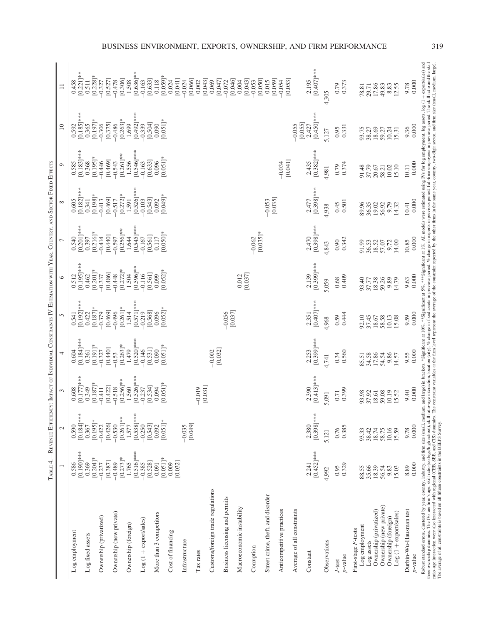| l                                       |  |
|-----------------------------------------|--|
|                                         |  |
| I                                       |  |
| j                                       |  |
| ١<br>I                                  |  |
| l                                       |  |
|                                         |  |
| i                                       |  |
| I                                       |  |
|                                         |  |
|                                         |  |
| ׇ֚֘֝֬                                   |  |
|                                         |  |
| ׇ֕֡<br>l<br>ļ                           |  |
| ֚֚֚֬                                    |  |
|                                         |  |
|                                         |  |
| j                                       |  |
|                                         |  |
| f<br>ĺ<br>ļ                             |  |
| ׇֺ<br>I                                 |  |
| i                                       |  |
| I                                       |  |
| ļ<br>i                                  |  |
| ׇ֚֚֘֝<br>Ì                              |  |
| i<br>ļ<br>j<br>$\overline{\phantom{a}}$ |  |
| i<br>İ<br>֕                             |  |
| I                                       |  |
| j<br>i<br>֧֕֕֜֡                         |  |

|                                   |                                         |                         | 3                       |                         |                         |                         |                         |                         |                         |                         |                             |
|-----------------------------------|-----------------------------------------|-------------------------|-------------------------|-------------------------|-------------------------|-------------------------|-------------------------|-------------------------|-------------------------|-------------------------|-----------------------------|
|                                   | [0.190]***<br>0.586                     | $[0.184]$ ***<br>0.590  | $[0.177]$ ***<br>0.608  | $0.184]$ ***<br>0.604   | $0.192]***$<br>0.541    | $0.195]$ ***<br>0.512   | $0.201]$ ***<br>0.540   | $0.182]***$<br>0.605    | $0.183]***$<br>0.585    | $[0.185]$ ***<br>0.592  | $0.221]$ **<br>0.458        |
|                                   | 0.369                                   | 0.367                   | 0.349                   | 0.361                   | 0.422                   | 0.462                   | 0.397                   | 0.341                   | 0.368                   | 0.365                   | 0.511                       |
|                                   | $[0.204]$ *<br>$\frac{-0.237}{[0.387]}$ | $[0.195]$ *<br>$-0.422$ | $[0.187]$ *<br>$-0.411$ | $[0.191]$ *<br>$-0.327$ | $[0.187]$ *<br>$-0.379$ | $[0.201]$ *<br>$-0.337$ | $[0.216]$ *<br>$-0.414$ | $[0.198]$ *<br>$-0.413$ | $[0.195]$ *<br>$-0.446$ | $[0.197]$ *<br>$-0.306$ | $[0.228]$ *<br>$-0.327$     |
|                                   | $-0.489$                                | [0.426]<br>$-0.530$     | [0.422]<br>$-0.518$     | [0.440]<br>$-0.53$      | [0.469]<br>$-0.496$     | [0.486]<br>$-0.448$     | [0.440]<br>$-0.597$     | [0.469]<br>$-0.517$     | [0.469]<br>$-0.543$     | [0.375]<br>$-0.486$     | [0.527]<br>$-0.478$         |
|                                   | $[0.273]$ *                             | $[0.261]$ **            | $[0.256]$ **            | $[0.263]$ *             | $[0.261]$ *             | $[0.272]$ *             | $[0.256]$ **            | $[0.272]$ *             | $[0.261]$ **            | $[0.263]$ *             | [0.306]                     |
|                                   | $[0.516]$ ***<br>1.765                  | $[0.538]$ **<br>1.577   | $[0.526]$ ***<br>1.560  | $[0.520]$ ***<br>1.479  | $[0.571]$ ***<br>1.514  | $[0.596]$ **<br>1.504   | $[0.545]$ ***<br>1.644  | $[0.526]$ ***<br>1.591  | $[0.546]***$<br>1.556   | $[0.492]$ ***<br>1.699  | $[0.636]$ **<br>1.508       |
|                                   | [0.528]<br>$-0.385$                     | [0.543]<br>$-0.250$     | [0.534]<br>$-0.237$     | [0.531]<br>$-0.146$     | [0.568]<br>$-0.219$     | [0.561]<br>$-0.116$     | [0.561]<br>$-0.167$     | [0.543]<br>$-0.103$     | [0.633]<br>$-0.163$     | [0.504]<br>$-0.339$     | [0.633]<br>$-0.163$         |
|                                   | $0.051$ ]*<br>0.091                     | 0.092                   | 0.094                   | 0.090                   | 0.096                   | 0.099                   | 0.117                   | 0.092                   | 0.096                   | 0.090                   | 0.118                       |
|                                   | 0.009                                   | $[0.051]$ *             | $[0.051]$ *             | $[0.051]$ *             | $0.052]$ *              | $0.052]$ *              | $0.050]$ *              | (640.0)                 | $[0.051]$ *             | $0.051]$ *              | $[0.059]$ *<br>0.024        |
|                                   | [0.032]                                 | $-0.035$                |                         |                         |                         |                         |                         |                         |                         |                         | [0.041]<br>$-0.024$         |
|                                   |                                         | [0.049]                 | [0.031]<br>$-0.019$     |                         |                         |                         |                         |                         |                         |                         | [0.066]<br>[0.043]<br>0.002 |
| Customs/foreign trade regulations |                                         |                         |                         | [0.032]<br>$-0.002$     |                         |                         |                         |                         |                         |                         | [0.047]<br>0.069            |
| Business licensing and permits    |                                         |                         |                         |                         | [0.037]<br>$-0.056$     |                         |                         |                         |                         |                         | [0.046]<br>$-0.072$         |
| Macroeconomic instability         |                                         |                         |                         |                         |                         | [0.037]<br>$-0.012$     |                         |                         |                         |                         | [0.043]<br>0.004            |
|                                   |                                         |                         |                         |                         |                         |                         | $[0.035]$ *<br>$-0.062$ |                         |                         |                         | [0.050]<br>$-0.053$         |
| Street crime, theft, and disorder |                                         |                         |                         |                         |                         |                         |                         | [0.035]<br>$-0.053$     |                         |                         | [0.059]<br>0.015            |
| Anticompetitive practices         |                                         |                         |                         |                         |                         |                         |                         |                         | $-0.034$                |                         | $-0.054$                    |
| Average of all constraints        |                                         |                         |                         |                         |                         |                         |                         |                         | [0.041]                 | [0.055]<br>$-0.055$     | [0.053]                     |
|                                   | $[0.452]$ ***<br>2.241                  | $[0.398]$ ***<br>2.380  | $[0.413]$ ***<br>2.390  | $[0.399]$ ***<br>2.253  | $[0.407]$ ***<br>2.351  | $[0.399]$ ***<br>2.139  | $[0.398]$ ***<br>2.470  | $[0.398]$ ***<br>2.477  | $[0.382]$ ***<br>2.435  | $[0.450]$ ***<br>2.427  | $[0.407]$ ***<br>2.195      |
|                                   | 4,992                                   | 5,121                   | 5,091                   | 4,741                   | 4,968                   | 5,059                   | 4,843                   | 4,938                   | 4,981                   | 5,127                   | 4,305                       |
|                                   | 0.329<br>0.95                           | 0.385<br>0.76           | 0.399<br>0.71           | 0.560<br>0.34           | 0.444<br>0.59           | 0.409<br>0.68           | 0.342<br>0.90           | 0.501<br>0.45           | 0.374<br>0.79           | 0.331<br>0.95           | 0.373<br>0.79               |
|                                   | 88.55                                   | 93.33                   | 93.98                   | 85.51                   | 92.10                   | 93.40                   | 91.99                   | 89.96                   | 91.48                   | 93.75                   | 78.81                       |
|                                   | 35.66                                   | 38.42                   | 37.92                   | 34.58                   | 37.45                   | 37.77                   | 36.53                   | 36.35                   | 37.79                   | 38.27                   | 29.71                       |
|                                   | 18.39                                   | 18.74                   | 18.61                   | 17.86                   | 18.67                   | 18.38                   | 18.52                   | 19.02                   | 20.67                   | 18.69                   | 17.86                       |
| Ownership (new private)           | 56.54                                   | 58.75                   | 59.08                   | 54.54                   | 58.58                   | 59.26                   | 57.07                   | 56.92                   | 58.21                   | 59.27                   | 49.83                       |
|                                   | 9.83<br>15.03                           | 10.16<br>15.59          | 10.19<br>15.52          | 9.86<br>14.57           | 10.13<br>15.08          | 9.89<br>14.79           | 14.00<br>9.72           | 9.79<br>14.32           | 15.10<br>10.02          | 10.24<br>15.31          | 8.83<br>12.55               |
|                                   | 8.89                                    | 9.78                    | 9.40                    | 9.55                    | 9.59                    | 9.63                    | 10.85                   | 10.41                   | 10.11                   | 9.36                    | 9.78                        |
| Durbin-Wu-Hausman test            | 0.000                                   | 0.000                   | 0.000                   | 0.000                   | 0.000                   | 0.000                   | 0.000                   | $0.000$                 | 0.000                   | 0.000                   | 0.000                       |

Robus standard erros, clusteed by year, county, industry, and firm aize (small, medium, and large) in brackets. \*Significant at 1%, \*\*\*\$5gmificant at 1%. All models were estimated using IVs for log employment, log asses, l three ownership dumnies. The IVs are firm's age, skill ratio (college/high school), skill ratio-age interaction, location (city), % change in previous period, % change in exports in previous period, full-time employees in ratio-age interacted with regional (CEB, SEE, and CIS) dummies. The constraint variables at the firm level represent the average of the constraint reported by the other firms in the same year, country, two-digit sector, an The average of all constraints is based on all fifteen constraints in the BEEPS Survey.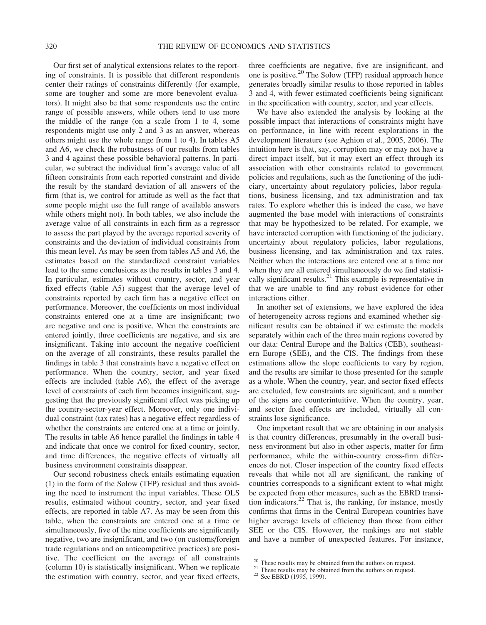Our first set of analytical extensions relates to the reporting of constraints. It is possible that different respondents center their ratings of constraints differently (for example, some are tougher and some are more benevolent evaluators). It might also be that some respondents use the entire range of possible answers, while others tend to use more the middle of the range (on a scale from 1 to 4, some respondents might use only 2 and 3 as an answer, whereas others might use the whole range from 1 to 4). In tables A5 and A6, we check the robustness of our results from tables 3 and 4 against these possible behavioral patterns. In particular, we subtract the individual firm's average value of all fifteen constraints from each reported constraint and divide the result by the standard deviation of all answers of the firm (that is, we control for attitude as well as the fact that some people might use the full range of available answers while others might not). In both tables, we also include the average value of all constraints in each firm as a regressor to assess the part played by the average reported severity of constraints and the deviation of individual constraints from this mean level. As may be seen from tables A5 and A6, the estimates based on the standardized constraint variables lead to the same conclusions as the results in tables 3 and 4. In particular, estimates without country, sector, and year fixed effects (table A5) suggest that the average level of constraints reported by each firm has a negative effect on performance. Moreover, the coefficients on most individual constraints entered one at a time are insignificant; two are negative and one is positive. When the constraints are entered jointly, three coefficients are negative, and six are insignificant. Taking into account the negative coefficient on the average of all constraints, these results parallel the findings in table 3 that constraints have a negative effect on performance. When the country, sector, and year fixed effects are included (table A6), the effect of the average level of constraints of each firm becomes insignificant, suggesting that the previously significant effect was picking up the country-sector-year effect. Moreover, only one individual constraint (tax rates) has a negative effect regardless of whether the constraints are entered one at a time or jointly. The results in table A6 hence parallel the findings in table 4 and indicate that once we control for fixed country, sector, and time differences, the negative effects of virtually all business environment constraints disappear.

Our second robustness check entails estimating equation (1) in the form of the Solow (TFP) residual and thus avoiding the need to instrument the input variables. These OLS results, estimated without country, sector, and year fixed effects, are reported in table A7. As may be seen from this table, when the constraints are entered one at a time or simultaneously, five of the nine coefficients are significantly negative, two are insignificant, and two (on customs/foreign trade regulations and on anticompetitive practices) are positive. The coefficient on the average of all constraints (column 10) is statistically insignificant. When we replicate the estimation with country, sector, and year fixed effects,

three coefficients are negative, five are insignificant, and one is positive.<sup>20</sup> The Solow (TFP) residual approach hence generates broadly similar results to those reported in tables 3 and 4, with fewer estimated coefficients being significant in the specification with country, sector, and year effects.

We have also extended the analysis by looking at the possible impact that interactions of constraints might have on performance, in line with recent explorations in the development literature (see Aghion et al., 2005, 2006). The intuition here is that, say, corruption may or may not have a direct impact itself, but it may exert an effect through its association with other constraints related to government policies and regulations, such as the functioning of the judiciary, uncertainty about regulatory policies, labor regulations, business licensing, and tax administration and tax rates. To explore whether this is indeed the case, we have augmented the base model with interactions of constraints that may be hypothesized to be related. For example, we have interacted corruption with functioning of the judiciary, uncertainty about regulatory policies, labor regulations, business licensing, and tax administration and tax rates. Neither when the interactions are entered one at a time nor when they are all entered simultaneously do we find statistically significant results.<sup>21</sup> This example is representative in that we are unable to find any robust evidence for other interactions either.

In another set of extensions, we have explored the idea of heterogeneity across regions and examined whether significant results can be obtained if we estimate the models separately within each of the three main regions covered by our data: Central Europe and the Baltics (CEB), southeastern Europe (SEE), and the CIS. The findings from these estimations allow the slope coefficients to vary by region, and the results are similar to those presented for the sample as a whole. When the country, year, and sector fixed effects are excluded, few constraints are significant, and a number of the signs are counterintuitive. When the country, year, and sector fixed effects are included, virtually all constraints lose significance.

One important result that we are obtaining in our analysis is that country differences, presumably in the overall business environment but also in other aspects, matter for firm performance, while the within-country cross-firm differences do not. Closer inspection of the country fixed effects reveals that while not all are significant, the ranking of countries corresponds to a significant extent to what might be expected from other measures, such as the EBRD transition indicators. $^{22}$  That is, the ranking, for instance, mostly confirms that firms in the Central European countries have higher average levels of efficiency than those from either SEE or the CIS. However, the rankings are not stable and have a number of unexpected features. For instance,

<sup>&</sup>lt;sup>20</sup> These results may be obtained from the authors on request. <sup>21</sup> These results may be obtained from the authors on request. <sup>22</sup> See EBRD (1995, 1999).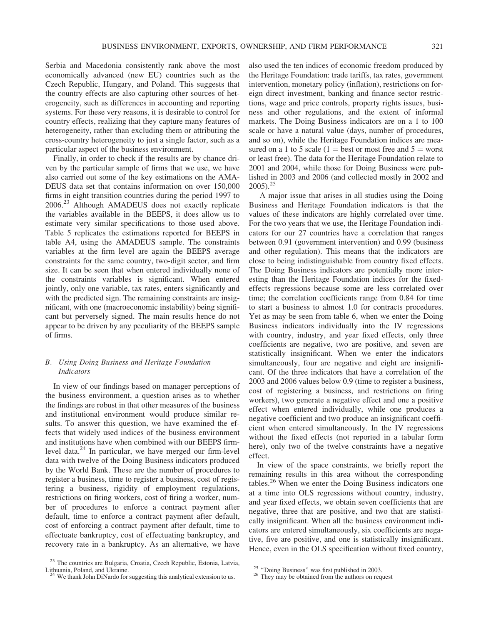Serbia and Macedonia consistently rank above the most economically advanced (new EU) countries such as the Czech Republic, Hungary, and Poland. This suggests that the country effects are also capturing other sources of heterogeneity, such as differences in accounting and reporting systems. For these very reasons, it is desirable to control for country effects, realizing that they capture many features of heterogeneity, rather than excluding them or attributing the cross-country heterogeneity to just a single factor, such as a particular aspect of the business environment.

Finally, in order to check if the results are by chance driven by the particular sample of firms that we use, we have also carried out some of the key estimations on the AMA-DEUS data set that contains information on over 150,000 firms in eight transition countries during the period 1997 to 2006.<sup>23</sup> Although AMADEUS does not exactly replicate the variables available in the BEEPS, it does allow us to estimate very similar specifications to those used above. Table 5 replicates the estimations reported for BEEPS in table A4, using the AMADEUS sample. The constraints variables at the firm level are again the BEEPS average constraints for the same country, two-digit sector, and firm size. It can be seen that when entered individually none of the constraints variables is significant. When entered jointly, only one variable, tax rates, enters significantly and with the predicted sign. The remaining constraints are insignificant, with one (macroeconomic instability) being significant but perversely signed. The main results hence do not appear to be driven by any peculiarity of the BEEPS sample of firms.

### B. Using Doing Business and Heritage Foundation Indicators

In view of our findings based on manager perceptions of the business environment, a question arises as to whether the findings are robust in that other measures of the business and institutional environment would produce similar results. To answer this question, we have examined the effects that widely used indices of the business environment and institutions have when combined with our BEEPS firmlevel data. $^{24}$  In particular, we have merged our firm-level data with twelve of the Doing Business indicators produced by the World Bank. These are the number of procedures to register a business, time to register a business, cost of registering a business, rigidity of employment regulations, restrictions on firing workers, cost of firing a worker, number of procedures to enforce a contract payment after default, time to enforce a contract payment after default, cost of enforcing a contract payment after default, time to effectuate bankruptcy, cost of effectuating bankruptcy, and recovery rate in a bankruptcy. As an alternative, we have

also used the ten indices of economic freedom produced by the Heritage Foundation: trade tariffs, tax rates, government intervention, monetary policy (inflation), restrictions on foreign direct investment, banking and finance sector restrictions, wage and price controls, property rights issues, business and other regulations, and the extent of informal markets. The Doing Business indicators are on a 1 to 100 scale or have a natural value (days, number of procedures, and so on), while the Heritage Foundation indices are measured on a 1 to 5 scale (1 = best or most free and  $5 =$  worst or least free). The data for the Heritage Foundation relate to 2001 and 2004, while those for Doing Business were published in 2003 and 2006 (and collected mostly in 2002 and  $2005$ ).<sup>25</sup>

A major issue that arises in all studies using the Doing Business and Heritage Foundation indicators is that the values of these indicators are highly correlated over time. For the two years that we use, the Heritage Foundation indicators for our 27 countries have a correlation that ranges between 0.91 (government intervention) and 0.99 (business and other regulation). This means that the indicators are close to being indistinguishable from country fixed effects. The Doing Business indicators are potentially more interesting than the Heritage Foundation indices for the fixedeffects regressions because some are less correlated over time; the correlation coefficients range from 0.84 for time to start a business to almost 1.0 for contracts procedures. Yet as may be seen from table 6, when we enter the Doing Business indicators individually into the IV regressions with country, industry, and year fixed effects, only three coefficients are negative, two are positive, and seven are statistically insignificant. When we enter the indicators simultaneously, four are negative and eight are insignificant. Of the three indicators that have a correlation of the 2003 and 2006 values below 0.9 (time to register a business, cost of registering a business, and restrictions on firing workers), two generate a negative effect and one a positive effect when entered individually, while one produces a negative coefficient and two produce an insignificant coefficient when entered simultaneously. In the IV regressions without the fixed effects (not reported in a tabular form here), only two of the twelve constraints have a negative effect.

In view of the space constraints, we briefly report the remaining results in this area without the corresponding tables.<sup>26</sup> When we enter the Doing Business indicators one at a time into OLS regressions without country, industry, and year fixed effects, we obtain seven coefficients that are negative, three that are positive, and two that are statistically insignificant. When all the business environment indicators are entered simultaneously, six coefficients are negative, five are positive, and one is statistically insignificant. Hence, even in the OLS specification without fixed country,

 $^{23}$  The countries are Bulgaria, Croatia, Czech Republic, Estonia, Latvia, Lithuania, Poland, and Ukraine.

<sup>&</sup>lt;sup>24</sup> We thank John DiNardo for suggesting this analytical extension to us.

<sup>&</sup>lt;sup>25</sup> "Doing Business" was first published in 2003.<br><sup>26</sup> They may be obtained from the authors on request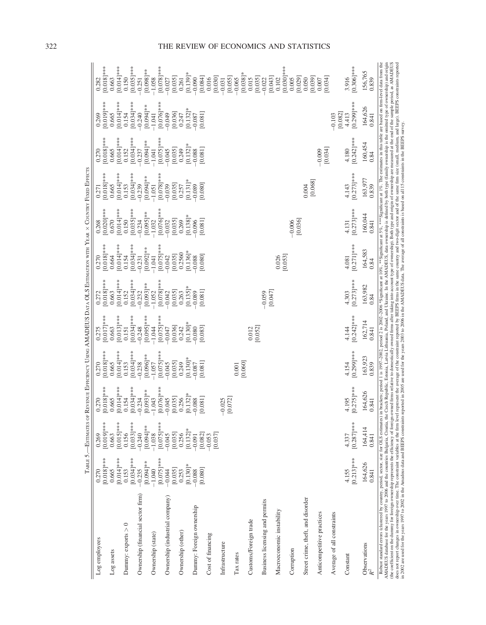| 0.282                                                                                                                                 | $0.018$ ]***<br>0.663  | $0.014]***$<br>$[0.035]$ ***<br>0.150   | $[0.098]$ **<br>$-0.251$          | $[0.078]$ ***<br>$-1.058$ | [0.035]<br>$-0.027$                | $[0.139]$ *<br>0.261  | [0.084]<br>$-0.090$                                            | 0.016             | [0.030]<br>[0.055]  | $[0.038]$ *<br>$-0.065$ | [0.035]<br>0.015      | [0.043]<br>$-0.022$            | $0.0301***$<br>0.102      | [0.029]<br>0.005    | [0.039]<br>0.050                  | [0.034]<br>0.007          |                            | $[0.306]$ ***<br>3.916 | 156,765<br>0.839 |                                                                                                                                                                                                                                                                                                                                                                                                                                                                                                                                                                                                                                                                                                   |
|---------------------------------------------------------------------------------------------------------------------------------------|------------------------|-----------------------------------------|-----------------------------------|---------------------------|------------------------------------|-----------------------|----------------------------------------------------------------|-------------------|---------------------|-------------------------|-----------------------|--------------------------------|---------------------------|---------------------|-----------------------------------|---------------------------|----------------------------|------------------------|------------------|---------------------------------------------------------------------------------------------------------------------------------------------------------------------------------------------------------------------------------------------------------------------------------------------------------------------------------------------------------------------------------------------------------------------------------------------------------------------------------------------------------------------------------------------------------------------------------------------------------------------------------------------------------------------------------------------------|
| $0.019$ <sup>***</sup><br>0.269                                                                                                       | 0.665                  | $[0.014]$ ***<br>$[0.034]$ ***<br>0.154 | $[0.094]$ **<br>$-0.240$          | $[0.076]$ ***<br>$-1.041$ | [0.036]<br>$-0.049$                | $[0.132]$ *<br>0.247  | [0.081]<br>$-0.087$                                            |                   |                     |                         |                       |                                |                           |                     |                                   |                           | [0.082]<br>$-0.103$        | $[0.299]$ ***<br>4.413 | 164,626<br>0.841 |                                                                                                                                                                                                                                                                                                                                                                                                                                                                                                                                                                                                                                                                                                   |
| 0.270                                                                                                                                 | $0.018$ ]***<br>0.665  | $[0.014]$ ***<br>$[0.034]$ ***<br>0.152 | $[0.094]$ **<br>$-0.237$          | $[0.075]$ ***<br>$-1.041$ | [0.035]<br>$-0.045$                | $[0.132]$ *<br>0.249  | [0.081]<br>$-0.088$                                            |                   |                     |                         |                       |                                |                           |                     |                                   | [0.034]<br>$-0.009$       |                            | $[0.242]$ ***<br>4.180 | 160,454<br>0.84  |                                                                                                                                                                                                                                                                                                                                                                                                                                                                                                                                                                                                                                                                                                   |
| 0.271                                                                                                                                 | $0.018$ ]***<br>0.665  | $[0.014]$ ***<br>$[0.034]$ ***<br>0.153 | $[0.094]$ **<br>$-0.239$          | $[0.078]$ ***<br>$-1.051$ | [0.035]<br>$-0.039$                | $[0.131]$ *<br>0.257  | [0.080]<br>$-0.089$                                            |                   |                     |                         |                       |                                |                           |                     | [0.068]<br>0.004                  |                           |                            | $[0.273]$ ***<br>4.143 | 163,977<br>0.839 |                                                                                                                                                                                                                                                                                                                                                                                                                                                                                                                                                                                                                                                                                                   |
| $0.020$ <sup>***</sup><br>0.268                                                                                                       | 0.670                  | $[0.014]$ ***<br>$[0.035]$ ***<br>0.150 | $[0.095]$ **<br>$-0.234$          | $[0.076]$ ***<br>$-1.032$ | [0.035]<br>$-0.032$                | $[0.138]$ *<br>0.269  | [0.081]<br>$-0.096$                                            |                   |                     |                         |                       |                                |                           | [0.036]<br>$-0.006$ |                                   |                           |                            | $[0.273]$ ***<br>4.131 | 160,044<br>0.841 |                                                                                                                                                                                                                                                                                                                                                                                                                                                                                                                                                                                                                                                                                                   |
| $[0.018]$ ***<br>0.270                                                                                                                | 0.664                  | $[0.014]$ ***<br>$[0.034]$ ***<br>0.154 | $[0.092]$ **<br>$-0.231$          | $[0.075]$ ***<br>$-1.041$ | [0.035]<br>$-0.042$                | $[0.136]$ *<br>0.2560 | [0.080]<br>$-0.088$                                            |                   |                     |                         |                       |                                | [0.053]<br>0.026          |                     |                                   |                           |                            | $[0.271]$ ***<br>4.081 | 164,583<br>0.84  |                                                                                                                                                                                                                                                                                                                                                                                                                                                                                                                                                                                                                                                                                                   |
| 0.272                                                                                                                                 | $[0.018]$ ***<br>0.663 | $[0.014]$ ***<br>$[0.034]$ ***<br>0.152 | $[0.093]$ **<br>$-0.232$          | $[0.078]$ ***<br>$-1.052$ | [0.035]<br>$-0.042$                | $[0.135]$ *<br>0.263  | [0.081]<br>$-0.089$                                            |                   |                     |                         |                       | [0.047]<br>$-0.059$            |                           |                     |                                   |                           |                            | $[0.273]$ ***<br>4.303 | 163,982<br>0.84  |                                                                                                                                                                                                                                                                                                                                                                                                                                                                                                                                                                                                                                                                                                   |
| 0.275                                                                                                                                 | $0.017$ ]***<br>0.663  | $[0.013]$ ***<br>$[0.034]$ ***<br>0.151 | $[0.095]$ ***<br>$-0.248$         | $[0.075]$ ***<br>$-1.044$ | [0.036]<br>$-0.047$                | $[0.130]$ *<br>0.242  | [0.083]<br>$-0.080$                                            |                   |                     |                         | [0.052]<br>0.012      |                                |                           |                     |                                   |                           |                            | $[0.242]$ ***<br>4.144 | 162,714<br>0.841 |                                                                                                                                                                                                                                                                                                                                                                                                                                                                                                                                                                                                                                                                                                   |
| TABLE 5.—ESTIMATES OF REVENUE EFFICIENCY USING AMADEUS DATA OLS ESTIMATION WITH YEAR × COUNTRY FIXED EFFECTS<br>$0.018$ ]***<br>0.270 | 0.665                  | $[0.014]$ ***<br>$[0.034]$ ***<br>0.153 | $[0.096]$ **<br>$-0.238$          | $[0.075]$ ***<br>$-1.057$ | [0.035]<br>$-0.045$                | $[0.130]$ *<br>0.249  | [0.081]<br>$-0.087$                                            |                   |                     | [0.060]<br>0.001        |                       |                                |                           |                     |                                   |                           |                            | $[0.299]$ ***<br>4.154 | 163,923<br>0.839 |                                                                                                                                                                                                                                                                                                                                                                                                                                                                                                                                                                                                                                                                                                   |
| $[0.018]$ ***<br>0.270                                                                                                                | 0.665                  | $[0.014]$ ***<br>$[0.034]$ ***<br>0.154 | $[0.093]$ **<br>$-0.234$          | $-1.043$                  | $[0.076]$ ***<br>-0.045<br>[0.035] | 0.256                 | $\begin{array}{c} [0.132]^{*}\\ -0.088 \\ [0.081] \end{array}$ |                   | [0.072]<br>$-0.025$ |                         |                       |                                |                           |                     |                                   |                           |                            | $[0.275]$ ***<br>4.195 | 164,626<br>0.841 |                                                                                                                                                                                                                                                                                                                                                                                                                                                                                                                                                                                                                                                                                                   |
| $[0.019]$ ***<br>0.269                                                                                                                | 0.663                  | $[0.015]$ ***<br>$[0.033]$ ***<br>0.156 | $[0.094]$ **<br>$-0.240$          | $[0.075]$ ***<br>$-1.038$ | [0.035]<br>$-0.045$                | $[0.132]$ *<br>0.256  | [0.082]<br>$-0.091$                                            | $-0.053$          | [0.037]             |                         |                       |                                |                           |                     |                                   |                           |                            | $[0.287]$ ***<br>4.337 | 164,414<br>0.841 |                                                                                                                                                                                                                                                                                                                                                                                                                                                                                                                                                                                                                                                                                                   |
| 0.270                                                                                                                                 | $0.018$ ]***<br>0.665  | $[0.014]$ ***<br>$[0.034]$ ***<br>0.153 | $[0.094]$ **<br>$-0.235$          | $[0.075]$ ***<br>$-1.040$ | [0.035]<br>$-0.044$                | $[0.130]$ *<br>0.253  | [0.080]<br>$-0.088$                                            |                   |                     |                         |                       |                                |                           |                     |                                   |                           |                            | $[0.213]$ ***<br>4.155 | 164,626<br>0.841 |                                                                                                                                                                                                                                                                                                                                                                                                                                                                                                                                                                                                                                                                                                   |
| Log employees                                                                                                                         | Log assets             | Dummy: $\exp$ orts $> 0$                | Ownership (financial sector firm) | Ownership (state)         | Ownership (industrial company)     | Ownership (other)     | Dummy: Foreign ownership                                       | Cost of financing | Infrastructure      | Tax rates               | Customs/Foreign trade | Business licensing and permits | Macroeconomic instability | Corruption          | Street crime, theft, and disorder | Anticompetitive practices | Average of all constraints | Constant               | Observations     | Robust standard errors (clustered by country, period, sector, size for OLS estimates) in brackets; period 1 is 1997-2002, period 2 is 2002-2006 *Significant at 10%, *s*Significant at 5%, ***Significant at 1%. The estimates<br>AMADEUS database for the years 1997 to 2006 and the countries Bulgaria, Croatia, the Czech Republic, Estonia, Latvia Lithuania, Poland, and Ukraine. In the AMADEUS, data ownership is defined by both type (family ownership)<br>(the coefficient on the dummy for foreign owneship represents the efficiency of foreign-owned firms relative to domessitially owned firms after raking into account type of ownership). Both type and origin of ownership are |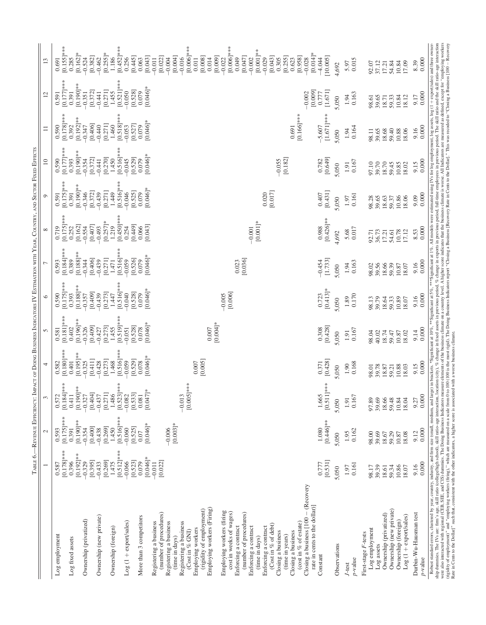|                                                                                                                                                                                                                                                                                                                                                                              |                                 | TABLE 6.—REVENUE EFFICIENCY: IMPACT OF DOING BUSINESS INDICATORS IV ESTIMATION WITH YEAR, COUNTRY, AND SECTOR FIXED EFFECTS |                                 |                                 |                                 |                                 |                                 |                             |                                 |                                 |                                 |                                         |                                                                                                 |
|------------------------------------------------------------------------------------------------------------------------------------------------------------------------------------------------------------------------------------------------------------------------------------------------------------------------------------------------------------------------------|---------------------------------|-----------------------------------------------------------------------------------------------------------------------------|---------------------------------|---------------------------------|---------------------------------|---------------------------------|---------------------------------|-----------------------------|---------------------------------|---------------------------------|---------------------------------|-----------------------------------------|-------------------------------------------------------------------------------------------------|
|                                                                                                                                                                                                                                                                                                                                                                              | $\overline{ }$                  | $\mathcal{L}$                                                                                                               | 3                               | 4                               | 5                               | $\circ$                         |                                 | ${}^{\infty}$               | $\circ$                         | $\overline{10}$                 | $\equiv$                        | $\overline{c}$                          | 13                                                                                              |
| Log employment                                                                                                                                                                                                                                                                                                                                                               | 0.587                           | 0.593                                                                                                                       | 0.572                           | 0.582                           | 0.581                           | 0.590                           | 0.593                           | 0.719                       | 0.591                           | 0.590                           | 0.590                           | 0.591                                   | 0.691                                                                                           |
| Log fixed assets                                                                                                                                                                                                                                                                                                                                                             | $[0.178]$ ***<br>0.396          | $[0.175]$ ***<br>0.391                                                                                                      | $0.1841***$<br>0.411            | $[0.180]$ ***<br>0.401          | $0.181]$ ***<br>0.402           | $[0.175]$ ***<br>0.393          | $0.184$ <sup>***</sup><br>0.389 | $[0.175]$ ***<br>0.252      | $[0.175]$ ***<br>0.391          | $0.177$ <sup>***</sup><br>0.393 | $0.178$ <sup>***</sup><br>0.392 | $0.177$ <sup>***</sup><br>0.391         | $[0.155]$ ***<br>0.285                                                                          |
| Ownership (privatized)                                                                                                                                                                                                                                                                                                                                                       | $[0.192]$ **<br>$-0.329$        | $[0.190]$ **<br>$-0.354$                                                                                                    | $[0.190]$ **<br>$-0.327$        | $[0.195]$ **<br>$-0.325$        | $[0.196]$ **<br>$-0.326$        | $[0.188]$ **<br>$-0.357$        | $[0.188]$ **<br>$-0.344$        | [0.162]<br>$-0.554$         | $[0.190]$ **<br>$-0.346$        | $[0.190]$ **<br>$-0.354$        | $[0.192]$ **<br>$-0.347$        | $[0.190]$ **<br>$-0.351$                | $[0.162]$ *<br>$-0.524$                                                                         |
|                                                                                                                                                                                                                                                                                                                                                                              | [0.395]                         | [0.400]                                                                                                                     | [0.404]                         | [0.411]                         | [0.409]                         | [0.409]                         | [0.406]                         | [0.407]                     | [0.372]                         | [0.372]                         | [0.406]                         | [0.372]                                 | [0.382]                                                                                         |
| Ownership (new private)                                                                                                                                                                                                                                                                                                                                                      | [0.269]<br>$-0.433$             | [0.269]<br>$-0.438$                                                                                                         | [0.271]<br>$-0.437$             | [0.273]<br>$-0.428$             | [0.273]<br>$-0.427$             | [0.273]<br>$-0.439$             | [0.271]<br>$-0.439$             | $[0.257]$ *<br>$-0.493$     | [0.271]<br>$-0.439$             | [0.270]<br>$-0.441$             | [0.271]<br>$-0.440$             | [0.271]<br>$-0.441$                     | $[0.255]$ *<br>$-0.462$                                                                         |
| Ownership (foreign)                                                                                                                                                                                                                                                                                                                                                          | ⋇<br>$[0.512]$ **<br>1.475      | ⋇<br>$[0.516]$ **<br>1.450                                                                                                  | $[0.523]$ **<br>1.486           | ⋇<br>$[0.516]$ **<br>1.468      | $[0.519]$ ***<br>1.455          | $*$<br>$[0.516]$ *<br>1.447     | $[0.516]$ ***<br>1.471          | ⋇<br>$[0.450]$ **<br>1.219  | $[0.516]$ **<br>1.449           | $[0.516]$ ***<br>1.450          | $[0.518]$ **<br>1.460           | $[0.521]$ ***<br>1.455                  | $[0.452]$ ***<br>1.186                                                                          |
| $Log(1 + expont/sales)$                                                                                                                                                                                                                                                                                                                                                      | $-0.066$                        | $-0.060$                                                                                                                    | $-0.082$                        | $-0.059$                        | $-0.051$                        | $-0.040$                        | $-0.059$                        | 0.254                       | $-0.046$                        | $-0.045$                        | $-0.053$                        | $-0.050$                                | 0.256                                                                                           |
| More than 3 competitors                                                                                                                                                                                                                                                                                                                                                      | $[0.046]$ *<br>[0.523]<br>0.079 | $[0.046]$ *<br>[0.525]<br>0.07                                                                                              | $[0.047]$ *<br>[0.533]<br>0.081 | $[0.046]$ *<br>[0.529]<br>0.078 | $[0.046]$ *<br>[0.528]<br>0.078 | $[0.046]$ *<br>[0.528]<br>0.079 | $[0.046]$ *<br>[0.526]<br>0.079 | [0.449]<br>[0.043]<br>0.066 | $[0.046]$ *<br>[0.525]<br>0.079 | $[0.046]$ *<br>[0.529]<br>0.079 | $[0.046]$ *<br>[0.527]<br>0.079 | $[0.046]$ *<br>[0.528]<br>0.079         | [0.043]<br>[0.445]<br>0.063                                                                     |
| (number of procedures)<br>Registering a business<br>Registering a business<br>(time in days)                                                                                                                                                                                                                                                                                 | [0.022]<br>$-0.011$             | $[0.003]*$<br>$-0.006$                                                                                                      |                                 |                                 |                                 |                                 |                                 |                             |                                 |                                 |                                 |                                         | [0.004]<br>[0.022]<br>$-0.004$<br>$-0.011$                                                      |
| (rigidity of employment)<br>Registering a business<br>Employing workers<br>(Cost in % GNI)                                                                                                                                                                                                                                                                                   |                                 |                                                                                                                             | $[0.005]$ ***<br>$-0.013$       | [0.005]<br>0.007                |                                 |                                 |                                 |                             |                                 |                                 |                                 |                                         | $[0.006]$ ***<br>$0.011$<br>[0.008]<br>$-0.016$                                                 |
| Employing workers (Firing)                                                                                                                                                                                                                                                                                                                                                   |                                 |                                                                                                                             |                                 |                                 | $[0.004]$ *<br>$0.007\,$        |                                 |                                 |                             |                                 |                                 |                                 |                                         | 0.014                                                                                           |
| Employing workers (firing<br>cost in weeks of wages)<br>(number of procedures)<br>(Cost in % of debt)<br>Enforcing a contract<br>Enforcing a contract<br>Enforcing a contract<br>(time in days)                                                                                                                                                                              |                                 |                                                                                                                             |                                 |                                 |                                 | [0.006]<br>$-0.005$             | [0.036]<br>0.023                | $[0.001]$ *<br>$-0.001$     | [0.017]<br>0.020                |                                 |                                 |                                         | $[0.006]$ ***<br>$[0.001]$ **<br>[0.009]<br>[0.043]<br>[0.047]<br>0.049<br>$-0.029$<br>$-0.002$ |
| (cost in % of estate)<br>Closing a business<br>Closing a business<br>(time in years)                                                                                                                                                                                                                                                                                         |                                 |                                                                                                                             |                                 |                                 |                                 |                                 |                                 |                             |                                 | [0.182]<br>$-0.055$             | $[0.166]$ ***<br>0.691          |                                         | [0.958]<br>[0.255]<br>0.305<br>0.623                                                            |
| Closing a business [100 - (Recovery<br>rate in cents to the dollar)<br>Constant                                                                                                                                                                                                                                                                                              | [0.531]<br>0.777                | $[0.446]$ **<br>1.080                                                                                                       | $[0.511]$ ***<br>1.665          | [0.428]<br>0.371                | [0.428]<br>0.308                | $[0.413]$ *<br>0.723            | [1.733]<br>$-0.454$             | $[0.426]$ **<br>0.988       | [0.431]<br>0.407                | [0.649]<br>0.782                | $[1.671]$ ***<br>$-5.607$       | [0.009]<br>[1.671]<br>$-0.002$<br>0.777 | $[0.014]$ *<br>[10.005]<br>$-0.028$<br>$-4.044$                                                 |
| Observations                                                                                                                                                                                                                                                                                                                                                                 | 5,050                           | 5,050                                                                                                                       | 5,050                           | 5,050                           | 5,050                           | 5,050                           | 5,050                           | 4,692                       | 5,050                           | 5,050                           | 5,050                           | 5,050                                   | 4,692                                                                                           |
| $p$ -value<br>J-test                                                                                                                                                                                                                                                                                                                                                         | 0.161<br>1.97                   | 0.162<br>1.95                                                                                                               | 0.167<br>1.91                   | 0.168<br>1.90                   | 0.167<br>1.91                   | $0.170\,$<br>1.89               | 0.163<br>1.94                   | 0.017<br>5.68               | 0.161<br>1.97                   | 0.167<br>1.91                   | 0.164<br>1.94                   | 0.163<br>1.94                           | 0.015<br>5.97                                                                                   |
| Log employment<br>First-stage F-tests                                                                                                                                                                                                                                                                                                                                        | 98.17                           | 98.00                                                                                                                       | 97.89                           | 98.01                           | 98.04                           | 98.13                           | 98.02                           | 92.71                       | 98.28                           | 97.10                           | 98.11                           | 98.61                                   | 92.07                                                                                           |
| Ownership (privatized)<br>Log assets                                                                                                                                                                                                                                                                                                                                         | 39.39<br>18.61                  | 39.69<br>18.67                                                                                                              | 39.69<br>18.66                  | 39.78<br>18.87                  | 40.02<br>18.74                  | 39.79<br>18.64                  | 39.56<br>18.66                  | 36.73<br>17.21              | 39.65<br>18.63                  | 39.70<br>18.70                  | 39.65<br>18.68                  | 39.65<br>18.71                          | 37.12<br>17.21                                                                                  |
| Ownership (new private)                                                                                                                                                                                                                                                                                                                                                      | 59.34                           | 59.29                                                                                                                       | 59.48                           | 59.21                           | 59.47                           | 59.33                           | 59.39                           | 54.61                       | 59.37                           | 59.45                           | 59.40                           | 59.33                                   | 54.84                                                                                           |
| $Log(1 + expont/sales)$<br>Ownership (foreign)                                                                                                                                                                                                                                                                                                                               | 10.86<br>18.07                  | 18.08<br>10.87                                                                                                              | 10.84<br>18.04                  | 10.88<br>18.03                  | 18.02<br>10.87                  | 10.89<br>18.07                  | 18.07<br>10.87                  | 10.78<br>17.12              | 18.06<br>10.86                  | 10.85<br>18.02                  | 18.06<br>$10.88\,$              | 10.84<br>18.12                          | 17.09<br>10.84                                                                                  |
| Durbin-Wu-Hausman test<br>$p$ -value                                                                                                                                                                                                                                                                                                                                         | 0.000<br>9.16                   | 0.000<br>9.12                                                                                                               | 0.000<br>9.27                   | 0.000<br>9.15                   | 0.000<br>9.14                   | 0.000<br>9.16                   | 0.000<br>9.16                   | $0.000$<br>8.53             | 0.000<br>9.09                   | 0.000<br>9.15                   | 0.000<br>9.16                   | 0.000<br>9.17                           | 0.000<br>8.39                                                                                   |
| Robust standard errors, clustered by year, country, ind function, and function, and large) in brackets. *Significant at 0%, **Significant at 1%. All models were estimated ing No beg employment, log assets, hog (1 + exports<br>Rate in Cents to the Dollar]" such that, consistent with the other indicators, a higher score is associated with a worse business climate. |                                 |                                                                                                                             |                                 |                                 |                                 |                                 |                                 |                             |                                 |                                 |                                 |                                         |                                                                                                 |
|                                                                                                                                                                                                                                                                                                                                                                              |                                 |                                                                                                                             |                                 |                                 |                                 |                                 |                                 |                             |                                 |                                 |                                 |                                         |                                                                                                 |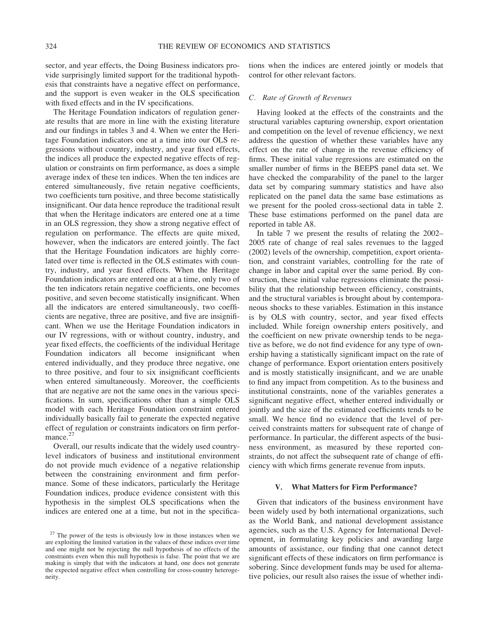sector, and year effects, the Doing Business indicators provide surprisingly limited support for the traditional hypothesis that constraints have a negative effect on performance, and the support is even weaker in the OLS specification with fixed effects and in the IV specifications.

The Heritage Foundation indicators of regulation generate results that are more in line with the existing literature and our findings in tables 3 and 4. When we enter the Heritage Foundation indicators one at a time into our OLS regressions without country, industry, and year fixed effects, the indices all produce the expected negative effects of regulation or constraints on firm performance, as does a simple average index of these ten indices. When the ten indices are entered simultaneously, five retain negative coefficients, two coefficients turn positive, and three become statistically insignificant. Our data hence reproduce the traditional result that when the Heritage indicators are entered one at a time in an OLS regression, they show a strong negative effect of regulation on performance. The effects are quite mixed, however, when the indicators are entered jointly. The fact that the Heritage Foundation indicators are highly correlated over time is reflected in the OLS estimates with country, industry, and year fixed effects. When the Heritage Foundation indicators are entered one at a time, only two of the ten indicators retain negative coefficients, one becomes positive, and seven become statistically insignificant. When all the indicators are entered simultaneously, two coefficients are negative, three are positive, and five are insignificant. When we use the Heritage Foundation indicators in our IV regressions, with or without country, industry, and year fixed effects, the coefficients of the individual Heritage Foundation indicators all become insignificant when entered individually, and they produce three negative, one to three positive, and four to six insignificant coefficients when entered simultaneously. Moreover, the coefficients that are negative are not the same ones in the various specifications. In sum, specifications other than a simple OLS model with each Heritage Foundation constraint entered individually basically fail to generate the expected negative effect of regulation or constraints indicators on firm performance.<sup>27</sup>

Overall, our results indicate that the widely used countrylevel indicators of business and institutional environment do not provide much evidence of a negative relationship between the constraining environment and firm performance. Some of these indicators, particularly the Heritage Foundation indices, produce evidence consistent with this hypothesis in the simplest OLS specifications when the indices are entered one at a time, but not in the specifications when the indices are entered jointly or models that control for other relevant factors.

### C. Rate of Growth of Revenues

Having looked at the effects of the constraints and the structural variables capturing ownership, export orientation and competition on the level of revenue efficiency, we next address the question of whether these variables have any effect on the rate of change in the revenue efficiency of firms. These initial value regressions are estimated on the smaller number of firms in the BEEPS panel data set. We have checked the comparability of the panel to the larger data set by comparing summary statistics and have also replicated on the panel data the same base estimations as we present for the pooled cross-sectional data in table 2. These base estimations performed on the panel data are reported in table A8.

In table 7 we present the results of relating the 2002– 2005 rate of change of real sales revenues to the lagged (2002) levels of the ownership, competition, export orientation, and constraint variables, controlling for the rate of change in labor and capital over the same period. By construction, these initial value regressions eliminate the possibility that the relationship between efficiency, constraints, and the structural variables is brought about by contemporaneous shocks to these variables. Estimation in this instance is by OLS with country, sector, and year fixed effects included. While foreign ownership enters positively, and the coefficient on new private ownership tends to be negative as before, we do not find evidence for any type of ownership having a statistically significant impact on the rate of change of performance. Export orientation enters positively and is mostly statistically insignificant, and we are unable to find any impact from competition. As to the business and institutional constraints, none of the variables generates a significant negative effect, whether entered individually or jointly and the size of the estimated coefficients tends to be small. We hence find no evidence that the level of perceived constraints matters for subsequent rate of change of performance. In particular, the different aspects of the business environment, as measured by these reported constraints, do not affect the subsequent rate of change of efficiency with which firms generate revenue from inputs.

#### V. What Matters for Firm Performance?

Given that indicators of the business environment have been widely used by both international organizations, such as the World Bank, and national development assistance agencies, such as the U.S. Agency for International Development, in formulating key policies and awarding large amounts of assistance, our finding that one cannot detect significant effects of these indicators on firm performance is sobering. Since development funds may be used for alternative policies, our result also raises the issue of whether indi-

 $27$  The power of the tests is obviously low in those instances when we are exploiting the limited variation in the values of these indices over time and one might not be rejecting the null hypothesis of no effects of the constraints even when this null hypothesis is false. The point that we are making is simply that with the indicators at hand, one does not generate the expected negative effect when controlling for cross-country heterogeneity.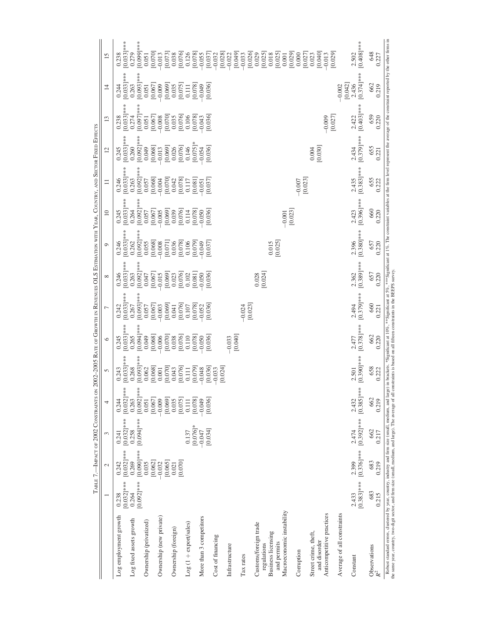|                                                                   |                        | $\mathcal{L}$          | 3                                  | 4                              | $\sqrt{2}$                     | $\circ$                        | $\overline{ }$                 | ${}^{\circ}$                   | 0                              | $\overline{10}$                | $\Box$                         | $\overline{c}$                     | 13                             | $\overline{4}$                    | $\overline{15}$                |
|-------------------------------------------------------------------|------------------------|------------------------|------------------------------------|--------------------------------|--------------------------------|--------------------------------|--------------------------------|--------------------------------|--------------------------------|--------------------------------|--------------------------------|------------------------------------|--------------------------------|-----------------------------------|--------------------------------|
| Log employment growth                                             | $0.032]***$<br>0.238   | $[0.032]$ ***<br>0.242 | $[0.032]$ ***<br>0.241             | $[0.032]$ ***<br>0.244         | $0.0331***$<br>0.243           | $0.0331***$<br>0.245           | $[0.033]$ ***<br>0.242         | $[0.033]$ ***<br>0.246         | $[0.033]$ ***<br>0.246         | $0.0331***$<br>0.245           | $[0.033]$ ***<br>0.246         | $0.033]$ ***<br>0.245              | $[0.033]$ ***<br>0.238         | $[0.033]$ ***<br>0.244            | $0.033]$ ***<br>0.238          |
| Log fixed assets growth                                           | $[0.092]$ ***<br>0.264 | $[0.090]$ ***<br>0.269 | 10.0941 ***<br>0.258               | $[0.092]$ ***<br>0.263         | 0.093]***<br>0.268             | ***[160'0<br>0.265             | $[0.093]$ ***<br>0.267         | $[0.092]$ ***<br>0.263         | $[0.092]$ ***<br>0.262         | $0.092$ ]***<br>0.264          | [0.092]***<br>0.263            | $[0.092]$ ***<br>0.260             | $[0.097]$ ***<br>0.274         | $[0.093]$ ***<br>0.263            | 10.099]***<br>0.279            |
| Ownership (privatized)                                            |                        | 0.035                  |                                    | 0.051                          | 0.062                          | 0.049                          | 0.057                          | 0.047                          | 0.055                          | 0.057                          | 0.057                          | 0.049                              | 0.051                          | 0.051                             | 0.051                          |
| Ownership (new private)                                           |                        | [0.062]<br>$-0.032$    |                                    | [0.067]<br>$-0.009$            | [0.068]<br>0.001               | [0.068]<br>$-0.006$            | [0.067]<br>$-0.003$            | [0.067]<br>$-0.015$            | [0.068]<br>$-0.008$            | [0.067]<br>$-0.005$            | [0.068]<br>$-0.004$            | [0.068]<br>$-0.013$                | [0.067]<br>$-0.008$            | [0.067]<br>$-0.009$               | [0.070]<br>$-0.013$            |
| Ownership (foreign)                                               |                        | [0.065]<br>0.021       |                                    | [0.069]<br>0.035               | [0.070]<br>0.043               | [0.070]<br>0.038               | [0.069]<br>0.041               | [0.069]<br>0.023               | [0.071]<br>0.036               | [0.069]<br>0.039               | [0.070]<br>0.042               | $[0.069]$<br>$0.026$               | [0.070]<br>0.035               | [0.069]<br>0.035                  | [0.073]<br>0.038               |
| Log (1 + export/sales)                                            |                        | [0.070]                | 0.137                              | [0.075]<br>0.111               | [0.076]<br>0.111               | [0.076]<br>0.110               | [0.076]<br>$0.107$             | [0.076]<br>0.102               | [0.078]<br>0.106               | [0.076]<br>0.114               | [0.078]<br>0.117               | [0.076]<br>0.146                   | [0.076]<br>0.106               | [0.075]<br>0.111                  | [0.076]<br>0.126               |
| More than 3 competitors                                           |                        |                        | $[0.076]$ *<br>[0.034]<br>$-0.047$ | [0.036]<br>[0.078]<br>$-0.049$ | [0.079]<br>[0.036]<br>$-0.048$ | [0.078]<br>[0.036]<br>$-0.050$ | [0.078]<br>[0.036]<br>$-0.052$ | [0.081]<br>[0.036]<br>$-0.050$ | [0.079]<br>[0.037]<br>$-0.049$ | [0.036]<br>[0.078]<br>$-0.050$ | [0.081]<br>[0.037]<br>$-0.051$ | $[0.075]$ *<br>[0.036]<br>$-0.054$ | [0.078]<br>[0.036]<br>$-0.043$ | [0.078]<br>[0.036]<br>$-0.049$    | [0.078]<br>[0.037]<br>$-0.055$ |
| Cost of financing                                                 |                        |                        |                                    |                                | $-0.033$                       |                                |                                |                                |                                |                                |                                |                                    |                                |                                   | $-0.032$                       |
| Infrastructure                                                    |                        |                        |                                    |                                | [0.024]                        | $-0.033$                       |                                |                                |                                |                                |                                |                                    |                                |                                   | [0.049]<br>[0.028]<br>$-0.022$ |
| Tax rates                                                         |                        |                        |                                    |                                |                                | [0.040]                        | [0.023]<br>$-0.024$            |                                |                                |                                |                                |                                    |                                |                                   | [0.026]<br>$-0.033$            |
| Customs/foreign trade<br>regulations                              |                        |                        |                                    |                                |                                |                                |                                | [0.024]<br>0.028               |                                |                                |                                |                                    |                                |                                   | [0.025]<br>0.029               |
| <b>Business licensing</b><br>and permits                          |                        |                        |                                    |                                |                                |                                |                                |                                | [0.025]<br>0.015               |                                |                                |                                    |                                |                                   | [0.025]<br>0.018               |
| Macroeconomic instability                                         |                        |                        |                                    |                                |                                |                                |                                |                                |                                | [0.023]<br>$-0.001$            |                                |                                    |                                |                                   | [0.029]<br>0.001               |
| Corruption                                                        |                        |                        |                                    |                                |                                |                                |                                |                                |                                |                                | [0.023]<br>$-0.007$            |                                    |                                |                                   | [0.027]<br>0.000               |
| Anticompetitive practices<br>Street crime, theft,<br>and disorder |                        |                        |                                    |                                |                                |                                |                                |                                |                                |                                |                                | [0.030]<br>0.004                   | $-0.009$                       |                                   | [0.040]<br>$-0.013$<br>0.023   |
| Average of all constraints                                        |                        |                        |                                    |                                |                                |                                |                                |                                |                                |                                |                                |                                    | [0.027]                        | $-0.002$                          | [0.029]                        |
| Constant                                                          | $[0.383]$ ***<br>2.433 | $[0.376]$ ***<br>2.399 | $[0.392]$ ***<br>2.474             | $[0.385]$ ***<br>2.432         | $[0.390]$ ***<br>2.501         | $[0.378]$ ***<br>2.477         | $[0.379]$ ***<br>2.494         | $[0.389]$ ***<br>2.362         | $[0.380]$ ***<br>2.396         | $[0.396]$ ***<br>2.423         | $[0.383]$ ***<br>2.435         | $[0.379]$ ***<br>2.434             | $[0.403]$ ***<br>2.422         | $[0.374]$ ***<br>[0.042]<br>2.436 | $[0.408]$ ***<br>2.502         |
| Observations<br>$R^2$                                             | 683<br>0.215           | 683<br>0.219           | 662<br>0.217                       | 662<br>0.219                   | 658<br>0.222                   | 662<br>0.220                   | 660<br>0.221                   | 657<br>0.220                   | 657<br>0.220                   | 660<br>0.220                   | 655<br>0.222                   | 655<br>0.221                       | 659<br>0.220                   | 662<br>0.219                      | 648<br>0.227                   |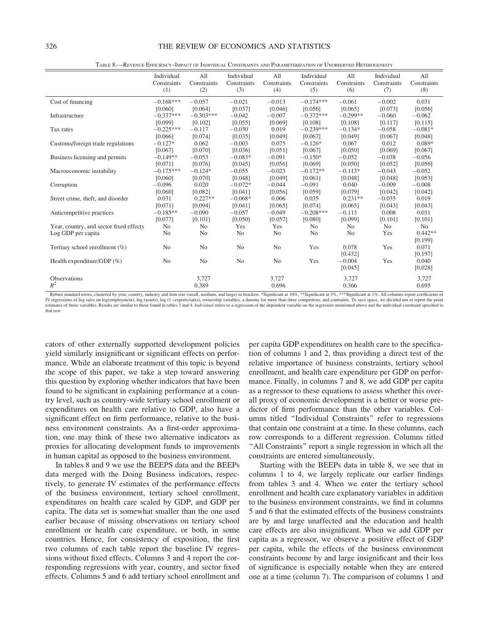|                                         | Individual<br>Constraints<br>(1) | All<br>Constraints<br>(2) | Individual<br>Constraints<br>(3) | All<br>Constraints<br>(4) | Individual<br>Constraints<br>(5) | All<br>Constraints<br>(6) | Individual<br>Constraints<br>(7) | All<br>Constraints<br>(8) |
|-----------------------------------------|----------------------------------|---------------------------|----------------------------------|---------------------------|----------------------------------|---------------------------|----------------------------------|---------------------------|
| Cost of financing                       | $-0.168***$                      | $-0.057$                  | $-0.021$                         | $-0.013$                  | $-0.174***$                      | $-0.061$                  | $-0.002$                         | 0.031                     |
|                                         | [0.060]                          | [0.064]                   | [0.037]                          | [0.046]                   | [0.056]                          | [0.065]                   | [0.073]                          | [0.056]                   |
| Infrastructure                          | $-0.337***$                      | $-0.303***$               | $-0.042$                         | $-0.007$                  | $-0.372***$                      | $-0.299**$                | $-0.060$                         | $-0.062$                  |
|                                         | [0.099]                          | [0.102]                   | [0.055]                          | [0.069]                   | [0.108]                          | [0.108]                   | [0.117]                          | [0.115]                   |
| Tax rates                               | $-0.225***$                      | $-0.117$                  | $-0.030$                         | 0.019                     | $-0.239***$                      | $-0.134*$                 | $-0.058$                         | $-0.081*$                 |
|                                         | [0.066]                          | [0.074]                   | [0.035]                          | [0.049]                   | [0.067]                          | [0.049]                   | [0.067]                          | [0.048]                   |
| Customs/foreign trade regulations       | $-0.127*$                        | 0.062                     | $-0.003$                         | 0.075                     | $-0.126*$                        | 0.067                     | 0.012                            | $0.089*$                  |
|                                         | [0.067]                          | [0.070]                   | [0.036]                          | [0.051]                   | [0.067]                          | [0.050]                   | [0.069]                          | [0.067]                   |
| Business licensing and permits          | $-0.149**$                       | $-0.053$                  | $-0.083*$                        | $-0.091$                  | $-0.150*$                        | $-0.052$                  | $-0.038$                         | $-0.056$                  |
|                                         | [0.071]                          | [0.076]                   | [0.045]                          | [0.056]                   | [0.069]                          | [0.050]                   | [0.052]                          | [0.056]                   |
| Macroeconomic instability               | $-0.175***$                      | $-0.124*$                 | $-0.055$                         | $-0.023$                  | $-0.172**$                       | $-0.113*$                 | $-0.043$                         | $-0.052$                  |
|                                         | [0.060]                          | [0.070]                   | [0.048]                          | [0.049]                   | [0.061]                          | [0.048]                   | [0.048]                          | [0.053]                   |
| Corruption                              | $-0.096$                         | 0.020                     | $-0.072*$                        | $-0.044$                  | $-0.091$                         | 0.040                     | $-0.009$                         | $-0.008$                  |
|                                         | [0.060]                          | [0.082]                   | [0.041]                          | [0.056]                   | [0.059]                          | [0.079]                   | [0.042]                          | [0.042]                   |
| Street crime, theft, and disorder       | 0.031                            | $0.227**$                 | $-0.068*$                        | 0.006                     | 0.035                            | $0.231**$                 | $-0.035$                         | 0.019                     |
|                                         | [0.071]                          | [0.094]                   | [0.041]                          | [0.065]                   | [0.074]                          | [0.065]                   | [0.043]                          | [0.043]                   |
| Anticompetitive practices               | $-0.185**$                       | $-0.090$                  | $-0.057$                         | $-0.049$                  | $-0.208***$                      | $-0.113$                  | 0.008                            | 0.031                     |
|                                         | [0.077]                          | [0.101]                   | [0.050]                          | [0.057]                   | [0.080]                          | [0.099]                   | [0.101]                          | [0.101]                   |
| Year, country, and sector fixed effects | N <sub>0</sub>                   | N <sub>0</sub>            | Yes                              | Yes                       | N <sub>0</sub>                   | N <sub>0</sub>            | N <sub>0</sub>                   | N <sub>0</sub>            |
| Log GDP per capita                      | N <sub>0</sub>                   | N <sub>0</sub>            | N <sub>o</sub>                   | N <sub>o</sub>            | N <sub>0</sub>                   | N <sub>0</sub>            | Yes                              | $0.442**$                 |
|                                         |                                  |                           |                                  |                           |                                  |                           |                                  | [0.199]                   |
| Tertiary school enrollment (%)          | N <sub>0</sub>                   | N <sub>0</sub>            | N <sub>0</sub>                   | N <sub>0</sub>            | Yes                              | 0.078                     | Yes                              | 0.071                     |
|                                         |                                  |                           |                                  |                           |                                  | [0.432]                   |                                  | [0.197]                   |
| Health expenditure/GDP $(\%)$           | N <sub>o</sub>                   | N <sub>o</sub>            | N <sub>0</sub>                   | N <sub>0</sub>            | Yes                              | $-0.004$                  | Yes                              | 0.040                     |
|                                         |                                  |                           |                                  |                           |                                  | [0.045]                   |                                  | [0.028]                   |
| Observations                            |                                  | 3,727                     |                                  | 3,727                     |                                  | 3,727                     |                                  | 3,727                     |
| $R^2$                                   |                                  | 0.389                     |                                  | 0.696                     |                                  | 0.366                     |                                  | 0.695                     |

TABLE 8.—REVENUE EFFICIENCY–IMPACT OF INDIVIDUAL CONSTRAINTS AND PARAMETERIZATION OF UNOBSERVED HETEROGENEITY

Robust standard errors, clustered by year, country, industry and firm size (small, medium, and large) in brackets. \*Significant at 10%, \*\*Significant at 5%, \*\*\*Significant at 1%. All columns report coefficients of IV regressions of log sales on log(employment), log (assets), log (1+exports/sales), ownership variables, a dummy for more than three competitors, and contraints. To save space, we decided not to report the point estimates of those variables. Results are similar to those found in tables 3 and 4. Individual refers to a regression of the dependent variable on the regressors mentioned above and the individual constraint specified in that row.

cators of other externally supported development policies yield similarly insignificant or significant effects on performance. While an elaborate treatment of this topic is beyond the scope of this paper, we take a step toward answering this question by exploring whether indicators that have been found to be significant in explaining performance at a country level, such as country-wide tertiary school enrollment or expenditures on health care relative to GDP, also have a significant effect on firm performance, relative to the business environment constraints. As a first-order approximation, one may think of these two alternative indicators as proxies for allocating development funds to improvements in human capital as opposed to the business environment.

In tables 8 and 9 we use the BEEPS data and the BEEPs data merged with the Doing Business indicators, respectively, to generate IV estimates of the performance effects of the business environment, tertiary school enrollment, expenditures on health care scaled by GDP, and GDP per capita. The data set is somewhat smaller than the one used earlier because of missing observations on tertiary school enrollment or health care expenditure, or both, in some countries. Hence, for consistency of exposition, the first two columns of each table report the baseline IV regressions without fixed effects. Columns 3 and 4 report the corresponding regressions with year, country, and sector fixed effects. Columns 5 and 6 add tertiary school enrollment and

per capita GDP expenditures on health care to the specification of columns 1 and 2, thus providing a direct test of the relative importance of business constraints, tertiary school enrollment, and health care expenditure per GDP on performance. Finally, in columns 7 and 8, we add GDP per capita as a regressor to these equations to assess whether this overall proxy of economic development is a better or worse predictor of firm performance than the other variables. Columns titled ''Individual Constraints'' refer to regressions that contain one constraint at a time. In these columns, each row corresponds to a different regression. Columns titled "All Constraints" report a single regression in which all the constraints are entered simultaneously.

Starting with the BEEPs data in table 8, we see that in columns 1 to 4, we largely replicate our earlier findings from tables 3 and 4. When we enter the tertiary school enrollment and health care explanatory variables in addition to the business environment constraints, we find in columns 5 and 6 that the estimated effects of the business constraints are by and large unaffected and the education and health care effects are also insignificant. When we add GDP per capita as a regressor, we observe a positive effect of GDP per capita, while the effects of the business environment constraints become by and large insignificant and their loss of significance is especially notable when they are entered one at a time (column 7). The comparison of columns 1 and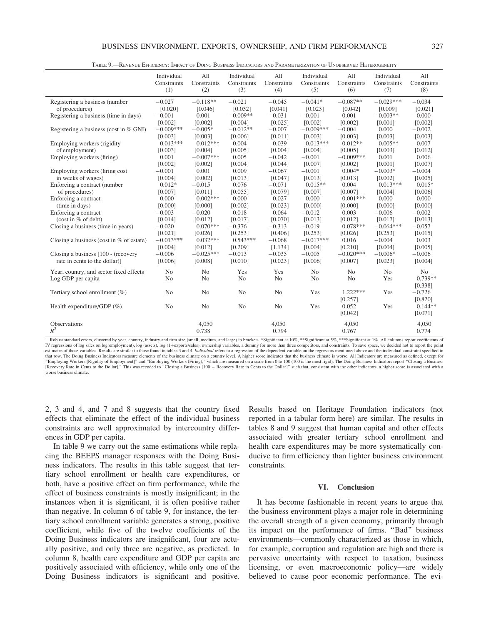|                                             | Individual     | All            | Individual     | All            | Individual     | All                   | Individual     | All                            |
|---------------------------------------------|----------------|----------------|----------------|----------------|----------------|-----------------------|----------------|--------------------------------|
|                                             | Constraints    | Constraints    | Constraints    | Constraints    | Constraints    | Constraints           | Constraints    | Constraints                    |
|                                             | (1)            | (2)            | (3)            | (4)            | (5)            | (6)                   | (7)            | (8)                            |
| Registering a business (number              | $-0.027$       | $-0.118**$     | $-0.021$       | $-0.045$       | $-0.041*$      | $-0.087**$            | $-0.029***$    | $-0.034$                       |
| of procedures)                              | [0.020]        | [0.046]        | [0.032]        | [0.041]        | [0.023]        | [0.042]               | [0.009]        | [0.021]                        |
| Registering a business (time in days)       | $-0.001$       | 0.001          | $-0.009**$     | $-0.031$       | $-0.001$       | 0.001                 | $-0.003**$     | $-0.000$                       |
|                                             | [0.002]        | [0.002]        | [0.004]        | [0.025]        | [0.002]        | [0.002]               | [0.001]        | [0.002]                        |
| Registering a business (cost in $%$ GNI)    | $-0.009***$    | $-0.005*$      | $-0.012**$     | $-0.007$       | $-0.009***$    | $-0.004$              | 0.000          | $-0.002$                       |
|                                             | [0.003]        | [0.003]        | [0.006]        | [0.011]        | [0.003]        | [0.003]               | [0.003]        | [0.003]                        |
| Employing workers (rigidity                 | $0.013***$     | $0.012***$     | 0.004          | 0.039          | $0.013***$     | $0.012**$             | $0.005**$      | $-0.007$                       |
| of employment)                              | [0.003]        | [0.004]        | [0.005]        | [0.004]        | [0.004]        | [0.005]               | [0.003]        | [0.012]                        |
| Employing workers (firing)                  | 0.001          | $-0.007***$    | 0.005          | $-0.042$       | $-0.001$       | $-0.009***$           | 0.001          | 0.006                          |
| Employing workers (firing cost              | [0.002]        | [0.002]        | [0.004]        | [0.044]        | [0.007]        | [0.002]               | [0.001]        | [0.007]                        |
|                                             | $-0.001$       | 0.001          | 0.009          | $-0.067$       | $-0.001$       | $0.004*$              | $-0.003*$      | $-0.004$                       |
| in weeks of wages)                          | [0.004]        | [0.002]        | [0.013]        | [0.047]        | [0.013]        | [0.013]               | [0.002]        | [0.005]                        |
| Enforcing a contract (number                | $0.012*$       | $-0.015$       | 0.076          | $-0.071$       | $0.015**$      | 0.004                 | $0.013***$     | $0.015*$                       |
| of procedures)                              | [0.007]        | [0.011]        | [0.055]        | [0.079]        | [0.007]        | [0.007]               | [0.004]        | [0.006]                        |
| Enforcing a contract                        | 0.000          | $0.002***$     | $-0.000$       | 0.027          | $-0.000$       | $0.001***$            | 0.000          | 0.000                          |
| (time in days)                              | [0.000]        | [0.000]        | [0.002]        | [0.023]        | [0.000]        | [0.000]               | [0.000]        | [0.000]                        |
| Enforcing a contract                        | $-0.003$       | $-0.020$       | 0.018          | 0.064          | $-0.012$       | 0.003                 | $-0.006$       | $-0.002$                       |
| (cost in % of debt)                         | [0.014]        | [0.012]        | [0.017]        | [0.070]        | [0.013]        | [0.012]               | [0.017]        | [0.013]                        |
| Closing a business (time in years)          | $-0.020$       | $0.070***$     | $-0.376$       | $-0.313$       | $-0.019$       | $0.078***$            | $-0.064***$    | $-0.057$                       |
|                                             | [0.021]        | [0.026]        | [0.253]        | [0.406]        | [0.253]        | [0.026]               | [0.253]        | [0.015]                        |
| Closing a business (cost in $\%$ of estate) | $-0.013***$    | $0.032***$     | $0.543***$     | $-0.068$       | $-0.017***$    | 0.016                 | $-0.004$       | 0.003                          |
|                                             | [0.004]        | [0.012]        | [0.209]        | [1.134]        | [0.004]        | [0.210]               | [0.004]        | [0.005]                        |
| Closing a business $[100 - (recovery)$      | $-0.006$       | $-0.025***$    | $-0.013$       | $-0.035$       | $-0.005$       | $-0.020***$           | $-0.006*$      | $-0.006$                       |
| rate in cents to the dollar)]               | [0.006]        | [0.008]        | [0.010]        | [0.023]        | [0.006]        | [0.007]               | [0.023]        | [0.004]                        |
| Year, country, and sector fixed effects     | No             | N <sub>o</sub> | Yes            | Yes            | N <sub>0</sub> | N <sub>0</sub>        | N <sub>0</sub> | N <sub>0</sub>                 |
| Log GDP per capita                          | N <sub>0</sub> | N <sub>o</sub> | N <sub>0</sub> | N <sub>o</sub> | N <sub>0</sub> | N <sub>0</sub>        | Yes            | $0.739**$                      |
| Tertiary school enrollment $(\%)$           | No             | N <sub>o</sub> | N <sub>o</sub> | N <sub>o</sub> | Yes            | $1.222***$<br>[0.257] | Yes            | [0.338]<br>$-0.726$<br>[0.820] |
| Health expenditure/GDP $(\%)$               | N <sub>0</sub> | N <sub>o</sub> | N <sub>o</sub> | N <sub>o</sub> | Yes            | 0.052<br>[0.042]      | Yes            | $0.144**$<br>[0.071]           |
| Observations<br>$R^2$                       |                | 4,050<br>0.738 |                | 4,050<br>0.794 |                | 4,050<br>0.767        |                | 4,050<br>0.774                 |

TABLE 9.—REVENUE EFFICIENCY: IMPACT OF DOING BUSINESS INDICATORS AND PARAMETERIZATION OF UNOBSERVED HETEROGENEITY

Robust standard errors, clustered by year, country, industry and firm size (small, medium, and large) in brackets. \*Significant at 10%, \*\*Significant at 5%, \*\*\*Significant at 1%. All columns report coefficients of IV regressions of log sales on log(employment), log (assets), log (1þexports/sales), ownership variables, a dummy for more than three competitors, and constraints. To save space, we decided not to report the point estimates of those variables. Results are similar to those found in tables 3 and 4. *Individual* refers to a regression of the dependent variable on the regressors mentioned above and the individual constraint specified in worse business climate.

2, 3 and 4, and 7 and 8 suggests that the country fixed effects that eliminate the effect of the individual business constraints are well approximated by intercountry differences in GDP per capita.

In table 9 we carry out the same estimations while replacing the BEEPS manager responses with the Doing Business indicators. The results in this table suggest that tertiary school enrollment or health care expenditures, or both, have a positive effect on firm performance, while the effect of business constraints is mostly insignificant; in the instances when it is significant, it is often positive rather than negative. In column 6 of table 9, for instance, the tertiary school enrollment variable generates a strong, positive coefficient, while five of the twelve coefficients of the Doing Business indicators are insignificant, four are actually positive, and only three are negative, as predicted. In column 8, health care expenditure and GDP per capita are positively associated with efficiency, while only one of the Doing Business indicators is significant and positive.

Results based on Heritage Foundation indicators (not reported in a tabular form here) are similar. The results in tables 8 and 9 suggest that human capital and other effects associated with greater tertiary school enrollment and health care expenditures may be more systematically conducive to firm efficiency than lighter business environment constraints.

#### VI. Conclusion

It has become fashionable in recent years to argue that the business environment plays a major role in determining the overall strength of a given economy, primarily through its impact on the performance of firms. ''Bad'' business environments—commonly characterized as those in which, for example, corruption and regulation are high and there is pervasive uncertainty with respect to taxation, business licensing, or even macroeconomic policy—are widely believed to cause poor economic performance. The evi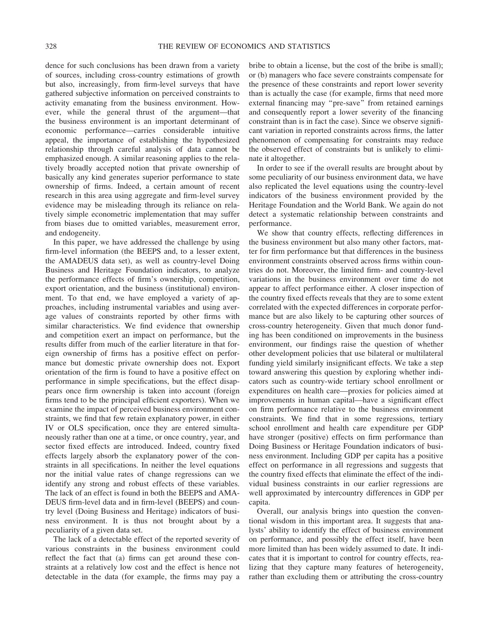dence for such conclusions has been drawn from a variety of sources, including cross-country estimations of growth but also, increasingly, from firm-level surveys that have gathered subjective information on perceived constraints to activity emanating from the business environment. However, while the general thrust of the argument—that the business environment is an important determinant of economic performance—carries considerable intuitive appeal, the importance of establishing the hypothesized relationship through careful analysis of data cannot be emphasized enough. A similar reasoning applies to the relatively broadly accepted notion that private ownership of basically any kind generates superior performance to state ownership of firms. Indeed, a certain amount of recent research in this area using aggregate and firm-level survey evidence may be misleading through its reliance on relatively simple econometric implementation that may suffer from biases due to omitted variables, measurement error, and endogeneity.

In this paper, we have addressed the challenge by using firm-level information (the BEEPS and, to a lesser extent, the AMADEUS data set), as well as country-level Doing Business and Heritage Foundation indicators, to analyze the performance effects of firm's ownership, competition, export orientation, and the business (institutional) environment. To that end, we have employed a variety of approaches, including instrumental variables and using average values of constraints reported by other firms with similar characteristics. We find evidence that ownership and competition exert an impact on performance, but the results differ from much of the earlier literature in that foreign ownership of firms has a positive effect on performance but domestic private ownership does not. Export orientation of the firm is found to have a positive effect on performance in simple specifications, but the effect disappears once firm ownership is taken into account (foreign firms tend to be the principal efficient exporters). When we examine the impact of perceived business environment constraints, we find that few retain explanatory power, in either IV or OLS specification, once they are entered simultaneously rather than one at a time, or once country, year, and sector fixed effects are introduced. Indeed, country fixed effects largely absorb the explanatory power of the constraints in all specifications. In neither the level equations nor the initial value rates of change regressions can we identify any strong and robust effects of these variables. The lack of an effect is found in both the BEEPS and AMA-DEUS firm-level data and in firm-level (BEEPS) and country level (Doing Business and Heritage) indicators of business environment. It is thus not brought about by a peculiarity of a given data set.

The lack of a detectable effect of the reported severity of various constraints in the business environment could reflect the fact that (a) firms can get around these constraints at a relatively low cost and the effect is hence not detectable in the data (for example, the firms may pay a bribe to obtain a license, but the cost of the bribe is small); or (b) managers who face severe constraints compensate for the presence of these constraints and report lower severity than is actually the case (for example, firms that need more external financing may ''pre-save'' from retained earnings and consequently report a lower severity of the financing constraint than is in fact the case). Since we observe significant variation in reported constraints across firms, the latter phenomenon of compensating for constraints may reduce the observed effect of constraints but is unlikely to eliminate it altogether.

In order to see if the overall results are brought about by some peculiarity of our business environment data, we have also replicated the level equations using the country-level indicators of the business environment provided by the Heritage Foundation and the World Bank. We again do not detect a systematic relationship between constraints and performance.

We show that country effects, reflecting differences in the business environment but also many other factors, matter for firm performance but that differences in the business environment constraints observed across firms within countries do not. Moreover, the limited firm- and country-level variations in the business environment over time do not appear to affect performance either. A closer inspection of the country fixed effects reveals that they are to some extent correlated with the expected differences in corporate performance but are also likely to be capturing other sources of cross-country heterogeneity. Given that much donor funding has been conditioned on improvements in the business environment, our findings raise the question of whether other development policies that use bilateral or multilateral funding yield similarly insignificant effects. We take a step toward answering this question by exploring whether indicators such as country-wide tertiary school enrollment or expenditures on health care—proxies for policies aimed at improvements in human capital—have a significant effect on firm performance relative to the business environment constraints. We find that in some regressions, tertiary school enrollment and health care expenditure per GDP have stronger (positive) effects on firm performance than Doing Business or Heritage Foundation indicators of business environment. Including GDP per capita has a positive effect on performance in all regressions and suggests that the country fixed effects that eliminate the effect of the individual business constraints in our earlier regressions are well approximated by intercountry differences in GDP per capita.

Overall, our analysis brings into question the conventional wisdom in this important area. It suggests that analysts' ability to identify the effect of business environment on performance, and possibly the effect itself, have been more limited than has been widely assumed to date. It indicates that it is important to control for country effects, realizing that they capture many features of heterogeneity, rather than excluding them or attributing the cross-country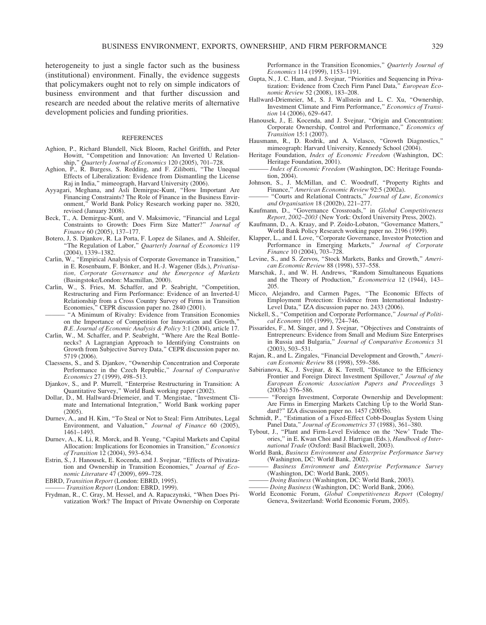heterogeneity to just a single factor such as the business (institutional) environment. Finally, the evidence suggests that policymakers ought not to rely on simple indicators of business environment and that further discussion and research are needed about the relative merits of alternative development policies and funding priorities.

#### REFERENCES

- Aghion, P., Richard Blundell, Nick Bloom, Rachel Griffith, and Peter Howitt, "Competition and Innovation: An Inverted U Relationship,'' Quarterly Journal of Economics 120 (2005), 701–728.
- Aghion, P., R. Burgess, S. Redding, and F. Zilibotti, "The Unequal Effects of Liberalization: Evidence from Dismantling the License Raj in India,'' mimeograph, Harvard University (2006).
- Ayyagari, Meghana, and Asli Demirguc-Kunt, ''How Important Are Financing Constraints? The Role of Finance in the Business Envir-<br>onment." World Bank Policy Research working paper no. 3820. World Bank Policy Research working paper no. 3820, revised (January 2008).
- Beck, T., A. Demirguc-Kunt, and V. Maksimovic, "Financial and Legal Constraints to Growth: Does Firm Size Matter?'' Journal of Finance 60 (2005), 137–177.
- Botero, J, S. Djankov, R. La Porta, F. Lopez de Silanes, and A. Shleifer, "The Regulation of Labor," Quarterly Journal of Economics 119 (2004), 1339–1382.
- Carlin, W., ''Empirical Analysis of Corporate Governance in Transition,'' in E. Rosenbaum, F. Bönker, and H.-J. Wagener (Eds.), Privatisation, Corporate Governance and the Emergence of Markets (Basingstoke/London: Macmillan, 2000).
- Carlin, W., S. Fries, M. Schaffer, and P. Seabright, ''Competition, Restructuring and Firm Performance: Evidence of an Inverted-U Relationship from a Cross Country Survey of Firms in Transition Economies,'' CEPR discussion paper no. 2840 (2001).
- "A Minimum of Rivalry: Evidence from Transition Economies on the Importance of Competition for Innovation and Growth,'' B.E. Journal of Economic Analysis & Policy 3:1 (2004), article 17.
- Carlin, W., M. Schaffer, and P. Seabright, ''Where Are the Real Bottlenecks? A Lagrangian Approach to Identifying Constraints on Growth from Subjective Survey Data,'' CEPR discussion paper no. 5719 (2006).
- Claessens, S., and S. Djankov, ''Ownership Concentration and Corporate Performance in the Czech Republic," Journal of Comparative Economics 27 (1999), 498–513.
- Djankov, S., and P. Murrell, ''Enterprise Restructuring in Transition: A Quantitative Survey,'' World Bank working paper (2002).
- Dollar, D., M. Hallward-Driemeier, and T. Mengistae, ''Investment Climate and International Integration,'' World Bank working paper (2005).
- Durnev, A., and H. Kim, ''To Steal or Not to Steal: Firm Attributes, Legal Environment, and Valuation," Journal of Finance 60 (2005), 1461–1493.
- Durnev, A., K. Li, R. Morck, and B. Yeung, ''Capital Markets and Capital Allocation: Implications for Economies in Transition,'' Economics of Transition 12 (2004), 593–634.
- Estrin, S., J. Hanousek, E. Kocenda, and J. Svejnar, "Effects of Privatization and Ownership in Transition Economies," Journal of Economic Literature 47 (2009), 699–728.

EBRD, Transition Report (London: EBRD, 1995).

Transition Report (London: EBRD, 1999).

Frydman, R., C. Gray, M. Hessel, and A. Rapaczynski, ''When Does Privatization Work? The Impact of Private Ownership on Corporate Performance in the Transition Economies," Quarterly Journal of Economics 114 (1999), 1153–1191.

- Gupta, N., J. C. Ham, and J. Svejnar, ''Priorities and Sequencing in Privatization: Evidence from Czech Firm Panel Data," European Economic Review 52 (2008), 183–208.
- Hallward-Driemeier, M., S. J. Wallstein and L. C. Xu, ''Ownership, Investment Climate and Firm Performance,'' Economics of Transition 14 (2006), 629–647.
- Hanousek, J., E. Kocenda, and J. Svejnar, "Origin and Concentration: Corporate Ownership, Control and Performance,'' Economics of Transition 15:1 (2007).
- Hausmann, R., D. Rodrik, and A. Velasco, "Growth Diagnostics," mimeograph: Harvard University, Kennedy School (2004).
- Heritage Foundation, Index of Economic Freedom (Washington, DC: Heritage Foundation, 2001).
- Index of Economic Freedom (Washington, DC: Heritage Founda- $\frac{1}{100}$ . 2004).
- Johnson, S., J. McMillan, and C. Woodruff, ''Property Rights and Finance," American Economic Review 92:5 (2002a).
- ——— ''Courts and Relational Contracts,'' Journal of Law, Economics and Organisation 18 (2002b), 221–277.
- Kaufmann, D., "Governance Crossroads," in Global Competitiveness Report, 2002–2003 (New York: Oxford University Press, 2002).
- Kaufmann, D., A. Kraay, and P. Zoido-Lobaton, ''Governance Matters,'' World Bank Policy Research working paper no. 2196 (1999).
- Klapper, L., and I. Love, ''Corporate Governance, Investor Protection and Performance in Emerging Markets," Journal of Corporate Finance 10 (2004), 703–728.
- Levine, S., and S. Zervos, "Stock Markets, Banks and Growth," American Economic Review 88 (1998), 537–558.
- Marschak, J., and W. H. Andrews, ''Random Simultaneous Equations and the Theory of Production," Econometrica 12 (1944), 143-205.
- Micco, Alejandro, and Carmen Pages, ''The Economic Effects of Employment Protection: Evidence from International Industry-Level Data,'' IZA discussion paper no. 2433 (2006).
- Nickell, S., "Competition and Corporate Performance," Journal of Political Economy 105 (1999), 724–746.
- Pissarides, F., M. Singer, and J. Svejnar, "Objectives and Constraints of Entrepreneurs: Evidence from Small and Medium Size Enterprises in Russia and Bulgaria,'' Journal of Comparative Economics 31  $(2003)$ , 503–531.
- Rajan, R., and L. Zingales, "Financial Development and Growth," American Economic Review 88 (1998), 559–586.
- Sabirianova, K., J. Svejnar, & K. Terrell, "Distance to the Efficiency Frontier and Foreign Direct Investment Spillover," Journal of the European Economic Association Papers and Proceedings 3 (2005a) 576–586.
- ——— ''Foreign Investment, Corporate Ownership and Development: Are Firms in Emerging Markets Catching Up to the World Standard?'' IZA discussion paper no. 1457 (2005b).
- Schmidt, P., "Estimation of a Fixed-Effect Cobb-Douglas System Using Panel Data," Journal of Econometrics 37 (1988), 361-380.
- Tybout, J., ''Plant and Firm-Level Evidence on the 'New' Trade Theories," in E. Kwan Choi and J. Harrigan (Eds.), Handbook of International Trade (Oxford: Basil Blackwell, 2003).
- World Bank, Business Environment and Enterprise Performance Survey (Washington, DC: World Bank, 2002).
- Business Environment and Enterprise Performance Survey (Washington, DC: World Bank, 2005).
- ——— Doing Business (Washington, DC: World Bank, 2003).
- ——— Doing Business (Washington, DC: World Bank, 2006).
- World Economic Forum, Global Competitiveness Report (Cologny/ Geneva, Switzerland: World Economic Forum, 2005).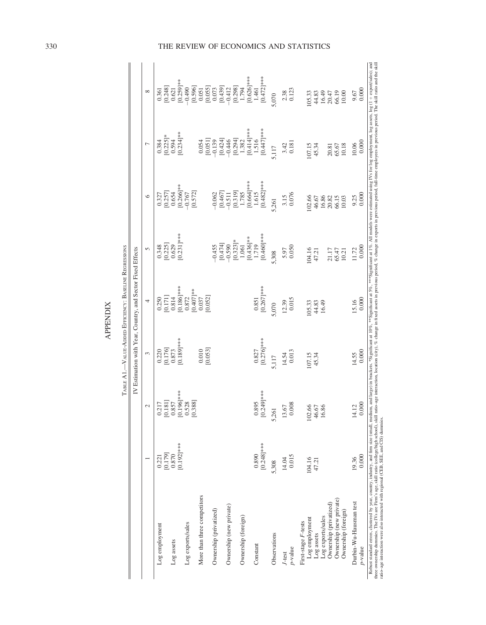| $[0.626]$ ***<br>$[0.472]$ ***<br>$[0.259]$ **<br>[0.439]<br>[0.248]<br>[0.596]<br>[0.298]<br>[0.055]<br>$-0.490$<br>1.461<br>0.073<br>$-0.412$<br>0.621<br>0.051<br>0.000<br>0.123<br>0.361<br>2.38<br>$\infty$<br>9.67<br>105.33<br>44.83<br>16.49<br>66.19<br>10.00<br>20.47<br>5,070<br>$[0.447]$ ***<br>$[0.414]$ ***<br>$[0.234]$ **<br>$[0.225]$ *<br>[0.294]<br>[0.051]<br>1.516<br>0.594<br>[0.424]<br>1.382<br>$-0.446$<br>0.000<br>0.054<br>$-0.139$<br>0.384<br>0.181<br>$\overline{ }$<br>3.42<br>10.06<br>107.15<br>10.18<br>45.34<br>$\frac{20.81}{65.67}$<br>5,117<br>$[0.664]$ ***<br>$[0.482]$ ***<br>$[0.266]$ **<br>[0.572]<br>[0.319]<br>$[0.257]$<br>$0.654$<br>1.615<br>$[0.467]$<br>-0.511<br>1.785<br>$-0.767$<br>$-0.062$<br>3.15<br>0.076<br>9.25<br>0.000<br>0.327<br>$\circ$<br>$\begin{array}{r} 102.66 \\ 46.67 \\ 16.86 \\ 10.82 \\ 06.15 \end{array}$<br>10.03<br>5,261<br>$0.231$ ]***<br>$[0.460]$ ***<br>$[0.436]$ **<br>1.719<br>$[0.323]$ *<br>[0.474]<br>[0.225]<br>0.629<br>$-0.590$<br>1.061<br>$-0.455$<br>0.348<br>0.000<br>0.050<br>5<br>5.97<br>104.16<br>11.72<br>$21.17$<br>65.47<br>10.21<br>47.21<br>5,308<br>$0.186$ ]***<br>$[0.267]$ ***<br>$0.407$ ]**<br>[0.171]<br>[0.052]<br>0.814<br>0.000<br>0.872<br>0.037<br>0.851<br>0.015<br>0.250<br>15.16<br>4<br>12.39<br>105.33<br>44.83<br>16.49<br>5,070<br>$0.189]$ ***<br>$[0.276]$ ***<br>[0.176]<br>[0.053]<br>0.827<br>0.873<br>$0.010\,$<br>0.000<br>0.220<br>0.013<br>3<br>14.55<br>14.54<br>107.15<br>45.34<br>5,117<br>$\begin{array}{c} [0.181] \\ 0.857 \\ [0.196] ^{***} \\ 0.528 \end{array}$<br>$[0.249]$ ***<br>[0.388]<br>0.895<br>0.000<br>0.217<br>0.008<br>$\sim$<br>14.12<br>13.67<br>102.66<br>46.67<br>16.86<br>5,261<br>$0.192]***$<br>$[0.248]$ ***<br>0.890<br>[0.179]<br>$0.870\,$<br>0.000<br>0.015<br>0.221<br>19.36<br>104.16<br>14.04<br>47.21<br>5,308<br>More than three competitors<br>Ownership (new private)<br>Durbin-Wu-Hausman test<br>Ownership (privatized)<br>Ownership (new private)<br>Ownership (privatized)<br>Ownership (foreign)<br>Ownership (foreign)<br>Log exports/sales<br>Log employment<br>First-stage F-tests<br>Log exports/sales<br>Log employment<br>Log assets<br>Observations<br>Log assets<br>Constant<br>p-value<br>p-value<br>J-test |                                                                                       |  | TABLE A1.-VALUE-ADDED EFFICIENCY: BASELINE REGRESSIONS<br>IV Estimation with Year, Country, and Sector Fixed Effects |  |  |
|---------------------------------------------------------------------------------------------------------------------------------------------------------------------------------------------------------------------------------------------------------------------------------------------------------------------------------------------------------------------------------------------------------------------------------------------------------------------------------------------------------------------------------------------------------------------------------------------------------------------------------------------------------------------------------------------------------------------------------------------------------------------------------------------------------------------------------------------------------------------------------------------------------------------------------------------------------------------------------------------------------------------------------------------------------------------------------------------------------------------------------------------------------------------------------------------------------------------------------------------------------------------------------------------------------------------------------------------------------------------------------------------------------------------------------------------------------------------------------------------------------------------------------------------------------------------------------------------------------------------------------------------------------------------------------------------------------------------------------------------------------------------------------------------------------------------------------------------------------------------------------------------------------------------------------------------------------------------------------------------------------------------------------------------------------------------------------------------------------------------------------------------------------------------------------------------------------------------------------------------------------------------------------------------------------|---------------------------------------------------------------------------------------|--|----------------------------------------------------------------------------------------------------------------------|--|--|
|                                                                                                                                                                                                                                                                                                                                                                                                                                                                                                                                                                                                                                                                                                                                                                                                                                                                                                                                                                                                                                                                                                                                                                                                                                                                                                                                                                                                                                                                                                                                                                                                                                                                                                                                                                                                                                                                                                                                                                                                                                                                                                                                                                                                                                                                                                         |                                                                                       |  |                                                                                                                      |  |  |
|                                                                                                                                                                                                                                                                                                                                                                                                                                                                                                                                                                                                                                                                                                                                                                                                                                                                                                                                                                                                                                                                                                                                                                                                                                                                                                                                                                                                                                                                                                                                                                                                                                                                                                                                                                                                                                                                                                                                                                                                                                                                                                                                                                                                                                                                                                         |                                                                                       |  |                                                                                                                      |  |  |
|                                                                                                                                                                                                                                                                                                                                                                                                                                                                                                                                                                                                                                                                                                                                                                                                                                                                                                                                                                                                                                                                                                                                                                                                                                                                                                                                                                                                                                                                                                                                                                                                                                                                                                                                                                                                                                                                                                                                                                                                                                                                                                                                                                                                                                                                                                         |                                                                                       |  |                                                                                                                      |  |  |
|                                                                                                                                                                                                                                                                                                                                                                                                                                                                                                                                                                                                                                                                                                                                                                                                                                                                                                                                                                                                                                                                                                                                                                                                                                                                                                                                                                                                                                                                                                                                                                                                                                                                                                                                                                                                                                                                                                                                                                                                                                                                                                                                                                                                                                                                                                         |                                                                                       |  |                                                                                                                      |  |  |
|                                                                                                                                                                                                                                                                                                                                                                                                                                                                                                                                                                                                                                                                                                                                                                                                                                                                                                                                                                                                                                                                                                                                                                                                                                                                                                                                                                                                                                                                                                                                                                                                                                                                                                                                                                                                                                                                                                                                                                                                                                                                                                                                                                                                                                                                                                         |                                                                                       |  |                                                                                                                      |  |  |
|                                                                                                                                                                                                                                                                                                                                                                                                                                                                                                                                                                                                                                                                                                                                                                                                                                                                                                                                                                                                                                                                                                                                                                                                                                                                                                                                                                                                                                                                                                                                                                                                                                                                                                                                                                                                                                                                                                                                                                                                                                                                                                                                                                                                                                                                                                         |                                                                                       |  |                                                                                                                      |  |  |
|                                                                                                                                                                                                                                                                                                                                                                                                                                                                                                                                                                                                                                                                                                                                                                                                                                                                                                                                                                                                                                                                                                                                                                                                                                                                                                                                                                                                                                                                                                                                                                                                                                                                                                                                                                                                                                                                                                                                                                                                                                                                                                                                                                                                                                                                                                         |                                                                                       |  |                                                                                                                      |  |  |
|                                                                                                                                                                                                                                                                                                                                                                                                                                                                                                                                                                                                                                                                                                                                                                                                                                                                                                                                                                                                                                                                                                                                                                                                                                                                                                                                                                                                                                                                                                                                                                                                                                                                                                                                                                                                                                                                                                                                                                                                                                                                                                                                                                                                                                                                                                         |                                                                                       |  |                                                                                                                      |  |  |
|                                                                                                                                                                                                                                                                                                                                                                                                                                                                                                                                                                                                                                                                                                                                                                                                                                                                                                                                                                                                                                                                                                                                                                                                                                                                                                                                                                                                                                                                                                                                                                                                                                                                                                                                                                                                                                                                                                                                                                                                                                                                                                                                                                                                                                                                                                         |                                                                                       |  |                                                                                                                      |  |  |
|                                                                                                                                                                                                                                                                                                                                                                                                                                                                                                                                                                                                                                                                                                                                                                                                                                                                                                                                                                                                                                                                                                                                                                                                                                                                                                                                                                                                                                                                                                                                                                                                                                                                                                                                                                                                                                                                                                                                                                                                                                                                                                                                                                                                                                                                                                         |                                                                                       |  |                                                                                                                      |  |  |
|                                                                                                                                                                                                                                                                                                                                                                                                                                                                                                                                                                                                                                                                                                                                                                                                                                                                                                                                                                                                                                                                                                                                                                                                                                                                                                                                                                                                                                                                                                                                                                                                                                                                                                                                                                                                                                                                                                                                                                                                                                                                                                                                                                                                                                                                                                         |                                                                                       |  |                                                                                                                      |  |  |
|                                                                                                                                                                                                                                                                                                                                                                                                                                                                                                                                                                                                                                                                                                                                                                                                                                                                                                                                                                                                                                                                                                                                                                                                                                                                                                                                                                                                                                                                                                                                                                                                                                                                                                                                                                                                                                                                                                                                                                                                                                                                                                                                                                                                                                                                                                         |                                                                                       |  |                                                                                                                      |  |  |
|                                                                                                                                                                                                                                                                                                                                                                                                                                                                                                                                                                                                                                                                                                                                                                                                                                                                                                                                                                                                                                                                                                                                                                                                                                                                                                                                                                                                                                                                                                                                                                                                                                                                                                                                                                                                                                                                                                                                                                                                                                                                                                                                                                                                                                                                                                         |                                                                                       |  |                                                                                                                      |  |  |
|                                                                                                                                                                                                                                                                                                                                                                                                                                                                                                                                                                                                                                                                                                                                                                                                                                                                                                                                                                                                                                                                                                                                                                                                                                                                                                                                                                                                                                                                                                                                                                                                                                                                                                                                                                                                                                                                                                                                                                                                                                                                                                                                                                                                                                                                                                         |                                                                                       |  |                                                                                                                      |  |  |
|                                                                                                                                                                                                                                                                                                                                                                                                                                                                                                                                                                                                                                                                                                                                                                                                                                                                                                                                                                                                                                                                                                                                                                                                                                                                                                                                                                                                                                                                                                                                                                                                                                                                                                                                                                                                                                                                                                                                                                                                                                                                                                                                                                                                                                                                                                         |                                                                                       |  |                                                                                                                      |  |  |
|                                                                                                                                                                                                                                                                                                                                                                                                                                                                                                                                                                                                                                                                                                                                                                                                                                                                                                                                                                                                                                                                                                                                                                                                                                                                                                                                                                                                                                                                                                                                                                                                                                                                                                                                                                                                                                                                                                                                                                                                                                                                                                                                                                                                                                                                                                         |                                                                                       |  |                                                                                                                      |  |  |
|                                                                                                                                                                                                                                                                                                                                                                                                                                                                                                                                                                                                                                                                                                                                                                                                                                                                                                                                                                                                                                                                                                                                                                                                                                                                                                                                                                                                                                                                                                                                                                                                                                                                                                                                                                                                                                                                                                                                                                                                                                                                                                                                                                                                                                                                                                         |                                                                                       |  |                                                                                                                      |  |  |
|                                                                                                                                                                                                                                                                                                                                                                                                                                                                                                                                                                                                                                                                                                                                                                                                                                                                                                                                                                                                                                                                                                                                                                                                                                                                                                                                                                                                                                                                                                                                                                                                                                                                                                                                                                                                                                                                                                                                                                                                                                                                                                                                                                                                                                                                                                         |                                                                                       |  |                                                                                                                      |  |  |
|                                                                                                                                                                                                                                                                                                                                                                                                                                                                                                                                                                                                                                                                                                                                                                                                                                                                                                                                                                                                                                                                                                                                                                                                                                                                                                                                                                                                                                                                                                                                                                                                                                                                                                                                                                                                                                                                                                                                                                                                                                                                                                                                                                                                                                                                                                         |                                                                                       |  |                                                                                                                      |  |  |
|                                                                                                                                                                                                                                                                                                                                                                                                                                                                                                                                                                                                                                                                                                                                                                                                                                                                                                                                                                                                                                                                                                                                                                                                                                                                                                                                                                                                                                                                                                                                                                                                                                                                                                                                                                                                                                                                                                                                                                                                                                                                                                                                                                                                                                                                                                         |                                                                                       |  |                                                                                                                      |  |  |
|                                                                                                                                                                                                                                                                                                                                                                                                                                                                                                                                                                                                                                                                                                                                                                                                                                                                                                                                                                                                                                                                                                                                                                                                                                                                                                                                                                                                                                                                                                                                                                                                                                                                                                                                                                                                                                                                                                                                                                                                                                                                                                                                                                                                                                                                                                         |                                                                                       |  |                                                                                                                      |  |  |
|                                                                                                                                                                                                                                                                                                                                                                                                                                                                                                                                                                                                                                                                                                                                                                                                                                                                                                                                                                                                                                                                                                                                                                                                                                                                                                                                                                                                                                                                                                                                                                                                                                                                                                                                                                                                                                                                                                                                                                                                                                                                                                                                                                                                                                                                                                         |                                                                                       |  |                                                                                                                      |  |  |
|                                                                                                                                                                                                                                                                                                                                                                                                                                                                                                                                                                                                                                                                                                                                                                                                                                                                                                                                                                                                                                                                                                                                                                                                                                                                                                                                                                                                                                                                                                                                                                                                                                                                                                                                                                                                                                                                                                                                                                                                                                                                                                                                                                                                                                                                                                         |                                                                                       |  |                                                                                                                      |  |  |
| three ownership dummies. The IVs are Firm's age, skill ratio (college/high school), skill ratio-age interaction, location (city), % change in fixed assets in previous period, in exports in previous period, full-time employ                                                                                                                                                                                                                                                                                                                                                                                                                                                                                                                                                                                                                                                                                                                                                                                                                                                                                                                                                                                                                                                                                                                                                                                                                                                                                                                                                                                                                                                                                                                                                                                                                                                                                                                                                                                                                                                                                                                                                                                                                                                                          | ratio-age interaction were also interacted with regional (CEB, SEE, and CIS) dummies. |  |                                                                                                                      |  |  |

**APPENDIX** APPENDIX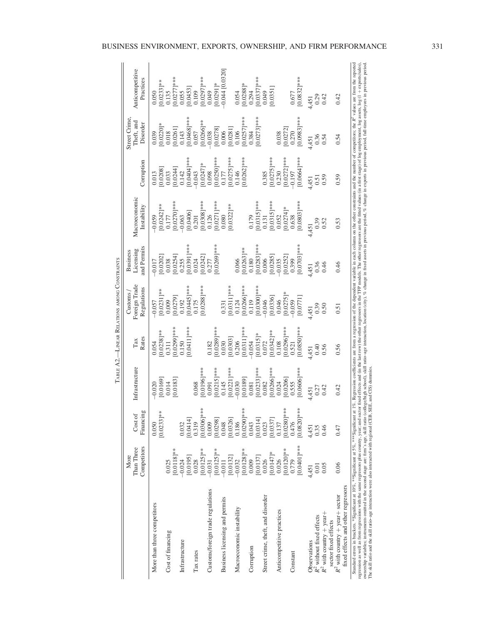|                                                                                                                                                                                                                                                                                                                                                                                                                                                                                                                                                                                                                                                                                                    |                        |                         |                       |                                | TABLE A2.-LINEAR RELATIONS AMONG CONSTRAINTS                                                                                                                                                                                                                                                       |                                                                                                     |                                                                 |                                                                                                                                   |                                                                                                           |                                                                                                                                                                                                                            |
|----------------------------------------------------------------------------------------------------------------------------------------------------------------------------------------------------------------------------------------------------------------------------------------------------------------------------------------------------------------------------------------------------------------------------------------------------------------------------------------------------------------------------------------------------------------------------------------------------------------------------------------------------------------------------------------------------|------------------------|-------------------------|-----------------------|--------------------------------|----------------------------------------------------------------------------------------------------------------------------------------------------------------------------------------------------------------------------------------------------------------------------------------------------|-----------------------------------------------------------------------------------------------------|-----------------------------------------------------------------|-----------------------------------------------------------------------------------------------------------------------------------|-----------------------------------------------------------------------------------------------------------|----------------------------------------------------------------------------------------------------------------------------------------------------------------------------------------------------------------------------|
|                                                                                                                                                                                                                                                                                                                                                                                                                                                                                                                                                                                                                                                                                                    | Than Three<br>More     | Cost of                 | Infrastructure        | $\operatorname{Tax}$           | Foreign Trade<br>Customs                                                                                                                                                                                                                                                                           | Licensing<br><b>Business</b>                                                                        | Macroeconomic                                                   |                                                                                                                                   | Street Crime.<br>Theft, and                                                                               | Anticompetitive                                                                                                                                                                                                            |
|                                                                                                                                                                                                                                                                                                                                                                                                                                                                                                                                                                                                                                                                                                    | Competitors            | Financing               |                       | Rates                          | Regulations                                                                                                                                                                                                                                                                                        | and Permits                                                                                         | Instability                                                     | Corruption                                                                                                                        | Disorder                                                                                                  | Practices                                                                                                                                                                                                                  |
| More than three competitors                                                                                                                                                                                                                                                                                                                                                                                                                                                                                                                                                                                                                                                                        |                        | 0.050                   | $-0.020$              | 0.054                          | $-0.057$                                                                                                                                                                                                                                                                                           | $-0.017$                                                                                            |                                                                 |                                                                                                                                   | 0.039                                                                                                     | 0.050                                                                                                                                                                                                                      |
|                                                                                                                                                                                                                                                                                                                                                                                                                                                                                                                                                                                                                                                                                                    |                        | $[0.0233]$ **           | [0.0169]              | $0.0238$ ]**                   |                                                                                                                                                                                                                                                                                                    | $\begin{array}{c} \textbf{[0.0202]} \\ \textbf{0.038} \end{array}$                                  |                                                                 |                                                                                                                                   |                                                                                                           |                                                                                                                                                                                                                            |
| Cost of financing                                                                                                                                                                                                                                                                                                                                                                                                                                                                                                                                                                                                                                                                                  | 0.025                  |                         | 0.014                 | 0.311                          | $[0.0231]$ **<br>0.009                                                                                                                                                                                                                                                                             |                                                                                                     | $-0.059$<br>[0.0242]**<br>0.177                                 |                                                                                                                                   |                                                                                                           |                                                                                                                                                                                                                            |
|                                                                                                                                                                                                                                                                                                                                                                                                                                                                                                                                                                                                                                                                                                    | $[0.0118]$ **          |                         | [0.0183]              | $0.02991***$                   | [0.0279]                                                                                                                                                                                                                                                                                           | [0.0254]                                                                                            | $[0.0270]$ ***                                                  | $\begin{array}{c} 0.013\\ [0.0208]\\ [0.023]\\ [0.033\\ [0.0244]\\ [0.0404]^{***}\\ [0.0404]^{***}\\ [-0.043\\ \end{array}$       | $\begin{array}{c} [0.0220]^{*}\\ 0.018\\ 0.0261]\\ [0.0261]\\ 0.143\\ [0.0468]^{***}\\ 0.057 \end{array}$ |                                                                                                                                                                                                                            |
| Infrastructure                                                                                                                                                                                                                                                                                                                                                                                                                                                                                                                                                                                                                                                                                     | $-0.024$               | 0.032                   |                       | 0.150                          | $0.192$<br>[0.0445]***                                                                                                                                                                                                                                                                             | 0.255                                                                                               | $-0.063$                                                        |                                                                                                                                   |                                                                                                           |                                                                                                                                                                                                                            |
|                                                                                                                                                                                                                                                                                                                                                                                                                                                                                                                                                                                                                                                                                                    | [0.0195]               | [0.0414]                |                       | $[0.0411]$ ***                 |                                                                                                                                                                                                                                                                                                    | $0.0391]$ ***                                                                                       | [0.0406]                                                        |                                                                                                                                   |                                                                                                           |                                                                                                                                                                                                                            |
| Tax rates                                                                                                                                                                                                                                                                                                                                                                                                                                                                                                                                                                                                                                                                                          | $[0.0125]$ **<br>0.028 | $[0.0306]$ ***<br>0.319 | $0.01961$ **<br>0.068 |                                | $0.02881***$<br>0.175                                                                                                                                                                                                                                                                              | [0.0242]<br>0.024                                                                                   | $[0.0308]$ ***<br>0.201                                         |                                                                                                                                   | $[0.0266]$ **                                                                                             | $\begin{array}{l} [0.0233]^{***} \\ 0.15 \\ 0.0577]^{***} \\ [0.0277]^{***} \\ [0.055 \\ 0.053 \\ [0.0453] \\ [0.0297]^{***} \\ [0.0291]^{**} \\ [0.0291]^{**} \\ [0.0291]^{**} \\ [0.0291]^{**} \\ [-0.0320] \end{array}$ |
| Customs/foreign trade regulations                                                                                                                                                                                                                                                                                                                                                                                                                                                                                                                                                                                                                                                                  | $-0.031$               | 0.009                   | 0.091                 |                                |                                                                                                                                                                                                                                                                                                    | 0.277                                                                                               | 0.126                                                           | $[0.0247]$ *<br>0.098                                                                                                             | $-0.038$                                                                                                  |                                                                                                                                                                                                                            |
|                                                                                                                                                                                                                                                                                                                                                                                                                                                                                                                                                                                                                                                                                                    | $[0.0125]$ **          | [0.0298]                | $0.0215$ ]***         | $\frac{0.182}{[0.0289]^{***}}$ |                                                                                                                                                                                                                                                                                                    | $0.0269$ ]***                                                                                       | $[0.0271]$ ***                                                  | $0.0250$ ]***                                                                                                                     |                                                                                                           |                                                                                                                                                                                                                            |
| Business licensing and permits                                                                                                                                                                                                                                                                                                                                                                                                                                                                                                                                                                                                                                                                     | $-0.011$               | 0.048                   | 0.145                 | 0.030                          |                                                                                                                                                                                                                                                                                                    |                                                                                                     | 0.080                                                           | $\begin{bmatrix} 0.177 \\ 0.0275 \end{bmatrix}$ ***<br>0.146                                                                      | $[0.0278]$<br>$0.006$                                                                                     |                                                                                                                                                                                                                            |
|                                                                                                                                                                                                                                                                                                                                                                                                                                                                                                                                                                                                                                                                                                    | [0.0132]               | [0.0326]                | $[0.0221]$ ***        | [0.0303]                       |                                                                                                                                                                                                                                                                                                    |                                                                                                     | $[0.0322]$ **                                                   |                                                                                                                                   |                                                                                                           |                                                                                                                                                                                                                            |
| Macroeconomic instability                                                                                                                                                                                                                                                                                                                                                                                                                                                                                                                                                                                                                                                                          | $-0.032$               | 0.186                   | $-0.030$              | 0.206                          |                                                                                                                                                                                                                                                                                                    | $\begin{array}{c} 0.066 \\ [0.0263]^{***} \\ 0.180 \\ [0.0283]^{***} \\ [0.0283]^{***} \end{array}$ |                                                                 |                                                                                                                                   | $\begin{array}{c} [0.0281] \\ 0.106 \\ [0.0257]^{***} \\ 0.384 \end{array}$                               | $\begin{array}{c} 0.054 \\ [0.0288]^{*} \\ [0.294] \\ [0.0337]^{***} \\ [0.0337]^{***} \\ [0.049] \\ [0.0351] \end{array}$                                                                                                 |
|                                                                                                                                                                                                                                                                                                                                                                                                                                                                                                                                                                                                                                                                                                    | $[0.0128]$ **          | $[0.0290]$ ***          | [0.0189]              | $[0.0311]$ ***                 |                                                                                                                                                                                                                                                                                                    |                                                                                                     |                                                                 | $0.0262]$ ***                                                                                                                     |                                                                                                           |                                                                                                                                                                                                                            |
| Corruption                                                                                                                                                                                                                                                                                                                                                                                                                                                                                                                                                                                                                                                                                         | 0.009                  | 0.043                   | 0.081                 | $-0.054$                       |                                                                                                                                                                                                                                                                                                    |                                                                                                     |                                                                 |                                                                                                                                   |                                                                                                           |                                                                                                                                                                                                                            |
|                                                                                                                                                                                                                                                                                                                                                                                                                                                                                                                                                                                                                                                                                                    | [0.0137]               | [0.0314]                | $[0.0233]$ ***        | $[0.0315]$ *                   |                                                                                                                                                                                                                                                                                                    |                                                                                                     | $\begin{array}{c} 0.179 \\ [0.0315]^{***} \\ 0.131 \end{array}$ |                                                                                                                                   | $0.02731***$                                                                                              |                                                                                                                                                                                                                            |
| Street crime, theft, and disorder                                                                                                                                                                                                                                                                                                                                                                                                                                                                                                                                                                                                                                                                  | 0.026                  | 0.023                   | 0.082                 | $0.072$                        |                                                                                                                                                                                                                                                                                                    |                                                                                                     |                                                                 |                                                                                                                                   |                                                                                                           |                                                                                                                                                                                                                            |
|                                                                                                                                                                                                                                                                                                                                                                                                                                                                                                                                                                                                                                                                                                    | $[0.0147]$ *           | [0.0337]                | $[0.0266]***$         | $[0.0342]$ **                  |                                                                                                                                                                                                                                                                                                    | [0.0285]                                                                                            | $[0.0315]***$                                                   |                                                                                                                                   |                                                                                                           |                                                                                                                                                                                                                            |
| Anticompetitive practices                                                                                                                                                                                                                                                                                                                                                                                                                                                                                                                                                                                                                                                                          | 0.026                  | 0.137                   |                       | 0.108                          | $\begin{array}{r} 0.331 \\ 0.0311]^{***} \\ 0.0124 \\ 0.012661^{***} \\ 0.019601^{***} \\ 0.019001^{***} \\ 0.019001^{***} \\ 0.003001^{***} \\ 0.004601 \\ 0.002751^{*} \\ 0.004601 \\ 0.002751^{*} \\ -0.003001 \\ 0.0040000 \\ 0.0000000 \\ 0.0000000 \\ 0.0000000 \\ 0.000000 \\ 0.000000 \\ $ |                                                                                                     |                                                                 | $\begin{array}{c} 0.385 \\ [0.0275]^{***} \\ [0.0275]^{***} \\ [0.230 \\ [0.0272]^{***} \\ [-0.197 \\ [0.0664]^{***} \end{array}$ | $\begin{array}{c} 0.038 \\ \text{[}0.0272 \text{]} \\ 0.270 \\ \text{[}0.0983]^{***} \end{array}$         |                                                                                                                                                                                                                            |
|                                                                                                                                                                                                                                                                                                                                                                                                                                                                                                                                                                                                                                                                                                    | $[0.0120]$ **          | $0.0280$ <sup>***</sup> | [0.0206]              | $[0.0296]$ ***                 |                                                                                                                                                                                                                                                                                                    | [0.0252]                                                                                            | $[0.0274]$ *<br>0.638                                           |                                                                                                                                   |                                                                                                           |                                                                                                                                                                                                                            |
| Constant                                                                                                                                                                                                                                                                                                                                                                                                                                                                                                                                                                                                                                                                                           | 0.779                  | 0.476                   | 0.555                 | 0.521                          |                                                                                                                                                                                                                                                                                                    | 0.399                                                                                               |                                                                 |                                                                                                                                   |                                                                                                           | $0.677$<br>[0.0832]***                                                                                                                                                                                                     |
|                                                                                                                                                                                                                                                                                                                                                                                                                                                                                                                                                                                                                                                                                                    | $[0.0401]$ ***         | $[0.0820]$ ***          | $[0.0606]$ ***        | $[0.0850]$ ***                 | [0.0771]                                                                                                                                                                                                                                                                                           | $[0.0703]$ ***                                                                                      | $[0.0803]$ ***                                                  |                                                                                                                                   |                                                                                                           |                                                                                                                                                                                                                            |
| Observations                                                                                                                                                                                                                                                                                                                                                                                                                                                                                                                                                                                                                                                                                       | 4,451                  | 4,451                   | 451                   | 4,451                          | 451                                                                                                                                                                                                                                                                                                | $4,451$<br>0.36<br>0.46                                                                             | 4,451                                                           | <sup>1451</sup>                                                                                                                   | 4,451                                                                                                     | 4,451                                                                                                                                                                                                                      |
| $R^2$ without fixed effects                                                                                                                                                                                                                                                                                                                                                                                                                                                                                                                                                                                                                                                                        | 0.01                   | 0.35                    | 0.27                  | 0.40<br>0.56                   | $0.39$<br>$0.50$                                                                                                                                                                                                                                                                                   |                                                                                                     | 0.39                                                            |                                                                                                                                   |                                                                                                           | $0.29$<br>$0.42$                                                                                                                                                                                                           |
| $R^2$ with country + year+                                                                                                                                                                                                                                                                                                                                                                                                                                                                                                                                                                                                                                                                         | 0.05                   | 0.46                    | 0.42                  |                                |                                                                                                                                                                                                                                                                                                    |                                                                                                     | 0.52                                                            | $\frac{0.51}{0.59}$                                                                                                               | $0.36$<br>0.54                                                                                            |                                                                                                                                                                                                                            |
| sector fixed effects                                                                                                                                                                                                                                                                                                                                                                                                                                                                                                                                                                                                                                                                               |                        |                         |                       |                                |                                                                                                                                                                                                                                                                                                    |                                                                                                     |                                                                 |                                                                                                                                   |                                                                                                           |                                                                                                                                                                                                                            |
| $R^2$ with country + year + sector                                                                                                                                                                                                                                                                                                                                                                                                                                                                                                                                                                                                                                                                 | 0.06                   | 0.47                    | 0.42                  | 0.56                           | 0.51                                                                                                                                                                                                                                                                                               | 0.46                                                                                                | 0.53                                                            | 0.59                                                                                                                              | 0.54                                                                                                      | 0.42                                                                                                                                                                                                                       |
| fixed effects and other regressors                                                                                                                                                                                                                                                                                                                                                                                                                                                                                                                                                                                                                                                                 |                        |                         |                       |                                |                                                                                                                                                                                                                                                                                                    |                                                                                                     |                                                                 |                                                                                                                                   |                                                                                                           |                                                                                                                                                                                                                            |
| Standard errors in brackets. *Significant at 10%, **Significant at 5%, ***Significant at 1%. Regression coefficients are from a regression of the dependent variable in each column on the other constraints and the number of<br>ownership variables; instruments omitted in the second stage are: firm's age, skill ratio (college/high school), skill ratio-age interaction, location (coty), % change in fixed assets in previous period, % change in export<br>regression as well as from regressions with the same regressors plus country, year, and sector fixed effects and (in the last row) the other regressors in the TFP models. The other regressors are the fitted values (in a fi |                        |                         |                       |                                |                                                                                                                                                                                                                                                                                                    |                                                                                                     |                                                                 |                                                                                                                                   |                                                                                                           |                                                                                                                                                                                                                            |
| The skill ratio and the skill ratio-age interaction were also interacted with regional (CEB, SEE, and CIS) dummies.                                                                                                                                                                                                                                                                                                                                                                                                                                                                                                                                                                                |                        |                         |                       |                                |                                                                                                                                                                                                                                                                                                    |                                                                                                     |                                                                 |                                                                                                                                   |                                                                                                           |                                                                                                                                                                                                                            |

BUSINESS ENVIRONMENT, EXPORTS, OWNERSHIP, AND FIRM PERFORMANCE 331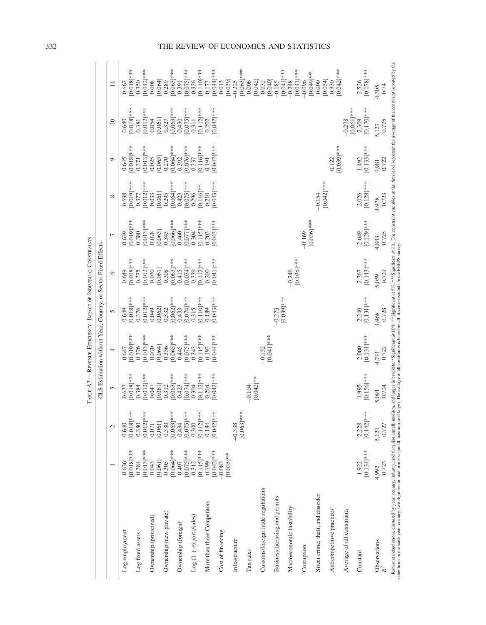|                                                                                                                                                                                                                                                                                                                                                                                                                              |                          |                                 |                        |                                 | OLS Estimation without Year, Country, or Sector Fixed Effects |                        |                        |                                |                        |                                         |                           |
|------------------------------------------------------------------------------------------------------------------------------------------------------------------------------------------------------------------------------------------------------------------------------------------------------------------------------------------------------------------------------------------------------------------------------|--------------------------|---------------------------------|------------------------|---------------------------------|---------------------------------------------------------------|------------------------|------------------------|--------------------------------|------------------------|-----------------------------------------|---------------------------|
|                                                                                                                                                                                                                                                                                                                                                                                                                              |                          | $\mathbf{\Omega}$               | 3                      | 4                               | 5                                                             | $\circ$                | $\overline{ }$         | ${}^{\circ}$                   | ۰                      | $\overline{10}$                         | $\Box$                    |
| Log employment                                                                                                                                                                                                                                                                                                                                                                                                               | $[0.018]$ ***<br>0.636   | $[0.018]$ ***<br>0.640          | $0.018$ ]***<br>0.637  | $0.0191***$<br>0.647            | $0.018$ ]***<br>0.649                                         | $0.018$ ]***<br>0.649  | $0.019]$ ***<br>0.639  | $0.0191***$<br>0.638           | $0.018$ ]***<br>0.645  | $0.018$ ]***<br>0.640                   | $0.018$ ]***<br>0.667     |
| Log fixed assets                                                                                                                                                                                                                                                                                                                                                                                                             | 0.384                    | 0.380                           | 0.384                  | 0.376                           | 0.376                                                         | 0.375                  | $0.380$<br>[0.013]***  | 0.377                          | $0.371$<br>[0.013]***  | 0.381                                   | 0.350                     |
| Ownership (privatized)                                                                                                                                                                                                                                                                                                                                                                                                       | $0.013$ ]***<br>0.043    | $0.012$ ]***<br>0.071           | $0.012]***$<br>0.047   | $0.013]***$<br>0.070            | $0.012]$ ***<br>0.049                                         | $0.012]***$<br>0.030   | 0.078                  | $0.012]$ ***<br>0.033          | 0.025                  | $0.012]***$<br>0.054                    | $0.012$ ]***<br>0.008     |
| Ownership (new private)                                                                                                                                                                                                                                                                                                                                                                                                      | [0.061]<br>0.305         | [0.061]<br>0.330                | [0.061]<br>0.312       | [0.064]<br>0.336                | [0.062]<br>0.332                                              | [0.061]<br>0.308       | [0.063]<br>0.343       | [0.061]<br>0.295               | [0.063]<br>0.270       | [0.061]<br>0.327                        | [0.064]<br>0.289          |
|                                                                                                                                                                                                                                                                                                                                                                                                                              | $[0.064]$ ***            | $0.063]$ ***                    | $0.063]$ ***           | $0.065]$ ***                    | $0.062]$ ***                                                  | $0.063]$ ***           | $0.066$ ]***           | $0.064]$ ***                   | $0.064]$ ***           | $0.063]$ ***                            | $[0.063]$ ***             |
| Ownership (foreign)                                                                                                                                                                                                                                                                                                                                                                                                          | $[0.075]$ ***<br>0.407   | $0.075$ <sup>***</sup><br>0.434 | $0.074]$ ***<br>0.423  | $0.075$ ]***<br>0.445           | $0.074$ ]***<br>0.433                                         | $0.074]***$<br>0.415   | $0.077$ ]***<br>0.460  | $0.075]$ ***<br>0.423          | $0.076$ ]***<br>0.392  | $0.075]$ ***<br>0.430                   | $[0.075]$ ***<br>0.391    |
| $Log(1 + exports/sales)$                                                                                                                                                                                                                                                                                                                                                                                                     | 0.312                    | 0.300                           | 0.304                  | 0.343                           | 0.315                                                         | 0.339                  | 0.304                  | 0.296                          | 0.337                  | 0.311                                   | 0.336                     |
| More than three Competitors                                                                                                                                                                                                                                                                                                                                                                                                  | $[0.115]$ ***<br>0.199   | $0.112$ <sup>***</sup><br>0.184 | $0.112]***$<br>0.204   | $0.115$ <sup>***</sup><br>0.193 | $0.110]$ ***<br>0.189                                         | $0.112]***$<br>0.200   | $0.115$ ]***<br>0.203  | $0.116$ <sup>**</sup><br>0.210 | $0.116$ ]***<br>0.191  | $0.112]***$<br>0.202                    | $[0.110]$ ***<br>0.173    |
| Cost of financing                                                                                                                                                                                                                                                                                                                                                                                                            | $0.042$ ]***<br>$-0.083$ | $0.042$ <sup>***</sup>          | $0.042]***$            | $0.0441***$                     | $0.043$ ]***                                                  | $0.041$ <sup>***</sup> | $0.043$ ]***           | $0.043]$ ***                   | $0.042]***$            | $0.042]***$                             | $[0.044]$ ***<br>0.013    |
| Infrastructure                                                                                                                                                                                                                                                                                                                                                                                                               | $[0.035]$ **             | $-0.338$                        |                        |                                 |                                                               |                        |                        |                                |                        |                                         | [0.039]<br>$-0.225$       |
| Tax rates                                                                                                                                                                                                                                                                                                                                                                                                                    |                          | $[0.063]$ ***                   | $-0.104$               |                                 |                                                               |                        |                        |                                |                        |                                         | $[0.063]$ ***<br>0.006    |
| Customs/foreign trade regulations                                                                                                                                                                                                                                                                                                                                                                                            |                          |                                 | $[0.042]$ **           | $-0.152$                        |                                                               |                        |                        |                                |                        |                                         | [0.042]<br>0.032          |
| Business licensing and permits                                                                                                                                                                                                                                                                                                                                                                                               |                          |                                 |                        | $[0.041]$ ***                   | $-0.273$                                                      |                        |                        |                                |                        |                                         | [0.040]<br>$-0.185$       |
| Macroeconomic instability                                                                                                                                                                                                                                                                                                                                                                                                    |                          |                                 |                        |                                 | $[0.039]$ ***                                                 | $-0.246$               |                        |                                |                        |                                         | $[0.041]$ ***<br>$-0.248$ |
| Corruption                                                                                                                                                                                                                                                                                                                                                                                                                   |                          |                                 |                        |                                 |                                                               | $[0.036]$ ***          | $-0.169$               |                                |                        |                                         | $[0.041]$ ***<br>$-0.096$ |
| Street crime, theft, and disorder                                                                                                                                                                                                                                                                                                                                                                                            |                          |                                 |                        |                                 |                                                               |                        | $[0.036]$ ***          | $-0.154$                       |                        |                                         | $[0.049]$ **<br>$0.000$   |
| Anticompetitive practices                                                                                                                                                                                                                                                                                                                                                                                                    |                          |                                 |                        |                                 |                                                               |                        |                        | $[0.042]$ ***                  | 0.122                  |                                         | [0.054]<br>0.330          |
| Average of all constraints                                                                                                                                                                                                                                                                                                                                                                                                   |                          |                                 |                        |                                 |                                                               |                        |                        |                                | $0.0391***$            | $-0.278$                                | $[0.042]$ ***             |
| Constant                                                                                                                                                                                                                                                                                                                                                                                                                     | $[0.134]$ ***<br>1.922   | $[0.142]$ ***<br>2.228          | $[0.156]$ ***<br>1.995 | $[0.131]$ ***<br>2.000          | $[0.131]$ ***<br>2.240                                        | $[0.143]$ ***<br>2.367 | $[0.129]$ ***<br>2.049 | $[0.128]$ ***<br>2.026         | $[0.133]$ ***<br>1.492 | $[0.170]$ ***<br>$[0.061]$ ***<br>2.309 | $[0.178]$ ***<br>2.526    |
| Observations                                                                                                                                                                                                                                                                                                                                                                                                                 | 0.723<br>4,992           | 0.727<br>5,121                  | 0.724<br>5,091         | 0.722<br>4,741                  | 0.728<br>4,968                                                | 0.729<br>5,059         | 0.725<br>4,843         | 0.723<br>4,938                 | 0.722<br>4,981         | 0.725<br>5,127                          | 0.74<br>4,305             |
| Robust sandard errors, clustered by year, county, industry, and firm size (small, medium, and large) in brackets. *Significant at 10%, **Significant at 15%. ***Significant at 19%. The constraint variables at the firm level<br>other firms in the same year, country, two-digit sector, and firm size (small, medium, and large). The average of all constraints is based on all fifteen constraints in the BEEPS survey. |                          |                                 |                        |                                 |                                                               |                        |                        |                                |                        |                                         |                           |

TABLE A3.--REVENUE EFFICIENCY: IMPACT OF INDIVIDUAL CONSTRAINTS **CONSTRAINTS** EFFICIENCY: IMPACT OF INDIVIDUAL TABLE A3.—REVENUE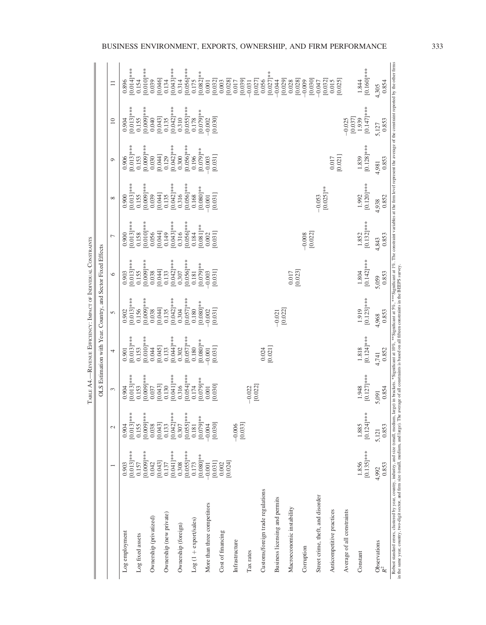|                                                             | $\Box$<br>$\overline{10}$ | $0.014$ ]***<br>0.896<br>$0.013]$ ***<br>0.904 | $[0.010]$ ***<br>0.154<br>$0.009$ <sup>***</sup><br>0.155 | 0.039<br>0.040         | [0.046]<br>0.134<br>[0.043]<br>0.135 | $0.043$ ]***<br>0.314<br>$0.042]***$<br>0.310 | $[0.056]$ ***<br>0.175<br>$[0.055]$ ***<br>0.178 | $[0.082]$ **<br>[0.032]<br>0.001<br>$[0.079]$ **<br>[0.030]<br>$-0.002$ | [0.028]<br>0.003  | [0.039]<br>0.017    | [0.027]<br>$-0.031$ | $[0.027]$ **<br>0.056             | [0.029]<br>$-0.044$            | [0.028]<br>0.028          | [0.030]<br>$-0.009$ | [0.032]<br>$-0.047$               | [0.025]<br>0.015          | [0.037]<br>$-0.025$        | $[0.160]$ ***<br>1.844<br>$[0.147]$ ***<br>1.939 | 0.854<br>4,305<br>0.853                                                                                                                                                                                                                        |
|-------------------------------------------------------------|---------------------------|------------------------------------------------|-----------------------------------------------------------|------------------------|--------------------------------------|-----------------------------------------------|--------------------------------------------------|-------------------------------------------------------------------------|-------------------|---------------------|---------------------|-----------------------------------|--------------------------------|---------------------------|---------------------|-----------------------------------|---------------------------|----------------------------|--------------------------------------------------|------------------------------------------------------------------------------------------------------------------------------------------------------------------------------------------------------------------------------------------------|
|                                                             | $\circ$                   | $0.013]$ ***<br>0.906                          | $0.009$ <sup>***</sup><br>0.153                           | 0.030                  | [0.044]<br>0.129                     | $0.042]***$<br>0.300                          | $0.056$ ]***<br>0.196                            | $(0.079)**$<br>[0.031]<br>$-0.003$                                      |                   |                     |                     |                                   |                                |                           |                     |                                   | [0.021]<br>0.017          |                            | $[0.128]$ ***<br>1.839                           | 5,127<br>0.853<br>4,981                                                                                                                                                                                                                        |
|                                                             | $\infty$                  | $0.013]$ ***<br>0.900                          | 0.000<br>0.155                                            | 0.039                  | [0.044]<br>0.135                     | $0.042]$ ***<br>0.316                         | $0.056$ ]***<br>0.168                            | $[0.080]$ **<br>[0.031]<br>$-0.001$                                     |                   |                     |                     |                                   |                                |                           |                     | $[0.025]$ **<br>$-0.053$          |                           |                            | $[0.120]$ ***<br>1.992                           | 0.852<br>4,938                                                                                                                                                                                                                                 |
|                                                             | 7                         | $0.013$ ]***<br>0.900                          | $0.010]$ ***<br>0.158                                     | 0.056                  | [0.044]<br>0.149                     | $0.043]$ ***<br>0.316                         | $0.056$ ]***<br>0.184                            | $0.081]$ **<br>[0.031]<br>0.002                                         |                   |                     |                     |                                   |                                |                           | [0.022]<br>$-0.008$ |                                   |                           |                            | $[0.132]$ ***<br>1.852                           | 0.853<br>4,843                                                                                                                                                                                                                                 |
|                                                             | $\circ$                   | $0.013]$ ***<br>0.903                          | $0.009$ <sup>***</sup><br>0.155                           | 0.038                  | [0.044]<br>0.133                     | $0.042]***$<br>0.307                          | $0.056$ ]***<br>0.181                            | $0.079$ <sup>**</sup><br>[0.031]<br>$-0.003$                            |                   |                     |                     |                                   |                                | [0.023]<br>0.017          |                     |                                   |                           |                            | $[0.142]$ ***<br>1.804                           | 0.853<br>5,059                                                                                                                                                                                                                                 |
|                                                             | 5                         | $0.013]***$<br>0.902                           | $[0.009]$ ***<br>0.156                                    | 0.038                  | [0.044]<br>0.135                     | $0.042]***$<br>0.304                          | $0.057$ <sup>***</sup><br>0.180                  | $0.080$ <sup>**</sup><br>[0.031]<br>$-0.002$                            |                   |                     |                     |                                   | [0.022]<br>$-0.021$            |                           |                     |                                   |                           |                            | $[0.123]$ ***<br>1.919                           | 0.853<br>4,968                                                                                                                                                                                                                                 |
| OLS Estimation with Year. Country, and Sector Fixed Effects | 4                         | $0.013]$ ***<br>0.901                          | $[0.010]$ ***<br>0.153                                    | 0.044                  | [0.045]<br>0.133                     | $[0.044]$ ***<br>0.302                        | $[0.057]$ ***<br>0.180                           | $[0.080]$ **<br>[0.031]<br>$-0.001$                                     |                   |                     |                     | $0.024$<br>[0.021]                |                                |                           |                     |                                   |                           |                            | $[0.124]$ ***<br>1.818                           | 0.852<br>4,741                                                                                                                                                                                                                                 |
|                                                             | 3                         | $0.013]$ ***<br>0.904                          | $0.009$ <sup>***</sup><br>0.153                           | 0.037                  | [0.043]<br>0.130                     | $0.041]$ ***<br>0.316                         | $0.054]$ ***<br>$0.174$                          | $0.079$ <sup>**</sup><br>0.030<br>0.001                                 |                   |                     | [0.022]<br>$-0.022$ |                                   |                                |                           |                     |                                   |                           |                            | $[0.127]$ ***<br>1.948                           | 0.854<br>5,091                                                                                                                                                                                                                                 |
|                                                             | $\mathcal{L}$             | $0.013$ ]***<br>0.904                          | $[0.009]$ ***<br>0.155                                    | 0.038                  | [0.043]<br>0.133                     | $[0.042]$ ***<br>0.307                        | $[0.055]$ ***<br>0.181                           | $0.079$ <sup>**</sup><br>[0.030]<br>$-0.004$                            |                   | [0.033]<br>$-0.006$ |                     |                                   |                                |                           |                     |                                   |                           |                            | $[0.124]$ ***<br>1.885                           | 0.853<br>5,121                                                                                                                                                                                                                                 |
|                                                             |                           | $[0.013]$ ***<br>0.903                         | $[0.009]$ ***<br>0.157                                    | 0.042                  | [0.043]<br>0.137                     | $[0.041]$ ***<br>0.308                        | $[0.055]$ ***<br>0.173                           | $[0.080]$ **<br>[0.031]<br>$-0.001$                                     | [0.024]<br>0.002  |                     |                     |                                   |                                |                           |                     |                                   |                           |                            | $[0.135]$ ***<br>1.856                           | 0.853<br>4,992                                                                                                                                                                                                                                 |
|                                                             |                           | Log employment                                 | Log fixed assets                                          | Ownership (privatized) | Ownership (new private)              | Ownership (foreign)                           | $Log(1 + expont/sales)$                          | More than three competitors                                             | Cost of financing | Infrastructure      | Tax rates           | Customs/foreign trade regulations | Business licensing and permits | Macroeconomic instability | Corruption          | Street crime, theft, and disorder | Anticompetitive practices | Average of all constraints | Constant                                         | Robust standard errors, clustered by year, country, industry, and size (small, medium, large) in brackets. *Significant at 19%, ***\$ignificant at 1%. The constraint variables at the firm level represent the average of the<br>Observations |

| ļ                |  |
|------------------|--|
| Ï                |  |
| I<br>I<br>l<br>l |  |
| ׇ֚֬֡<br>ׇ֚֘֡     |  |

BUSINESS ENVIRONMENT, EXPORTS, OWNERSHIP, AND FIRM PERFORMANCE 333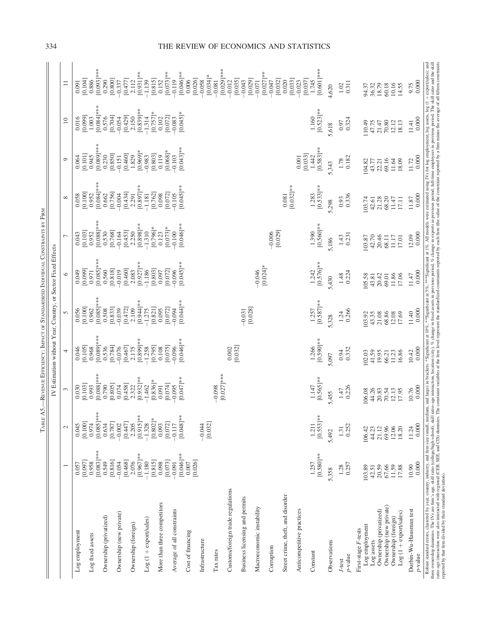|                                                |                                     |                                     | IV Estimation without Year, Country, or Sector Fixed Effects |                                     |                                     |                                     |                                         |                                     |                                         |                                    |                                          |
|------------------------------------------------|-------------------------------------|-------------------------------------|--------------------------------------------------------------|-------------------------------------|-------------------------------------|-------------------------------------|-----------------------------------------|-------------------------------------|-----------------------------------------|------------------------------------|------------------------------------------|
|                                                | $\overline{ }$                      | $\mathcal{L}$                       | 3                                                            | 4                                   | 5                                   | ७                                   | Γ                                       | $\infty$                            | O                                       | $\supseteq$                        | $\Box$                                   |
| Log employment                                 | [0.097]<br>0.057                    | [0.100]<br>0.045                    | [0.103]<br>0.030                                             | [0.105]<br>0.046                    | [0.100]<br>0.056                    | [0.099]<br>0.049                    | [0.103]<br>0.043                        | [0.100]<br>0.058                    | [0.101]<br>0.064                        | [660.0]<br>0.016                   | [0.104]<br>0.091                         |
| Log fixed assets                               | 0.958                               | 0.974                               | 0.993                                                        | 0.968                               | 0.962                               | 0.971                               | 0.952                                   | 0.952                               | 0.945                                   | $1.003$                            | 0.886                                    |
| Ownership (privatized)                         | $[0.083]$ ***<br>0.549              | $[0.085]$ ***<br>0.634              | $[0.088]$ ***<br>0.790                                       | $[0.089]$ ***<br>0.536              | $[0.085]$ ***<br>0.508              | $[0.085]$ ***<br>0.560              | $[0.088]$ ***<br>0.530                  | $[0.084]$ ***<br>0.662              | $[0.089]$ ***<br>0.230                  | $[0.084]$ ***<br>0.576             | $[0.093]$ ***<br>0.290                   |
| Ownership (new private)                        | [0.816]<br>$-0.054$                 | [0.787]<br>$-0.002$                 | [0.805]<br>0.074                                             | [0.784]<br>$-0.076$                 | [0.833]<br>$-0.039$                 | [0.818]<br>$-0.019$                 | [0.768]<br>$-0.164$                     | [0.756]<br>$-0.004$                 | [0.850]<br>$-0.151$                     | [0.704]<br>$-0.054$                | [0.800]<br>$-0.337$                      |
| Ownership (foreign)                            | [0.468]<br>2.076                    | [0.447]<br>2.205                    | [0.458]<br>2.322                                             | [0.467]<br>2.175                    | [0.472]<br>2.109                    | [0.460]<br>2.083                    | [0.453]<br>2.250                        | [0.434]<br>2.291                    | [0.460]<br>1.829                        | [0.429]<br>2.150                   | [0.477]<br>2.112                         |
| $Log(1 + export/sales)$                        | $[0.967]$ **<br>$-1.180$            | $[0.915]$ **<br>$-1.328$            | $[0.932]$ **<br>$-1.462$                                     | $[0.899]$ **<br>$-1.258$            | $[0.944]$ **<br>$-1.275$            | $[0.927]$ **<br>$-1.186$            | $[0.898]$ **<br>$-1.310$                | $[0.897]$ **<br>$-1.181$            | $[0.969]$ *<br>$-0.983$                 | $[0.839]$ **<br>$-1.314$           | $[0.931]$ **<br>$-1.139$                 |
| More than three competitors                    | [0.815]<br>0.098                    | $[0.802]$ *<br>0.093                | $[0.836]$ *<br>0.091                                         | [0.795]<br>0.108                    | [0.821]<br>0.095                    | [0.803]<br>0.097                    | $[0.796]$ *<br>0.123                    | [0.762]<br>0.098                    | [0.803]<br>0.119                        | $0.757$ <sup>*</sup><br>0.102      | [0.815]<br>0.152                         |
| Average of all constraints                     | $[0.046]$ **<br>[0.073]<br>$-0.091$ | $[0.048]$ **<br>[0.072]<br>$-0.117$ | $[0.047]$ **<br>[0.074]<br>$-0.095$                          | $[0.046]$ **<br>[0.075]<br>$-0.096$ | $[0.044]$ **<br>[0.072]<br>$-0.094$ | $[0.045]$ **<br>[0.072]<br>$-0.096$ | $[0.046]$ **<br>$[0.073]$ *<br>$-0.100$ | $[0.045]$ **<br>[0.072]<br>$-0.105$ | $[0.043]$ **<br>$[0.068]$ *<br>$-0.103$ | $[0.045]$ *<br>[0.072]<br>$-0.083$ | $[0.073]$ **<br>$[0.046]$ **<br>$-0.119$ |
| Cost of financing                              | 0.007                               |                                     |                                                              |                                     |                                     |                                     |                                         |                                     |                                         |                                    | 0.006                                    |
| Infrastructure                                 | [0.026]                             | $-0.044$                            |                                                              |                                     |                                     |                                     |                                         |                                     |                                         |                                    | [0.026]<br>$-0.058$                      |
| Tax rates                                      |                                     | [0.032]                             | $-0.098$                                                     |                                     |                                     |                                     |                                         |                                     |                                         |                                    | $[0.034]$ *<br>$-0.081$                  |
| Customs/foreign trade regulations              |                                     |                                     | $[0.027]$ ***                                                | [0.032]<br>0.002                    |                                     |                                     |                                         |                                     |                                         |                                    | $[0.029]$ ***<br>[0.035]<br>$-0.012$     |
| Business licensing and permits                 |                                     |                                     |                                                              |                                     | $-0.031$                            |                                     |                                         |                                     |                                         |                                    | $-0.043$                                 |
| Macroeconomic instability                      |                                     |                                     |                                                              |                                     | [0.028]                             | $[0.024]$ *<br>$-0.046$             |                                         |                                     |                                         |                                    | $[0.027]$ **<br>[0.029]<br>$-0.071$      |
| Corruption                                     |                                     |                                     |                                                              |                                     |                                     |                                     | [0.029]<br>$-0.006$                     |                                     |                                         |                                    | [0.032]<br>$-0.047$                      |
| Street crime, theft, and disorder              |                                     |                                     |                                                              |                                     |                                     |                                     |                                         | $[0.032]$ **<br>0.081               |                                         |                                    | [0.033]<br>0.020                         |
| Anticompetitive practices                      |                                     |                                     |                                                              |                                     |                                     |                                     |                                         |                                     | [0.033]<br>0.001                        |                                    | [0.037]<br>$-0.023$                      |
| Constant                                       | $[0.580]$ **<br>1.257               | $[0.553]$ **<br>1.211               | $[0.565]$ **<br>1.147                                        | $[0.590]$ **<br>1.266               | $[0.587]$ **<br>1.257               | $[0.576]$ **<br>1.242               | $[0.560]$ **<br>1.390                   | $[0.533]$ **<br>1.283               | $[0.583]$ **<br>1.442                   | $[0.523]$ **<br>1.160              | $[0.601]$ ***<br>1.745                   |
| Observations                                   | 5,358                               | 5,492                               | 5,455                                                        | 5,097                               | 5,328                               | 5,430                               | 5,186                                   | 5,298                               | 5,343                                   | 5,618                              | 4,620                                    |
| $p$ -value<br>J-test                           | 0.257<br>1.28                       | 0.252<br>$1.31\,$                   | 0.226<br>$1.47\,$                                            | 0.332<br>0.94                       | 0.266<br>1.24                       | 0.224<br>1.48                       | 0.231<br>1.43                           | 0.336<br>0.93                       | 0.182<br>1.78                           | 0.324<br>0.97                      | 0.311<br>1.02                            |
| Log employment<br>First-stage F-tests          | 103.89                              | 106.42                              | 106.08                                                       | 102.03                              | 103.92                              | 105.58                              | 103.87                                  | 103.74                              | 104.82                                  | 110.49                             | 94.37                                    |
| Ownership (privatized)<br>Log assets           | 20.59<br>42.51                      | 21.12<br>44.23                      | 44.26<br>20.83                                               | 41.59<br>19.95                      | 21.08<br>43.35                      | 20.42<br>43.81                      | 20.46<br>42.70                          | 21.28<br>42.61                      | 22.21<br>43.77                          | 47.75<br>21.47                     | 18.79<br>36.32                           |
| Ownership (new private)                        | 67.66                               | 69.96                               | 70.54                                                        | 66.21                               | 68.86                               | 69.01                               | 68.11                                   | 68.20                               | 69.16                                   | 70.80                              | 60.18                                    |
| $Log(1 + expont/sales)$<br>Ownership (foreign) | 11.59<br>17.88                      | 18.20<br>12.06                      | 17.95<br>2.13                                                | 16.86<br>11.23                      | 17.69<br>12.08                      | 11.86<br>17.06                      | 17.01<br>11.17                          | $17.11$<br>11.47                    | 18.09<br>11.64                          | 18.13<br>12.12                     | 10.16<br>14.55                           |
| Durbin-Wu-Hausman test                         | 10.90                               | 11.24                               | 10.76                                                        | 10.42                               | 11.40                               | 11.47                               | 12.09                                   | 11.87                               | 11.72                                   | 11.41                              | 9.75                                     |
| $p$ -value                                     | 0.000                               | 0.000                               | 0.000                                                        | 0.000                               | 0.000                               | 0.000                               | 0.000                                   | 0.000                               | 0.000                                   | 0.000                              | 0.000                                    |

TABLE A5.—REVENUE

EFFICIENCY: IMPACT OF STANDARDIZED INDIVIDUAL

TABLE AS.—REVENUE EFFICIENCY: IMPACT OF STANDARDIZED INDIVIDUAL CONSTRAINTS BY FIRM

CONSTRAINTS BY FIRM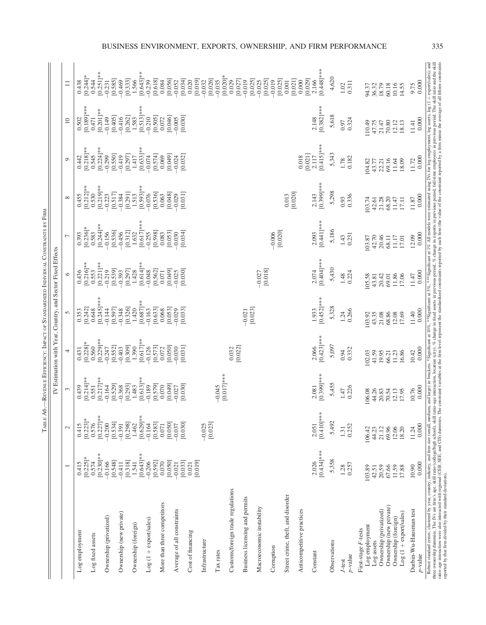| I<br>l                                                           |
|------------------------------------------------------------------|
| ı<br>i<br>l<br>l                                                 |
| l<br>ı<br>J<br>֕<br>֕<br>Ì                                       |
| I<br>ļ<br>ı<br>I<br>l                                            |
| $\overline{a}$<br>l<br>ı                                         |
| Ì<br>l<br>l                                                      |
| ֕<br>J<br>l<br>ׇ֚֬֕֡<br>$\overline{\phantom{a}}$                 |
| I<br>١<br>l<br>ł<br>ׇ֬֕<br>$\begin{array}{c} \hline \end{array}$ |
| I<br>l                                                           |

|                                                                                                                                                                                                                                                                                               |                                |                          |                                | IV Estimation with Year, Country, and Sector Fixed Effects |                                |                          |                           |                          |                                |                           |                                   |
|-----------------------------------------------------------------------------------------------------------------------------------------------------------------------------------------------------------------------------------------------------------------------------------------------|--------------------------------|--------------------------|--------------------------------|------------------------------------------------------------|--------------------------------|--------------------------|---------------------------|--------------------------|--------------------------------|---------------------------|-----------------------------------|
|                                                                                                                                                                                                                                                                                               |                                | $\mathbf 2$              | 3                              | 4                                                          | 5                              | $\circ$                  | $\overline{ }$            | $\infty$                 | $\circ$                        | $\overline{10}$           | $\Box$                            |
| Log employment                                                                                                                                                                                                                                                                                | $[0.225]$ *<br>0.415           | $[0.223]$ *<br>0.415     | $[0.214]$ **<br>0.439          | $[0.228]$ *<br>0.431                                       | [0.242]<br>0.353               | $[0.216]$ **<br>0.436    | $[0.236]$ *<br>0.393      | $[0.212]$ **<br>0.455    | $[0.218]$ **<br>0.442          | $0.189$ ]***<br>0.502     | $0.244$ ]*<br>0.438               |
| Log fixed assets                                                                                                                                                                                                                                                                              | $[0.230]$ **<br>0.574          | $[0.227]$ **<br>0.576    | $[0.217]$ **<br>0.551          | $[0.229]^{**}$<br>0.560                                    | $[0.245]$ ***<br>0.648         | $[0.221]$ **<br>0.553    | $[0.244]$ **<br>0.583     | $[0.219]$ **<br>0.530    | $[0.224]$ **<br>0.545          | $[0.201]$ **<br>0.471     | $[0.251]$ **<br>0.544             |
| Ownership (privatized)                                                                                                                                                                                                                                                                        | $-0.166$                       | $-0.200$                 | $-0.164$                       | $-0.247$                                                   | $-0.144$                       | $-0.219$                 | $-0.156$                  | $-0.223$                 | $-0.299$                       | $-0.149$                  | $-0.231$                          |
| Ownership (new private)                                                                                                                                                                                                                                                                       | [0.548]<br>$-0.411$            | [0.534]<br>$-0.391$      | [0.529]<br>$-0.368$            | [0.552]<br>$-0.403$                                        | [0.597]<br>$-0.348$            | [0.539]<br>$-0.393$      | [0.536]<br>$-0.456$       | [0.517]<br>$-0.384$      | [0.550]<br>$-0.419$            | [0.405]<br>$-0.416$       | [0.585]<br>$-0.469$               |
| Ownership (foreign)                                                                                                                                                                                                                                                                           | [0.318]<br>1.541               | [0.298]<br>1.462         | [0.293]<br>1.483               | [0.309]<br>1.390                                           | [0.326]<br>1.420               | [0.297]<br>1.428         | [0.312]<br>1.632          | [0.291]<br>$1.513$       | [0.297]<br>1.417               | [0.262]<br>1.583          | [0.333]<br>1.566                  |
| $Log(1 + expont/sales)$                                                                                                                                                                                                                                                                       | $[0.643]***$<br>$-0.206$       | $[0.629]$ **<br>$-0.164$ | $[0.613]$ **<br>$-0.189$       | $[0.617]$ **<br>$-0.126$                                   | $[0.687]$ **<br>$-0.163$       | $[0.614]$ **<br>$-0.048$ | $[0.617]$ ***<br>$-0.255$ | $[0.593]$ **<br>$-0.076$ | $[0.633]$ **<br>$-0.074$       | $[0.513]$ ***<br>$-0.210$ | $[0.643]$ **<br>$-0.239$          |
| More than three competitors                                                                                                                                                                                                                                                                   | [0.592]<br>0.070               | [0.583]<br>0.071         | [0.579]<br>0.070               | [0.573]<br>0.072                                           | [0.633]<br>0.068               | [0.562]<br>0.071         | [0.598]<br>0.083          | [0.536]<br>0.063         | [0.574]<br>0.069               | [0.505]<br>0.072          | [0.618]<br>0.084                  |
| Average of all constraints                                                                                                                                                                                                                                                                    | [0.050]<br>[0.033]<br>$-0.021$ | [0.050]<br>$-0.037$      | [0.049]<br>[0.030]<br>$-0.027$ | [0.050]<br>[0.031]<br>$-0.030$                             | [0.053]<br>[0.033]<br>$-0.029$ | [0.049]<br>$-0.025$      | [0.053]<br>$-0.030$       | [0.048]<br>$-0.029$      | [0.049]<br>[0.032]<br>$-0.024$ | [0.046]<br>$-0.005$       | [0.056]<br>[0.034]<br>$-0.052$    |
| Cost of financing                                                                                                                                                                                                                                                                             | 0.021                          | [0.030]                  |                                |                                                            |                                | [0.030]                  | [0.034]                   | [0.031]                  |                                | [0.030]                   | 0.020                             |
| Infrastructure                                                                                                                                                                                                                                                                                | [0.019]                        | [0.023]<br>$-0.025$      |                                |                                                            |                                |                          |                           |                          |                                |                           | [0.019]<br>[0.026]<br>$-0.032$    |
| Tax rates                                                                                                                                                                                                                                                                                     |                                |                          | $[0.017]$ ***<br>$-0.045$      |                                                            |                                |                          |                           |                          |                                |                           | $[0.020]$ *<br>$-0.035$           |
| Customs/foreign trade regulations                                                                                                                                                                                                                                                             |                                |                          |                                | [0.022]<br>0.032                                           |                                |                          |                           |                          |                                |                           | 0.029                             |
| Business licensing and permits                                                                                                                                                                                                                                                                |                                |                          |                                |                                                            | [0.023]<br>$-0.021$            |                          |                           |                          |                                |                           | [0.025]<br>[0.027]<br>$-0.019$    |
| Macroeconomic instability                                                                                                                                                                                                                                                                     |                                |                          |                                |                                                            |                                | [0.018]<br>$-0.027$      |                           |                          |                                |                           | [0.025]<br>$-0.025$               |
| Corruption                                                                                                                                                                                                                                                                                    |                                |                          |                                |                                                            |                                |                          | [0.020]<br>$-0.006$       |                          |                                |                           | [0.025]<br>$-0.019$               |
| Street crime, theft, and disorder                                                                                                                                                                                                                                                             |                                |                          |                                |                                                            |                                |                          |                           | [0.020]<br>0.013         |                                |                           | [0.021]<br>0.001                  |
| Anticompetitive practices                                                                                                                                                                                                                                                                     |                                |                          |                                |                                                            |                                |                          |                           |                          | [0.021]<br>0.018               |                           | 0.000                             |
| Constant                                                                                                                                                                                                                                                                                      | $[0.434]$ ***<br>2.026         | $[0.410]$ ***<br>2.051   | $[0.399]$ ***<br>2.081         | $[0.423]$ ***<br>2.066                                     | $[0.452]$ ***<br>1.933         | $[0.404]$ ***<br>2.074   | $[0.441]$ ***<br>2.093    | [0.399]***<br>2.143      | $[0.415]$ ***<br>2.117         | $[0.382]$ ***<br>2.148    | $[0.448]$ ***<br>[0.029]<br>2.166 |
| Observations                                                                                                                                                                                                                                                                                  | 5,358                          | 5,492                    | 5,455                          | 5,097                                                      | 5,328                          | 5,430                    | 5,186                     | 5,298                    | 5,343                          | 5,618                     | 4,620                             |
| $p$ -value<br>J-test                                                                                                                                                                                                                                                                          | 0.257<br>1.28                  | 0.252<br>1.31            | 0.226<br>47                    | 0.332<br>0.94                                              | 0.266<br>1.24                  | 0.224<br>1.48            | 0.231<br>1.43             | 0.336<br>0.93            | 0.182<br>1.78                  | 0.324<br>0.97             | 0.311<br>1.02                     |
| Log employment<br>First-stage F-tests                                                                                                                                                                                                                                                         | 103.89                         | 106.42                   | 106.08                         | 102.03                                                     | 103.92                         | 105.58                   | 103.87                    | 103.74                   | 104.82                         | 110.49                    | 94.37                             |
| Ownership (privatized)<br>Log assets                                                                                                                                                                                                                                                          | 20.59<br>42.51                 | 44.23<br>21.12           | 44.26<br>20.83                 | 41.59<br>19.95                                             | 43.35<br>21.08                 | 20.42<br>43.81           | 42.70<br>20.46            | 21.28<br>42.61           | 22.21<br>43.77                 | 47.75<br>21.47            | 18.79<br>36.32                    |
| Ownership (new private)                                                                                                                                                                                                                                                                       | 67.66                          | 69.96                    | 70.54                          | 66.21                                                      | 68.86                          | 69.01                    | 68.11                     | 68.20                    | 69.16                          | $70.80\,$                 | 60.18                             |
| $Log(1 + export/sales)$<br>Ownership (foreign)                                                                                                                                                                                                                                                | 11.59<br>17.88                 | 18.20<br>12.06           | 17.95<br>12.13                 | 16.86<br>11.23                                             | 17.69<br>12.08                 | 11.86<br>17.06           | 17.01<br>11.17            | 17.11<br>11.47           | 18.09<br>11.64                 | 18.13<br>12.12            | 10.16<br>14.55                    |
| Durbin-Wu-Hausman test                                                                                                                                                                                                                                                                        | 10.90                          | 11.24                    | 10.76                          | 10.42                                                      | 11.40                          | 11.47                    | 12.09                     | 11.87                    | 11.72                          | 11.41                     | 9.75                              |
| $p$ -value                                                                                                                                                                                                                                                                                    | 0.000                          | 0.000                    | 0.000                          | 0.000                                                      | 0.000                          | 0.000                    | 0.000                     | 0.000                    | 0.000                          | 0.000                     | 0.000                             |
| Robust sandard errors, clustered by year, country, ind fim size (small, medium, and large) in brackets. *Significant at 10%, **Significant at 18% All models were estimated using IVs for log employment, log (1 + export/sale<br>reported by that firm divided by their standard deviation). |                                |                          |                                |                                                            |                                |                          |                           |                          |                                |                           |                                   |

ratio-age interacted with regional (CEB, SEE, and CIS) dummies. The constraint variables at the firm level represent the standardized constraints reported by each firm the of the constraint reported by a firm minus the ave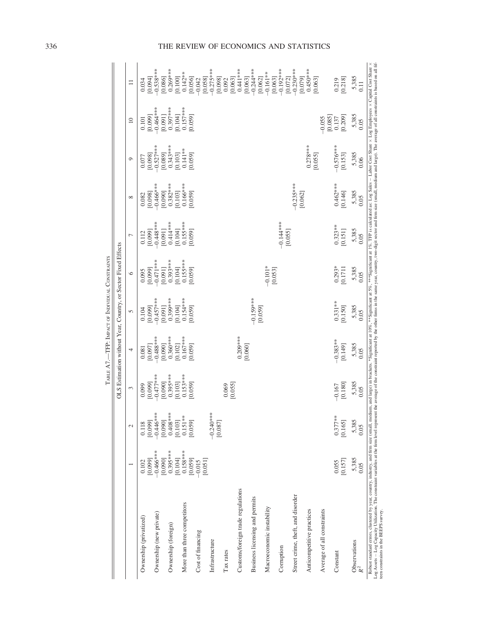|                                                                                                                                                                                                                                                                                                                                                                       |                                  |                                 |                                |                                  | OLS Estimation without Year, Country, or Sector Fixed Effects                                                                                                                     |                                                             |                                  |                                                                                  |                                |                                                           |                                   |
|-----------------------------------------------------------------------------------------------------------------------------------------------------------------------------------------------------------------------------------------------------------------------------------------------------------------------------------------------------------------------|----------------------------------|---------------------------------|--------------------------------|----------------------------------|-----------------------------------------------------------------------------------------------------------------------------------------------------------------------------------|-------------------------------------------------------------|----------------------------------|----------------------------------------------------------------------------------|--------------------------------|-----------------------------------------------------------|-----------------------------------|
|                                                                                                                                                                                                                                                                                                                                                                       |                                  | $\sim$                          | 3                              | 4                                | 5                                                                                                                                                                                 | $\circ$                                                     | $\overline{ }$                   | $\infty$                                                                         | $\circ$                        | $\supseteq$                                               | $\Box$                            |
| Ownership (privatized)                                                                                                                                                                                                                                                                                                                                                | [0.099]<br>0.102                 | [0.099]<br>0.118                | [0.099]<br>0.099               | [0.097]<br>0.081                 | [0.099]<br>0.104                                                                                                                                                                  | $\begin{bmatrix} 0.095 \\ 0.099 \end{bmatrix}$<br>-0.471*** | 0.112                            | 0.082                                                                            | $0.077$                        | 0.101                                                     | [0.094]<br>0.034                  |
| Ownership (new private)                                                                                                                                                                                                                                                                                                                                               | $-0.466***$                      | $-0.446***$                     | $-0.477$ ***                   | $-0.488***$                      | $-0.457***$                                                                                                                                                                       |                                                             | $[0.099]$<br>-0.448***           | $\begin{array}{c} [0.098] \\ -0.466^{***} \\ [0.090] \\ 0.382^{***} \end{array}$ | $[0.098]$<br>-0.527***         | $[0.099]$<br>-0.464***                                    | $-0.538***$                       |
| Ownership (foreign)                                                                                                                                                                                                                                                                                                                                                   | $0.395***$<br>[0.090]            | $0.408***$<br>[0.090]           | $0.395***$<br>[0.090]          | $0.360***$<br>[0.090]            | $0.399***$<br>[0.091]                                                                                                                                                             | $0.393***$<br>[0.091]                                       | $0.414***$<br>[0.091]            |                                                                                  | $[0.089]$<br>$0.343***$        | $[0.091]$<br>0.397***                                     | $0.269***$<br>[0.086]             |
| More than three competitors                                                                                                                                                                                                                                                                                                                                           | $0.158***$<br>[0.104]<br>[0.059] | $0.151**$<br>[0.103]<br>[0.059] | $0.153***$<br>[0.103]<br>0.059 | $0.167***$<br>[0.102]<br>[650.0] | $0.154***$<br>[0.104]<br>[0.059]                                                                                                                                                  | $0.155***$<br>[0.104]<br>[0.059]                            | $0.155***$<br>[0.104]<br>[0.059] | $0.166***$<br>[0.103]<br>[650.0]                                                 | $0.141***$<br>[0.103]<br>0.059 | $0.157***$<br>[0.104]<br>[650, 0]                         | $0.142**$<br>[0.100]<br>[0.056]   |
| Cost of financing                                                                                                                                                                                                                                                                                                                                                     | $-0.015$                         |                                 |                                |                                  |                                                                                                                                                                                   |                                                             |                                  |                                                                                  |                                |                                                           | $-0.042$                          |
| Infrastructure                                                                                                                                                                                                                                                                                                                                                        | [0.051]                          | $-0.240***$<br>[0.087]          |                                |                                  |                                                                                                                                                                                   |                                                             |                                  |                                                                                  |                                |                                                           | $-0.275***$<br>[0.058]<br>[0.098] |
| Tax rates                                                                                                                                                                                                                                                                                                                                                             |                                  |                                 | [0.069]                        |                                  |                                                                                                                                                                                   |                                                             |                                  |                                                                                  |                                |                                                           | [0.063]<br>0.092                  |
| Customs/foreign trade regulations                                                                                                                                                                                                                                                                                                                                     |                                  |                                 |                                | $0.209***$<br>[0.060]            |                                                                                                                                                                                   |                                                             |                                  |                                                                                  |                                |                                                           | $0.441***$<br>[0.063]             |
| Business licensing and permits                                                                                                                                                                                                                                                                                                                                        |                                  |                                 |                                |                                  | $-0.159***$<br>[0.059]                                                                                                                                                            |                                                             |                                  |                                                                                  |                                |                                                           | $-0.244***$<br>[0.062]            |
| Macroeconomic instability                                                                                                                                                                                                                                                                                                                                             |                                  |                                 |                                |                                  |                                                                                                                                                                                   | $-0.101*$<br>[0.053]                                        |                                  |                                                                                  |                                |                                                           | $-0.161**$<br>[0.063]             |
| Corruption                                                                                                                                                                                                                                                                                                                                                            |                                  |                                 |                                |                                  |                                                                                                                                                                                   |                                                             | $-0.144***$<br>[0.055]           |                                                                                  |                                |                                                           | $-0.192***$<br>[0.072]            |
| Street crime, theft, and disorder                                                                                                                                                                                                                                                                                                                                     |                                  |                                 |                                |                                  |                                                                                                                                                                                   |                                                             |                                  | $-0.235***$<br>[0.062]                                                           |                                |                                                           | $-0.230***$<br>[0.079]            |
| Anticompetitive practices                                                                                                                                                                                                                                                                                                                                             |                                  |                                 |                                |                                  |                                                                                                                                                                                   |                                                             |                                  |                                                                                  | $0.278***$<br>[0.055]          |                                                           | $0.450***$<br>[0.063]             |
| Average of all constraints                                                                                                                                                                                                                                                                                                                                            |                                  |                                 |                                |                                  |                                                                                                                                                                                   |                                                             |                                  |                                                                                  |                                | $-0.055$                                                  |                                   |
| Constant                                                                                                                                                                                                                                                                                                                                                              | [0.157]<br>0.055                 | $0.377**$<br>[0.165]            | [0.180]<br>$-0.167$            | $-0.383**$<br>[0.149]            | $0.331***$<br>[0.150]                                                                                                                                                             | $0.293*$<br>[0.1711                                         | $0.323**$<br>[0.151]             | $0.462***$<br>[0.146]                                                            | $-0.576***$<br>[0.153]         | $\begin{bmatrix} 0.085 \\ 0.137 \end{bmatrix}$<br>[0.209] | $\frac{0.219}{[0.218]}$           |
| Observations                                                                                                                                                                                                                                                                                                                                                          | 5,385<br>0.05                    | 5,385<br>0.05                   | 5,385<br>0.05                  | 5,385<br>0.05                    | 5,385<br>0.05                                                                                                                                                                     | 5,385<br>0.05                                               | 5,385<br>0.05                    | 5,385<br>0.05                                                                    | 5,385<br>0.06                  | 5,385<br>0.05                                             | 5,385<br>$\overline{0}$ .         |
| Log Assets - Log Capacity Uilization. The constraint variables at the firm level represent the average of the constraint reported by the other firms in the same year, country, two-digit sector and firm size (small, medium<br>Robust standard errors, clustered by year, country, industry, and firm size (small, medium,<br>teen constraints in the BEEPS survey. |                                  |                                 |                                |                                  | and large) in brackets. *Significant at 10%, **Significant at 5%, ***Significant at 1%. TFP is calculated as: Log Sales - Labor Cost Share × Log Employees × Capital Cost Share × |                                                             |                                  |                                                                                  |                                |                                                           |                                   |

TABLE A7.—TFP: IMPACT OF INDIVIDUAL CONSTRAINTS CONSTRAINTS TABLE A7.—TFP: IMPACT OF INDIVIDUAL

II